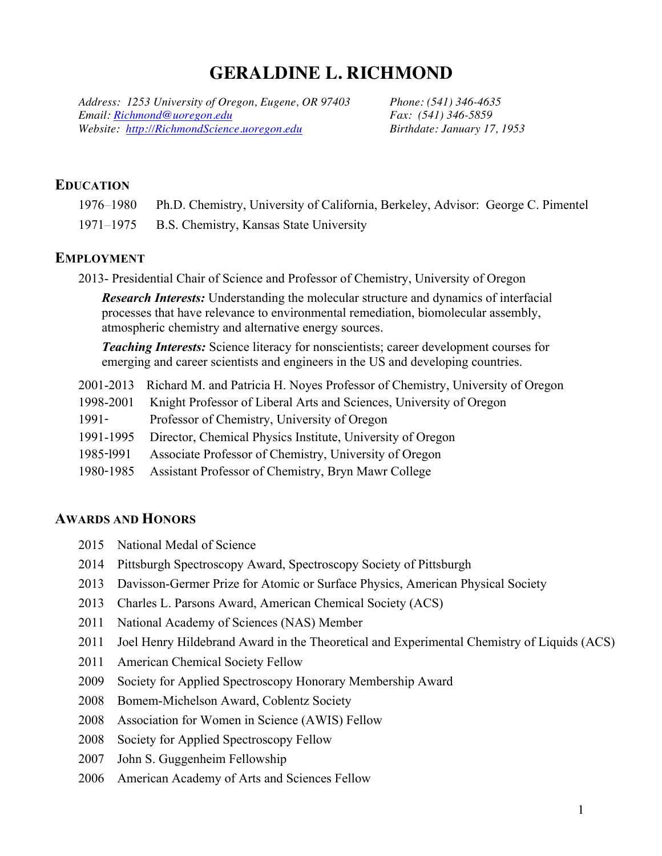# **GERALDINE L. RICHMOND**

*Address: 1253 University of Oregon, Eugene, OR 97403 Phone: (541) 346-4635 Email: Richmond@uoregon.edu Fax: (541) 346-5859 Website: http://RichmondScience.uoregon.edu Birthdate: January 17, 1953*

# **EDUCATION**

| 1976–1980 | Ph.D. Chemistry, University of California, Berkeley, Advisor: George C. Pimentel |
|-----------|----------------------------------------------------------------------------------|
|           | 1971–1975 B.S. Chemistry, Kansas State University                                |

# **EMPLOYMENT**

2013- Presidential Chair of Science and Professor of Chemistry, University of Oregon

*Research Interests:* Understanding the molecular structure and dynamics of interfacial processes that have relevance to environmental remediation, biomolecular assembly, atmospheric chemistry and alternative energy sources.

*Teaching Interests:* Science literacy for nonscientists; career development courses for emerging and career scientists and engineers in the US and developing countries.

- 2001-2013 Richard M. and Patricia H. Noyes Professor of Chemistry, University of Oregon
- 1998-2001 Knight Professor of Liberal Arts and Sciences, University of Oregon
- 1991- Professor of Chemistry, University of Oregon
- 1991-1995 Director, Chemical Physics Institute, University of Oregon
- 1985-l991 Associate Professor of Chemistry, University of Oregon
- 1980-1985 Assistant Professor of Chemistry, Bryn Mawr College

# **AWARDS AND HONORS**

- 2015 National Medal of Science
- 2014 Pittsburgh Spectroscopy Award, Spectroscopy Society of Pittsburgh
- 2013 Davisson-Germer Prize for Atomic or Surface Physics, American Physical Society
- 2013 Charles L. Parsons Award, American Chemical Society (ACS)
- 2011 National Academy of Sciences (NAS) Member
- 2011 Joel Henry Hildebrand Award in the Theoretical and Experimental Chemistry of Liquids (ACS)
- 2011 American Chemical Society Fellow
- 2009 Society for Applied Spectroscopy Honorary Membership Award
- 2008 Bomem-Michelson Award, Coblentz Society
- 2008 Association for Women in Science (AWIS) Fellow
- 2008 Society for Applied Spectroscopy Fellow
- 2007 John S. Guggenheim Fellowship
- 2006 American Academy of Arts and Sciences Fellow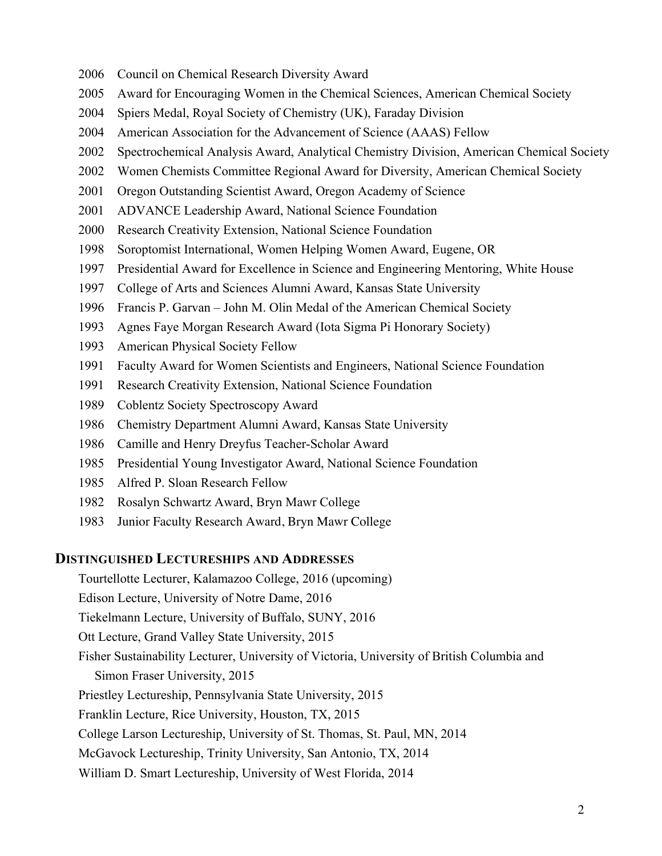- 2006 Council on Chemical Research Diversity Award
- 2005 Award for Encouraging Women in the Chemical Sciences, American Chemical Society
- 2004 Spiers Medal, Royal Society of Chemistry (UK), Faraday Division
- 2004 American Association for the Advancement of Science (AAAS) Fellow
- 2002 Spectrochemical Analysis Award, Analytical Chemistry Division, American Chemical Society
- 2002 Women Chemists Committee Regional Award for Diversity, American Chemical Society
- 2001 Oregon Outstanding Scientist Award, Oregon Academy of Science
- 2001 ADVANCE Leadership Award, National Science Foundation
- 2000 Research Creativity Extension, National Science Foundation
- 1998 Soroptomist International, Women Helping Women Award, Eugene, OR
- 1997 Presidential Award for Excellence in Science and Engineering Mentoring, White House
- 1997 College of Arts and Sciences Alumni Award, Kansas State University
- 1996 Francis P. Garvan John M. Olin Medal of the American Chemical Society
- 1993 Agnes Faye Morgan Research Award (Iota Sigma Pi Honorary Society)
- 1993 American Physical Society Fellow
- 1991 Faculty Award for Women Scientists and Engineers, National Science Foundation
- 1991 Research Creativity Extension, National Science Foundation
- 1989 Coblentz Society Spectroscopy Award
- 1986 Chemistry Department Alumni Award, Kansas State University
- 1986 Camille and Henry Dreyfus Teacher-Scholar Award
- 1985 Presidential Young Investigator Award, National Science Foundation
- 1985 Alfred P. Sloan Research Fellow
- 1982 Rosalyn Schwartz Award, Bryn Mawr College
- 1983 Junior Faculty Research Award, Bryn Mawr College

### **DISTINGUISHED LECTURESHIPS AND ADDRESSES**

- Tourtellotte Lecturer, Kalamazoo College, 2016 (upcoming)
- Edison Lecture, University of Notre Dame, 2016
- Tiekelmann Lecture, University of Buffalo, SUNY, 2016
- Ott Lecture, Grand Valley State University, 2015
- Fisher Sustainability Lecturer, University of Victoria, University of British Columbia and
	- Simon Fraser University, 2015
- Priestley Lectureship, Pennsylvania State University, 2015
- Franklin Lecture, Rice University, Houston, TX, 2015
- College Larson Lectureship, University of St. Thomas, St. Paul, MN, 2014
- McGavock Lectureship, Trinity University, San Antonio, TX, 2014
- William D. Smart Lectureship, University of West Florida, 2014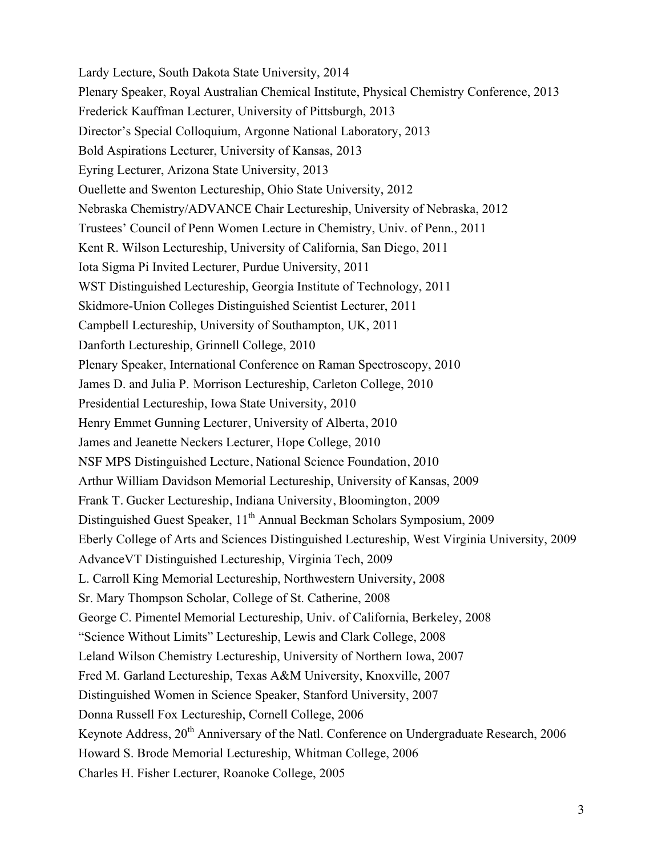Lardy Lecture, South Dakota State University, 2014 Plenary Speaker, Royal Australian Chemical Institute, Physical Chemistry Conference, 2013 Frederick Kauffman Lecturer, University of Pittsburgh, 2013 Director's Special Colloquium, Argonne National Laboratory, 2013 Bold Aspirations Lecturer, University of Kansas, 2013 Eyring Lecturer, Arizona State University, 2013 Ouellette and Swenton Lectureship, Ohio State University, 2012 Nebraska Chemistry/ADVANCE Chair Lectureship, University of Nebraska, 2012 Trustees' Council of Penn Women Lecture in Chemistry, Univ. of Penn., 2011 Kent R. Wilson Lectureship, University of California, San Diego, 2011 Iota Sigma Pi Invited Lecturer, Purdue University, 2011 WST Distinguished Lectureship, Georgia Institute of Technology, 2011 Skidmore-Union Colleges Distinguished Scientist Lecturer, 2011 Campbell Lectureship, University of Southampton, UK, 2011 Danforth Lectureship, Grinnell College, 2010 Plenary Speaker, International Conference on Raman Spectroscopy, 2010 James D. and Julia P. Morrison Lectureship, Carleton College, 2010 Presidential Lectureship, Iowa State University, 2010 Henry Emmet Gunning Lecturer, University of Alberta, 2010 James and Jeanette Neckers Lecturer, Hope College, 2010 NSF MPS Distinguished Lecture, National Science Foundation, 2010 Arthur William Davidson Memorial Lectureship, University of Kansas, 2009 Frank T. Gucker Lectureship, Indiana University, Bloomington, 2009 Distinguished Guest Speaker, 11<sup>th</sup> Annual Beckman Scholars Symposium, 2009 Eberly College of Arts and Sciences Distinguished Lectureship, West Virginia University, 2009 AdvanceVT Distinguished Lectureship, Virginia Tech, 2009 L. Carroll King Memorial Lectureship, Northwestern University, 2008 Sr. Mary Thompson Scholar, College of St. Catherine, 2008 George C. Pimentel Memorial Lectureship, Univ. of California, Berkeley, 2008 "Science Without Limits" Lectureship, Lewis and Clark College, 2008 Leland Wilson Chemistry Lectureship, University of Northern Iowa, 2007 Fred M. Garland Lectureship, Texas A&M University, Knoxville, 2007 Distinguished Women in Science Speaker, Stanford University, 2007 Donna Russell Fox Lectureship, Cornell College, 2006 Keynote Address, 20<sup>th</sup> Anniversary of the Natl. Conference on Undergraduate Research, 2006 Howard S. Brode Memorial Lectureship, Whitman College, 2006 Charles H. Fisher Lecturer, Roanoke College, 2005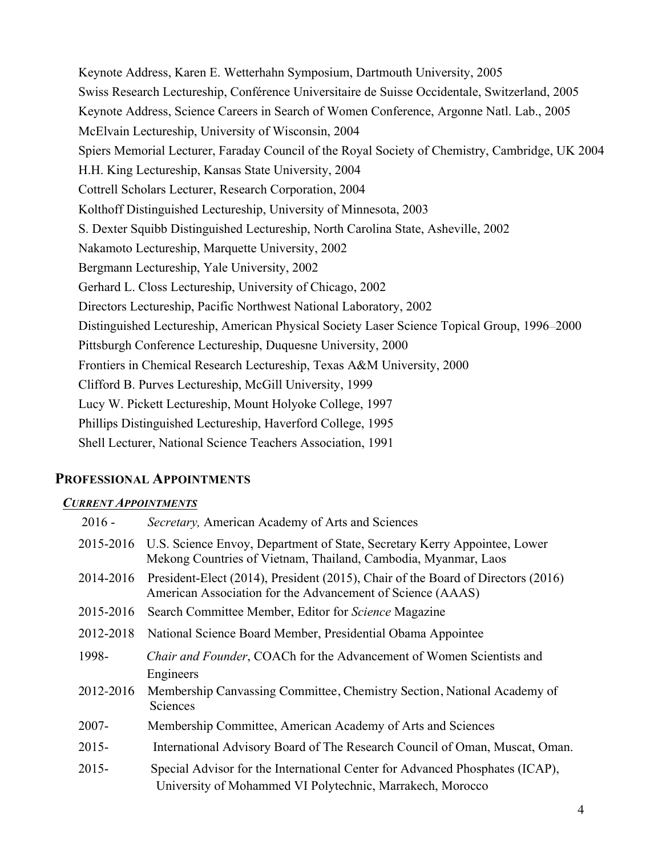Keynote Address, Karen E. Wetterhahn Symposium, Dartmouth University, 2005 Swiss Research Lectureship, Conférence Universitaire de Suisse Occidentale, Switzerland, 2005 Keynote Address, Science Careers in Search of Women Conference, Argonne Natl. Lab., 2005 McElvain Lectureship, University of Wisconsin, 2004 Spiers Memorial Lecturer, Faraday Council of the Royal Society of Chemistry, Cambridge, UK 2004 H.H. King Lectureship, Kansas State University, 2004 Cottrell Scholars Lecturer, Research Corporation, 2004 Kolthoff Distinguished Lectureship, University of Minnesota, 2003 S. Dexter Squibb Distinguished Lectureship, North Carolina State, Asheville, 2002 Nakamoto Lectureship, Marquette University, 2002 Bergmann Lectureship, Yale University, 2002 Gerhard L. Closs Lectureship, University of Chicago, 2002 Directors Lectureship, Pacific Northwest National Laboratory, 2002 Distinguished Lectureship, American Physical Society Laser Science Topical Group, 1996—2000 Pittsburgh Conference Lectureship, Duquesne University, 2000 Frontiers in Chemical Research Lectureship, Texas A&M University, 2000 Clifford B. Purves Lectureship, McGill University, 1999 Lucy W. Pickett Lectureship, Mount Holyoke College, 1997 Phillips Distinguished Lectureship, Haverford College, 1995 Shell Lecturer, National Science Teachers Association, 1991

# **PROFESSIONAL APPOINTMENTS**

# *CURRENT APPOINTMENTS*

| $2016 -$  | Secretary, American Academy of Arts and Sciences                                                                                                      |
|-----------|-------------------------------------------------------------------------------------------------------------------------------------------------------|
|           | 2015-2016 U.S. Science Envoy, Department of State, Secretary Kerry Appointee, Lower<br>Mekong Countries of Vietnam, Thailand, Cambodia, Myanmar, Laos |
| 2014-2016 | President-Elect (2014), President (2015), Chair of the Board of Directors (2016)<br>American Association for the Advancement of Science (AAAS)        |
| 2015-2016 | Search Committee Member, Editor for Science Magazine                                                                                                  |
| 2012-2018 | National Science Board Member, Presidential Obama Appointee                                                                                           |
| 1998-     | Chair and Founder, COACh for the Advancement of Women Scientists and<br>Engineers                                                                     |
| 2012-2016 | Membership Canvassing Committee, Chemistry Section, National Academy of<br>Sciences                                                                   |
| $2007 -$  | Membership Committee, American Academy of Arts and Sciences                                                                                           |
| $2015 -$  | International Advisory Board of The Research Council of Oman, Muscat, Oman.                                                                           |
| $2015 -$  | Special Advisor for the International Center for Advanced Phosphates (ICAP),<br>University of Mohammed VI Polytechnic, Marrakech, Morocco             |
|           |                                                                                                                                                       |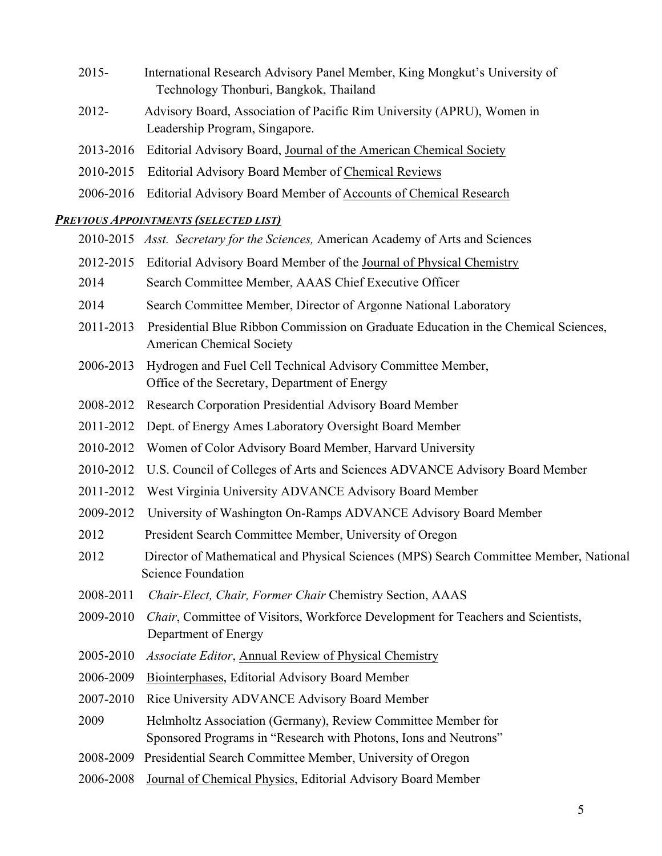- 2015- International Research Advisory Panel Member, King Mongkut's University of Technology Thonburi, Bangkok, Thailand
- 2012- Advisory Board, Association of Pacific Rim University (APRU), Women in Leadership Program, Singapore.
- 2013-2016 Editorial Advisory Board, Journal of the American Chemical Society
- 2010-2015 Editorial Advisory Board Member of Chemical Reviews
- 2006-2016 Editorial Advisory Board Member of Accounts of Chemical Research

# *PREVIOUS APPOINTMENTS (SELECTED LIST)*

|           | 2010-2015 Asst. Secretary for the Sciences, American Academy of Arts and Sciences                                                |
|-----------|----------------------------------------------------------------------------------------------------------------------------------|
| 2012-2015 | Editorial Advisory Board Member of the Journal of Physical Chemistry                                                             |
| 2014      | Search Committee Member, AAAS Chief Executive Officer                                                                            |
| 2014      | Search Committee Member, Director of Argonne National Laboratory                                                                 |
| 2011-2013 | Presidential Blue Ribbon Commission on Graduate Education in the Chemical Sciences,<br><b>American Chemical Society</b>          |
| 2006-2013 | Hydrogen and Fuel Cell Technical Advisory Committee Member,<br>Office of the Secretary, Department of Energy                     |
| 2008-2012 | Research Corporation Presidential Advisory Board Member                                                                          |
| 2011-2012 | Dept. of Energy Ames Laboratory Oversight Board Member                                                                           |
| 2010-2012 | Women of Color Advisory Board Member, Harvard University                                                                         |
| 2010-2012 | U.S. Council of Colleges of Arts and Sciences ADVANCE Advisory Board Member                                                      |
| 2011-2012 | West Virginia University ADVANCE Advisory Board Member                                                                           |
| 2009-2012 | University of Washington On-Ramps ADVANCE Advisory Board Member                                                                  |
| 2012      | President Search Committee Member, University of Oregon                                                                          |
| 2012      | Director of Mathematical and Physical Sciences (MPS) Search Committee Member, National<br><b>Science Foundation</b>              |
| 2008-2011 | Chair-Elect, Chair, Former Chair Chemistry Section, AAAS                                                                         |
| 2009-2010 | Chair, Committee of Visitors, Workforce Development for Teachers and Scientists,<br>Department of Energy                         |
| 2005-2010 | <i>Associate Editor</i> , Annual Review of Physical Chemistry                                                                    |
| 2006-2009 | Biointerphases, Editorial Advisory Board Member                                                                                  |
| 2007-2010 | Rice University ADVANCE Advisory Board Member                                                                                    |
| 2009      | Helmholtz Association (Germany), Review Committee Member for<br>Sponsored Programs in "Research with Photons, Ions and Neutrons" |
| 2008-2009 | Presidential Search Committee Member, University of Oregon                                                                       |
| 2006-2008 | Journal of Chemical Physics, Editorial Advisory Board Member                                                                     |
|           |                                                                                                                                  |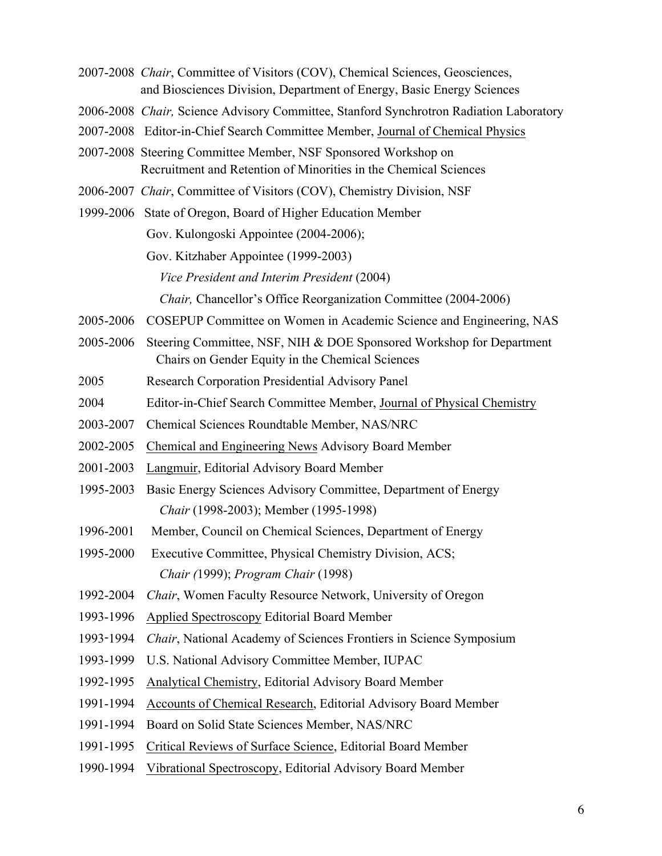- 2007-2008 *Chair*, Committee of Visitors (COV), Chemical Sciences, Geosciences, and Biosciences Division, Department of Energy, Basic Energy Sciences
- 2006-2008 *Chair,* Science Advisory Committee, Stanford Synchrotron Radiation Laboratory
- 2007-2008 Editor-in-Chief Search Committee Member, Journal of Chemical Physics
- 2007-2008 Steering Committee Member, NSF Sponsored Workshop on Recruitment and Retention of Minorities in the Chemical Sciences
- 2006-2007 *Chair*, Committee of Visitors (COV), Chemistry Division, NSF
- 1999-2006 State of Oregon, Board of Higher Education Member Gov. Kulongoski Appointee (2004-2006); Gov. Kitzhaber Appointee (1999-2003) *Vice President and Interim President* (2004)

*Chair,* Chancellor's Office Reorganization Committee (2004-2006)

- 2005-2006 COSEPUP Committee on Women in Academic Science and Engineering, NAS
- 2005-2006 Steering Committee, NSF, NIH & DOE Sponsored Workshop for Department Chairs on Gender Equity in the Chemical Sciences
- 2005 Research Corporation Presidential Advisory Panel
- 2004 Editor-in-Chief Search Committee Member, Journal of Physical Chemistry
- 2003-2007 Chemical Sciences Roundtable Member, NAS/NRC
- 2002-2005 Chemical and Engineering News Advisory Board Member
- 2001-2003 Langmuir, Editorial Advisory Board Member
- 1995-2003 Basic Energy Sciences Advisory Committee, Department of Energy *Chair* (1998-2003); Member (1995-1998)
- 1996-2001 Member, Council on Chemical Sciences, Department of Energy
- 1995-2000 Executive Committee, Physical Chemistry Division, ACS; *Chair (*1999); *Program Chair* (1998)
- 1992-2004 *Chair*, Women Faculty Resource Network, University of Oregon
- 1993-1996 Applied Spectroscopy Editorial Board Member
- 1993-1994 *Chair*, National Academy of Sciences Frontiers in Science Symposium
- 1993-1999 U.S. National Advisory Committee Member, IUPAC
- 1992-1995 Analytical Chemistry, Editorial Advisory Board Member
- 1991-1994 Accounts of Chemical Research, Editorial Advisory Board Member
- 1991-1994 Board on Solid State Sciences Member, NAS/NRC
- 1991-1995 Critical Reviews of Surface Science, Editorial Board Member
- 1990-1994 Vibrational Spectroscopy, Editorial Advisory Board Member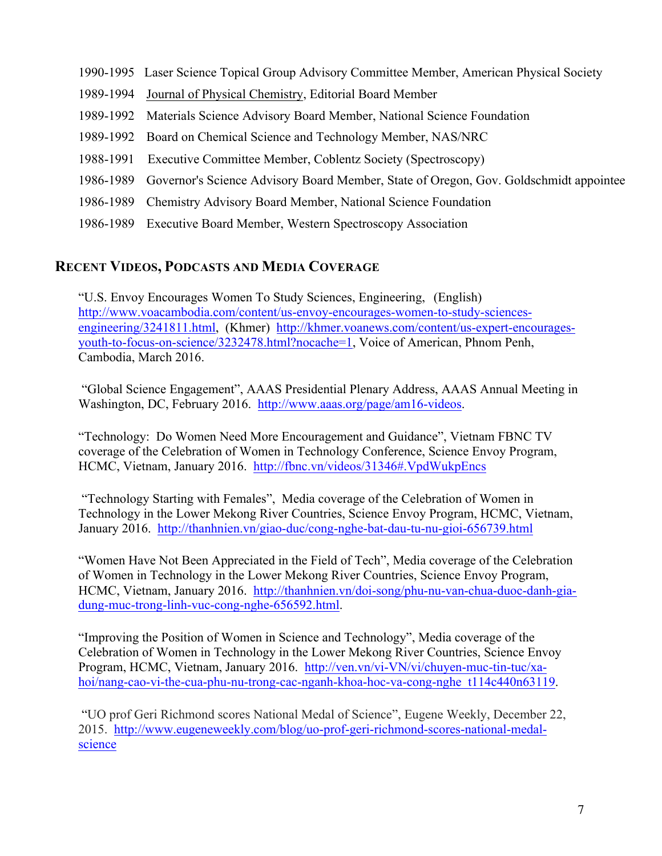- 1990-1995 Laser Science Topical Group Advisory Committee Member, American Physical Society
- 1989-1994 Journal of Physical Chemistry, Editorial Board Member
- 1989-1992 Materials Science Advisory Board Member, National Science Foundation
- 1989-1992 Board on Chemical Science and Technology Member, NAS/NRC
- 1988-1991 Executive Committee Member, Coblentz Society (Spectroscopy)
- 1986-1989 Governor's Science Advisory Board Member, State of Oregon, Gov. Goldschmidt appointee
- 1986-1989 Chemistry Advisory Board Member, National Science Foundation
- 1986-1989 Executive Board Member, Western Spectroscopy Association

# **RECENT VIDEOS, PODCASTS AND MEDIA COVERAGE**

"U.S. Envoy Encourages Women To Study Sciences, Engineering, (English) http://www.voacambodia.com/content/us-envoy-encourages-women-to-study-sciencesengineering/3241811.html, (Khmer) http://khmer.voanews.com/content/us-expert-encouragesyouth-to-focus-on-science/3232478.html?nocache=1, Voice of American, Phnom Penh, Cambodia, March 2016.

"Global Science Engagement", AAAS Presidential Plenary Address, AAAS Annual Meeting in Washington, DC, February 2016. http://www.aaas.org/page/am16-videos.

"Technology: Do Women Need More Encouragement and Guidance", Vietnam FBNC TV coverage of the Celebration of Women in Technology Conference, Science Envoy Program, HCMC, Vietnam, January 2016. http://fbnc.vn/videos/31346#.VpdWukpEncs

"Technology Starting with Females", Media coverage of the Celebration of Women in Technology in the Lower Mekong River Countries, Science Envoy Program, HCMC, Vietnam, January 2016. http://thanhnien.vn/giao-duc/cong-nghe-bat-dau-tu-nu-gioi-656739.html

"Women Have Not Been Appreciated in the Field of Tech", Media coverage of the Celebration of Women in Technology in the Lower Mekong River Countries, Science Envoy Program, HCMC, Vietnam, January 2016. http://thanhnien.vn/doi-song/phu-nu-van-chua-duoc-danh-giadung-muc-trong-linh-vuc-cong-nghe-656592.html.

"Improving the Position of Women in Science and Technology", Media coverage of the Celebration of Women in Technology in the Lower Mekong River Countries, Science Envoy Program, HCMC, Vietnam, January 2016. http://ven.vn/vi-VN/vi/chuyen-muc-tin-tuc/xahoi/nang-cao-vi-the-cua-phu-nu-trong-cac-nganh-khoa-hoc-va-cong-nghe\_t114c440n63119.

"UO prof Geri Richmond scores National Medal of Science", Eugene Weekly, December 22, 2015. http://www.eugeneweekly.com/blog/uo-prof-geri-richmond-scores-national-medalscience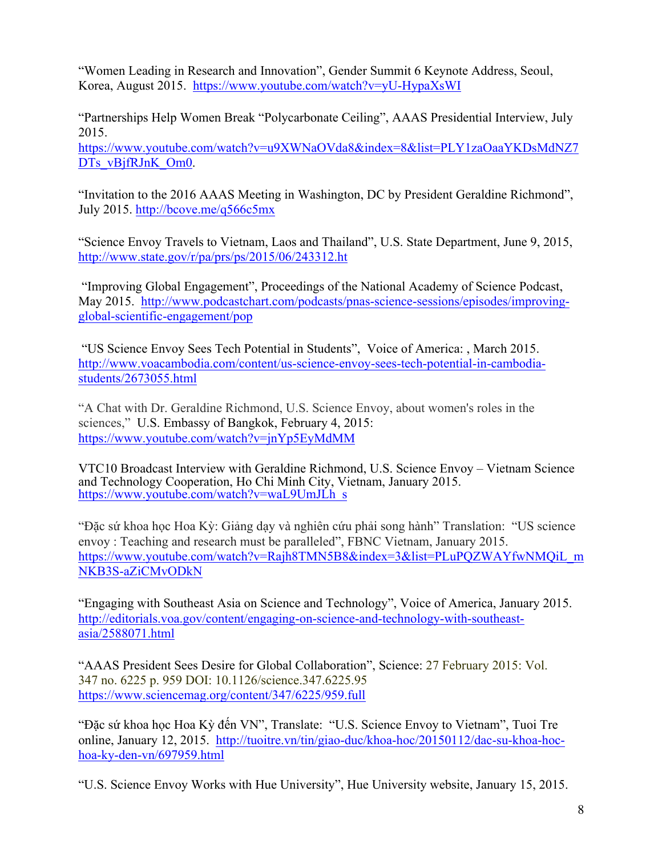"Women Leading in Research and Innovation", Gender Summit 6 Keynote Address, Seoul, Korea, August 2015. https://www.youtube.com/watch?v=yU-HypaXsWI

"Partnerships Help Women Break "Polycarbonate Ceiling", AAAS Presidential Interview, July 2015.

https://www.youtube.com/watch?v=u9XWNaOVda8&index=8&list=PLY1zaOaaYKDsMdNZ7 DTs\_vBjfRJnK\_Om0.

"Invitation to the 2016 AAAS Meeting in Washington, DC by President Geraldine Richmond", July 2015. http://bcove.me/q566c5mx

"Science Envoy Travels to Vietnam, Laos and Thailand", U.S. State Department, June 9, 2015, http://www.state.gov/r/pa/prs/ps/2015/06/243312.ht

"Improving Global Engagement", Proceedings of the National Academy of Science Podcast, May 2015. http://www.podcastchart.com/podcasts/pnas-science-sessions/episodes/improvingglobal-scientific-engagement/pop

"US Science Envoy Sees Tech Potential in Students", Voice of America: , March 2015. http://www.voacambodia.com/content/us-science-envoy-sees-tech-potential-in-cambodiastudents/2673055.html

"A Chat with Dr. Geraldine Richmond, U.S. Science Envoy, about women's roles in the sciences," U.S. Embassy of Bangkok, February 4, 2015: https://www.youtube.com/watch?v=jnYp5EyMdMM

VTC10 Broadcast Interview with Geraldine Richmond, U.S. Science Envoy – Vietnam Science and Technology Cooperation, Ho Chi Minh City, Vietnam, January 2015.<br>https://www.youtube.com/watch?v=waL9UmJLh\_s

"Đặc sứ khoa học Hoa Kỳ: Giảng dạy và nghiên cứu phải song hành" Translation: "US science envoy : Teaching and research must be paralleled", FBNC Vietnam, January 2015. https://www.youtube.com/watch?v=Rajh8TMN5B8&index=3&list=PLuPQZWAYfwNMQiL\_m NKB3S-aZiCMvODkN

"Engaging with Southeast Asia on Science and Technology", Voice of America, January 2015. http://editorials.voa.gov/content/engaging-on-science-and-technology-with-southeastasia/2588071.html

"AAAS President Sees Desire for Global Collaboration", Science: 27 February 2015: Vol. 347 no. 6225 p. 959 DOI: 10.1126/science.347.6225.95 https://www.sciencemag.org/content/347/6225/959.full

"Đặc sứ khoa học Hoa Kỳ đến VN", Translate: "U.S. Science Envoy to Vietnam", Tuoi Tre online, January 12, 2015. http://tuoitre.vn/tin/giao-duc/khoa-hoc/20150112/dac-su-khoa-hochoa-ky-den-vn/697959.html

"U.S. Science Envoy Works with Hue University", Hue University website, January 15, 2015.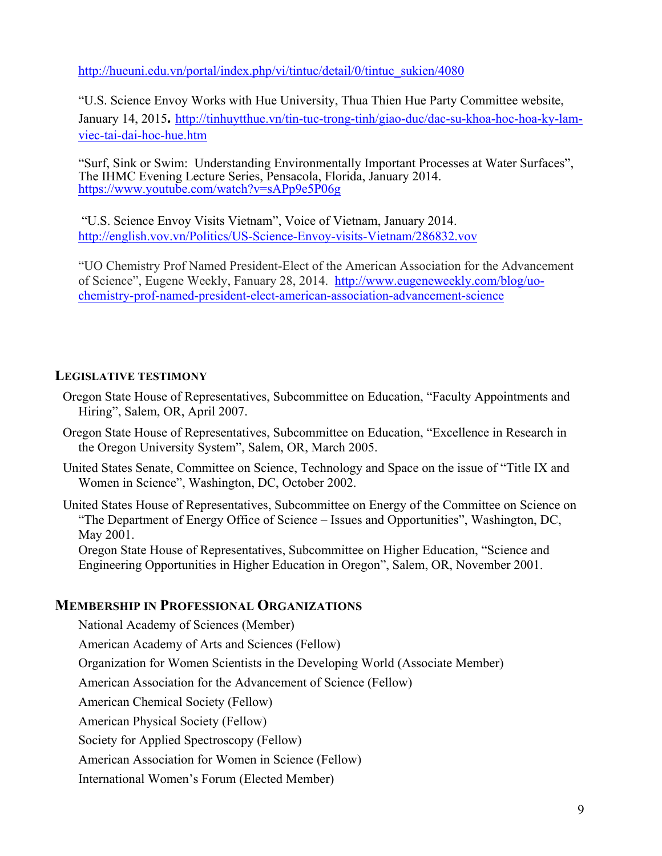http://hueuni.edu.vn/portal/index.php/vi/tintuc/detail/0/tintuc\_sukien/4080

"U.S. Science Envoy Works with Hue University, Thua Thien Hue Party Committee website, January 14, 2015. http://tinhuytthue.vn/tin-tuc-trong-tinh/giao-duc/dac-su-khoa-hoc-hoa-ky-lamviec-tai-dai-hoc-hue.htm

"Surf, Sink or Swim: Understanding Environmentally Important Processes at Water Surfaces", The IHMC Evening Lecture Series, Pensacola, Florida, January 2014. https://www.youtube.com/watch?v=sAPp9e5P06g

"U.S. Science Envoy Visits Vietnam", Voice of Vietnam, January 2014. http://english.vov.vn/Politics/US-Science-Envoy-visits-Vietnam/286832.vov

"UO Chemistry Prof Named President-Elect of the American Association for the Advancement of Science", Eugene Weekly, Fanuary 28, 2014. http://www.eugeneweekly.com/blog/uochemistry-prof-named-president-elect-american-association-advancement-science

### **LEGISLATIVE TESTIMONY**

- Oregon State House of Representatives, Subcommittee on Education, "Faculty Appointments and Hiring", Salem, OR, April 2007.
- Oregon State House of Representatives, Subcommittee on Education, "Excellence in Research in the Oregon University System", Salem, OR, March 2005.
- United States Senate, Committee on Science, Technology and Space on the issue of "Title IX and Women in Science", Washington, DC, October 2002.
- United States House of Representatives, Subcommittee on Energy of the Committee on Science on "The Department of Energy Office of Science – Issues and Opportunities", Washington, DC, May 2001.

Oregon State House of Representatives, Subcommittee on Higher Education, "Science and Engineering Opportunities in Higher Education in Oregon", Salem, OR, November 2001.

# **MEMBERSHIP IN PROFESSIONAL ORGANIZATIONS**

National Academy of Sciences (Member)

American Academy of Arts and Sciences (Fellow)

Organization for Women Scientists in the Developing World (Associate Member)

American Association for the Advancement of Science (Fellow)

American Chemical Society (Fellow)

American Physical Society (Fellow)

Society for Applied Spectroscopy (Fellow)

American Association for Women in Science (Fellow)

International Women's Forum (Elected Member)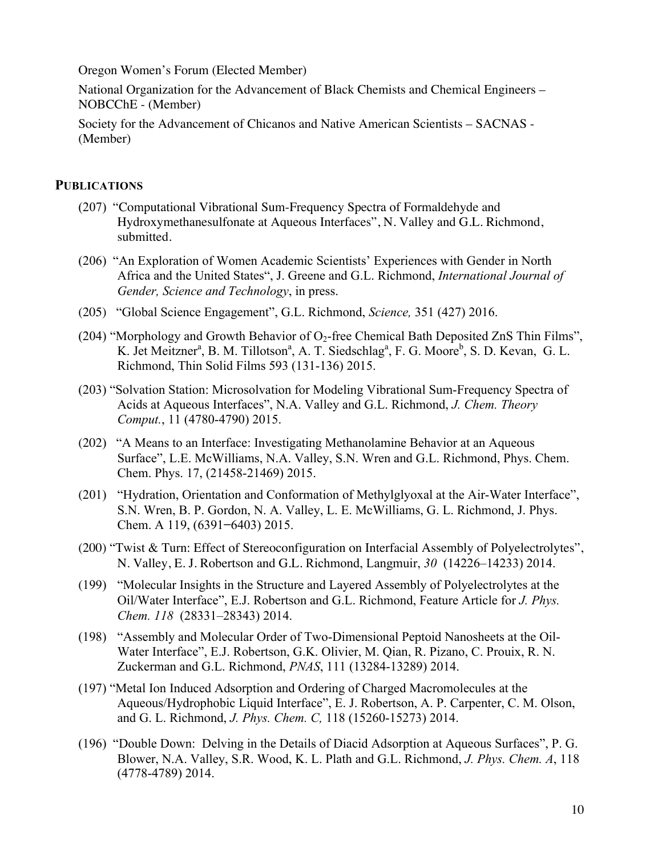Oregon Women's Forum (Elected Member)

National Organization for the Advancement of Black Chemists and Chemical Engineers – NOBCChE - (Member)

Society for the Advancement of Chicanos and Native American Scientists – SACNAS - (Member)

### **PUBLICATIONS**

- (207) "Computational Vibrational Sum-Frequency Spectra of Formaldehyde and Hydroxymethanesulfonate at Aqueous Interfaces", N. Valley and G.L. Richmond, submitted.
- (206) "An Exploration of Women Academic Scientists' Experiences with Gender in North Africa and the United States", J. Greene and G.L. Richmond, *International Journal of Gender, Science and Technology*, in press.
- (205) "Global Science Engagement", G.L. Richmond, *Science,* 351 (427) 2016.
- (204) "Morphology and Growth Behavior of  $O_2$ -free Chemical Bath Deposited ZnS Thin Films", K. Jet Meitzner<sup>a</sup>, B. M. Tillotson<sup>a</sup>, A. T. Siedschlag<sup>a</sup>, F. G. Moore<sup>b</sup>, S. D. Kevan, G. L. Richmond, Thin Solid Films 593 (131-136) 2015.
- (203) "Solvation Station: Microsolvation for Modeling Vibrational Sum-Frequency Spectra of Acids at Aqueous Interfaces", N.A. Valley and G.L. Richmond, *J. Chem. Theory Comput.*, 11 (4780-4790) 2015.
- (202) "A Means to an Interface: Investigating Methanolamine Behavior at an Aqueous Surface", L.E. McWilliams, N.A. Valley, S.N. Wren and G.L. Richmond, Phys. Chem. Chem. Phys. 17, (21458-21469) 2015.
- (201) "Hydration, Orientation and Conformation of Methylglyoxal at the Air-Water Interface", S.N. Wren, B. P. Gordon, N. A. Valley, L. E. McWilliams, G. L. Richmond, J. Phys. Chem. A 119, (6391**−**6403) 2015.
- (200) "Twist & Turn: Effect of Stereoconfiguration on Interfacial Assembly of Polyelectrolytes", N. Valley, E. J. Robertson and G.L. Richmond, Langmuir, *30* (14226–14233) 2014.
- (199) "Molecular Insights in the Structure and Layered Assembly of Polyelectrolytes at the Oil/Water Interface", E.J. Robertson and G.L. Richmond, Feature Article for *J. Phys. Chem. 118* (28331–28343) 2014.
- (198) "Assembly and Molecular Order of Two-Dimensional Peptoid Nanosheets at the Oil-Water Interface", E.J. Robertson, G.K. Olivier, M. Qian, R. Pizano, C. Prouix, R. N. Zuckerman and G.L. Richmond, *PNAS*, 111 (13284-13289) 2014.
- (197) "Metal Ion Induced Adsorption and Ordering of Charged Macromolecules at the Aqueous/Hydrophobic Liquid Interface", E. J. Robertson, A. P. Carpenter, C. M. Olson, and G. L. Richmond, *J. Phys. Chem. C,* 118 (15260-15273) 2014.
- (196) "Double Down: Delving in the Details of Diacid Adsorption at Aqueous Surfaces", P. G. Blower, N.A. Valley, S.R. Wood, K. L. Plath and G.L. Richmond, *J. Phys. Chem. A*, 118 (4778-4789) 2014.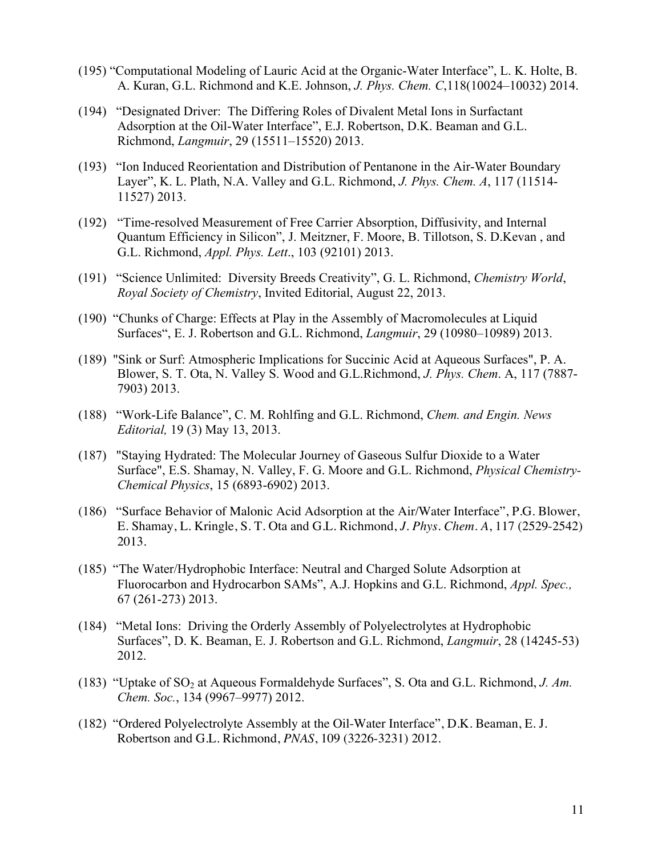- (195) "Computational Modeling of Lauric Acid at the Organic-Water Interface", L. K. Holte, B. A. Kuran, G.L. Richmond and K.E. Johnson, *J. Phys. Chem. C*,118(10024–10032) 2014.
- (194) "Designated Driver: The Differing Roles of Divalent Metal Ions in Surfactant Adsorption at the Oil-Water Interface", E.J. Robertson, D.K. Beaman and G.L. Richmond, *Langmuir*, 29 (15511–15520) 2013.
- (193) "Ion Induced Reorientation and Distribution of Pentanone in the Air-Water Boundary Layer", K. L. Plath, N.A. Valley and G.L. Richmond, *J. Phys. Chem. A*, 117 (11514- 11527) 2013.
- (192) "Time-resolved Measurement of Free Carrier Absorption, Diffusivity, and Internal Quantum Efficiency in Silicon", J. Meitzner, F. Moore, B. Tillotson, S. D.Kevan , and G.L. Richmond, *Appl. Phys. Lett*., 103 (92101) 2013.
- (191) "Science Unlimited: Diversity Breeds Creativity", G. L. Richmond, *Chemistry World*, *Royal Society of Chemistry*, Invited Editorial, August 22, 2013.
- (190) "Chunks of Charge: Effects at Play in the Assembly of Macromolecules at Liquid Surfaces", E. J. Robertson and G.L. Richmond, *Langmuir*, 29 (10980–10989) 2013.
- (189) "Sink or Surf: Atmospheric Implications for Succinic Acid at Aqueous Surfaces", P. A. Blower, S. T. Ota, N. Valley S. Wood and G.L.Richmond, *J. Phys. Chem*. A, 117 (7887- 7903) 2013.
- (188) "Work-Life Balance", C. M. Rohlfing and G.L. Richmond, *Chem. and Engin. News Editorial,* 19 (3) May 13, 2013.
- (187) "Staying Hydrated: The Molecular Journey of Gaseous Sulfur Dioxide to a Water Surface", E.S. Shamay, N. Valley, F. G. Moore and G.L. Richmond, *Physical Chemistry-Chemical Physics*, 15 (6893-6902) 2013.
- (186) "Surface Behavior of Malonic Acid Adsorption at the Air/Water Interface", P.G. Blower, E. Shamay, L. Kringle, S. T. Ota and G.L. Richmond, *J. Phys. Chem. A*, 117 (2529-2542) 2013.
- (185) "The Water/Hydrophobic Interface: Neutral and Charged Solute Adsorption at Fluorocarbon and Hydrocarbon SAMs", A.J. Hopkins and G.L. Richmond, *Appl. Spec.,*  67 (261-273) 2013.
- (184) "Metal Ions: Driving the Orderly Assembly of Polyelectrolytes at Hydrophobic Surfaces", D. K. Beaman, E. J. Robertson and G.L. Richmond, *Langmuir*, 28 (14245-53) 2012.
- (183) "Uptake of SO<sub>2</sub> at Aqueous Formaldehyde Surfaces", S. Ota and G.L. Richmond, *J. Am. Chem. Soc.*, 134 (9967–9977) 2012.
- (182) "Ordered Polyelectrolyte Assembly at the Oil-Water Interface", D.K. Beaman, E. J. Robertson and G.L. Richmond, *PNAS*, 109 (3226-3231) 2012.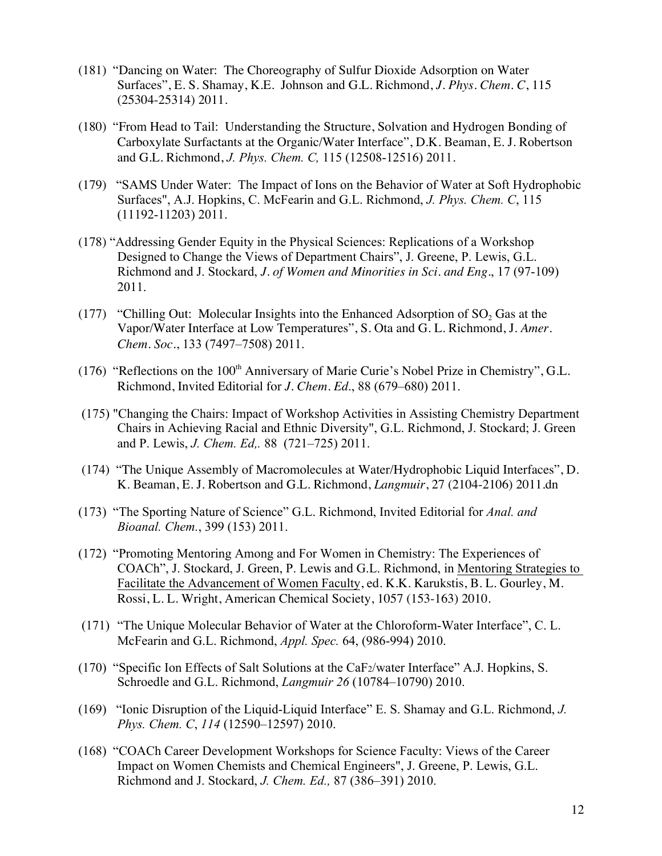- (181) "Dancing on Water: The Choreography of Sulfur Dioxide Adsorption on Water Surfaces", E. S. Shamay, K.E. Johnson and G.L. Richmond, *J. Phys. Chem. C*, 115 (25304-25314) 2011.
- (180) "From Head to Tail: Understanding the Structure, Solvation and Hydrogen Bonding of Carboxylate Surfactants at the Organic/Water Interface", D.K. Beaman, E. J. Robertson and G.L. Richmond, *J. Phys. Chem. C,* 115 (12508-12516) 2011.
- (179) "SAMS Under Water: The Impact of Ions on the Behavior of Water at Soft Hydrophobic Surfaces", A.J. Hopkins, C. McFearin and G.L. Richmond, *J. Phys. Chem. C*, 115 (11192-11203) 2011.
- (178) "Addressing Gender Equity in the Physical Sciences: Replications of a Workshop Designed to Change the Views of Department Chairs", J. Greene, P. Lewis, G.L. Richmond and J. Stockard, *J. of Women and Minorities in Sci. and Eng.*, 17 (97-109) 2011.
- (177) "Chilling Out: Molecular Insights into the Enhanced Adsorption of  $SO<sub>2</sub>$  Gas at the Vapor/Water Interface at Low Temperatures", S. Ota and G. L. Richmond, J. *Amer. Chem. Soc.*, 133 (7497–7508) 2011.
- (176) "Reflections on the 100<sup>th</sup> Anniversary of Marie Curie's Nobel Prize in Chemistry", G.L. Richmond, Invited Editorial for *J. Chem. Ed*., 88 (679–680) 2011.
- (175) "Changing the Chairs: Impact of Workshop Activities in Assisting Chemistry Department Chairs in Achieving Racial and Ethnic Diversity", G.L. Richmond, J. Stockard; J. Green and P. Lewis, *J. Chem. Ed,.* 88 (721–725) 2011.
- (174) "The Unique Assembly of Macromolecules at Water/Hydrophobic Liquid Interfaces", D. K. Beaman, E. J. Robertson and G.L. Richmond, *Langmuir*, 27 (2104-2106) 2011.dn
- (173) "The Sporting Nature of Science" G.L. Richmond, Invited Editorial for *Anal. and Bioanal. Chem.*, 399 (153) 2011.
- (172) "Promoting Mentoring Among and For Women in Chemistry: The Experiences of COACh", J. Stockard, J. Green, P. Lewis and G.L. Richmond, in Mentoring Strategies to Facilitate the Advancement of Women Faculty, ed. K.K. Karukstis, B. L. Gourley, M. Rossi, L. L. Wright, American Chemical Society, 1057 (153-163) 2010.
- (171) "The Unique Molecular Behavior of Water at the Chloroform-Water Interface", C. L. McFearin and G.L. Richmond, *Appl. Spec.* 64, (986-994) 2010.
- (170) "Specific Ion Effects of Salt Solutions at the CaF2/water Interface" A.J. Hopkins, S. Schroedle and G.L. Richmond, *Langmuir 26* (10784–10790) 2010.
- (169) "Ionic Disruption of the Liquid-Liquid Interface" E. S. Shamay and G.L. Richmond, *J. Phys. Chem. C*, *114* (12590–12597) 2010.
- (168) "COACh Career Development Workshops for Science Faculty: Views of the Career Impact on Women Chemists and Chemical Engineers", J. Greene, P. Lewis, G.L. Richmond and J. Stockard, *J. Chem. Ed.,* 87 (386–391) 2010.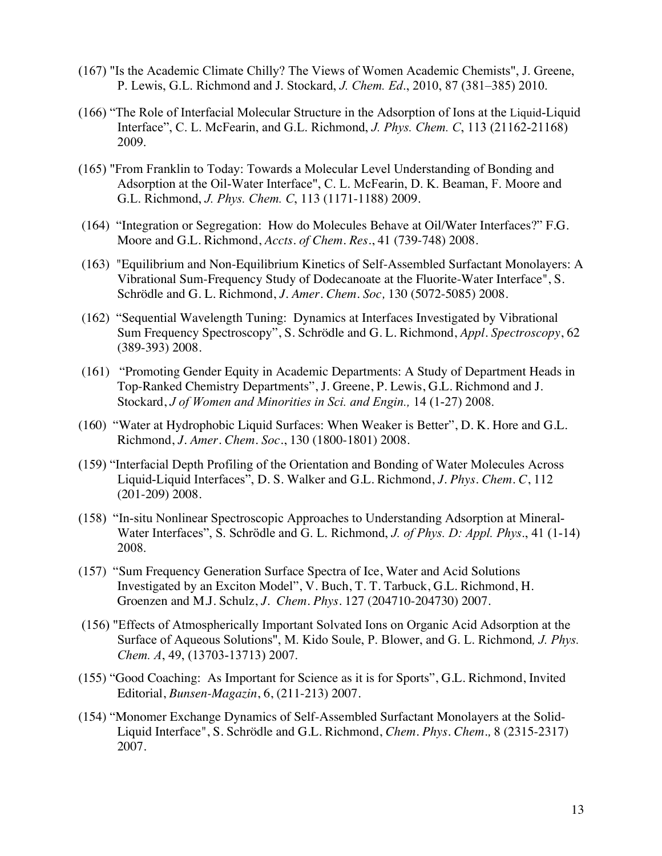- (167) "Is the Academic Climate Chilly? The Views of Women Academic Chemists", J. Greene, P. Lewis, G.L. Richmond and J. Stockard, *J. Chem. Ed*., 2010, 87 (381–385) 2010.
- (166) "The Role of Interfacial Molecular Structure in the Adsorption of Ions at the Liquid-Liquid Interface", C. L. McFearin, and G.L. Richmond, *J. Phys. Chem. C*, 113 (21162-21168) 2009.
- (165) "From Franklin to Today: Towards a Molecular Level Understanding of Bonding and Adsorption at the Oil-Water Interface", C. L. McFearin, D. K. Beaman, F. Moore and G.L. Richmond, *J. Phys. Chem. C*, 113 (1171-1188) 2009.
- (164) "Integration or Segregation: How do Molecules Behave at Oil/Water Interfaces?" F.G. Moore and G.L. Richmond, *Accts. of Chem. Res.*, 41 (739-748) 2008.
- (163) "Equilibrium and Non-Equilibrium Kinetics of Self-Assembled Surfactant Monolayers: A Vibrational Sum-Frequency Study of Dodecanoate at the Fluorite-Water Interface", S. Schrödle and G. L. Richmond, *J. Amer. Chem. Soc,* 130 (5072-5085) 2008.
- (162) "Sequential Wavelength Tuning: Dynamics at Interfaces Investigated by Vibrational Sum Frequency Spectroscopy", S. Schrödle and G. L. Richmond, *Appl. Spectroscopy*, 62 (389-393) 2008.
- (161) "Promoting Gender Equity in Academic Departments: A Study of Department Heads in Top-Ranked Chemistry Departments", J. Greene, P. Lewis, G.L. Richmond and J. Stockard, *J of Women and Minorities in Sci. and Engin.,* 14 (1-27) 2008.
- (160) "Water at Hydrophobic Liquid Surfaces: When Weaker is Better", D. K. Hore and G.L. Richmond, *J. Amer. Chem. Soc*., 130 (1800-1801) 2008.
- (159) "Interfacial Depth Profiling of the Orientation and Bonding of Water Molecules Across Liquid-Liquid Interfaces", D. S. Walker and G.L. Richmond, *J. Phys. Chem. C*, 112 (201-209) 2008.
- (158) "In-situ Nonlinear Spectroscopic Approaches to Understanding Adsorption at Mineral-Water Interfaces", S. Schrödle and G. L. Richmond, *J. of Phys. D: Appl. Phys*., 41 (1-14) 2008.
- (157) "Sum Frequency Generation Surface Spectra of Ice, Water and Acid Solutions Investigated by an Exciton Model", V. Buch, T. T. Tarbuck, G.L. Richmond, H. Groenzen and M.J. Schulz, *J. Chem. Phys.* 127 (204710-204730) 2007.
- (156) "Effects of Atmospherically Important Solvated Ions on Organic Acid Adsorption at the Surface of Aqueous Solutions", M. Kido Soule, P. Blower, and G. L. Richmond*, J. Phys. Chem. A*, 49, (13703-13713) 2007.
- (155) "Good Coaching: As Important for Science as it is for Sports", G.L. Richmond, Invited Editorial, *Bunsen-Magazin*, 6, (211-213) 2007.
- (154) "Monomer Exchange Dynamics of Self-Assembled Surfactant Monolayers at the Solid-Liquid Interface", S. Schrödle and G.L. Richmond, *Chem. Phys. Chem.,* 8 (2315-2317) 2007.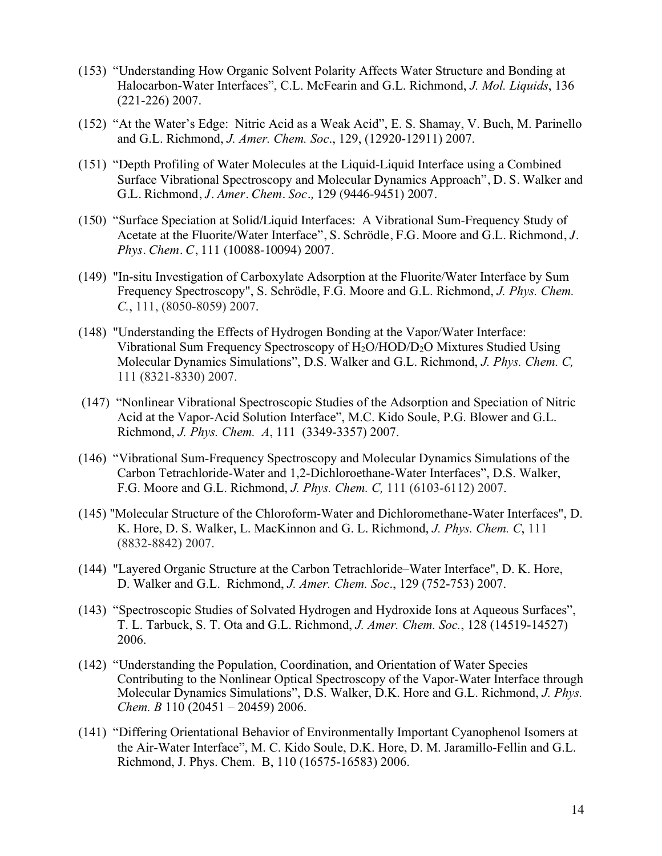- (153) "Understanding How Organic Solvent Polarity Affects Water Structure and Bonding at Halocarbon-Water Interfaces", C.L. McFearin and G.L. Richmond, *J. Mol. Liquids*, 136 (221-226) 2007.
- (152) "At the Water's Edge: Nitric Acid as a Weak Acid", E. S. Shamay, V. Buch, M. Parinello and G.L. Richmond, *J. Amer. Chem. Soc*., 129, (12920-12911) 2007.
- (151) "Depth Profiling of Water Molecules at the Liquid-Liquid Interface using a Combined Surface Vibrational Spectroscopy and Molecular Dynamics Approach", D. S. Walker and G.L. Richmond, *J. Amer. Chem. Soc.,* 129 (9446-9451) 2007.
- (150) "Surface Speciation at Solid/Liquid Interfaces: A Vibrational Sum-Frequency Study of Acetate at the Fluorite/Water Interface", S. Schrödle, F.G. Moore and G.L. Richmond, *J. Phys. Chem. C*, 111 (10088-10094) 2007.
- (149) "In-situ Investigation of Carboxylate Adsorption at the Fluorite/Water Interface by Sum Frequency Spectroscopy", S. Schrödle, F.G. Moore and G.L. Richmond, *J. Phys. Chem. C.*, 111, (8050-8059) 2007.
- (148) "Understanding the Effects of Hydrogen Bonding at the Vapor/Water Interface: Vibrational Sum Frequency Spectroscopy of H2O/HOD/D2O Mixtures Studied Using Molecular Dynamics Simulations", D.S. Walker and G.L. Richmond, *J. Phys. Chem. C,*  111 (8321-8330) 2007.
- (147) "Nonlinear Vibrational Spectroscopic Studies of the Adsorption and Speciation of Nitric Acid at the Vapor-Acid Solution Interface", M.C. Kido Soule, P.G. Blower and G.L. Richmond, *J. Phys. Chem. A*, 111 (3349-3357) 2007.
- (146) "Vibrational Sum-Frequency Spectroscopy and Molecular Dynamics Simulations of the Carbon Tetrachloride-Water and 1,2-Dichloroethane-Water Interfaces", D.S. Walker, F.G. Moore and G.L. Richmond, *J. Phys. Chem. C,* 111 (6103-6112) 2007.
- (145) "Molecular Structure of the Chloroform-Water and Dichloromethane-Water Interfaces", D. K. Hore, D. S. Walker, L. MacKinnon and G. L. Richmond, *J. Phys. Chem. C*, 111 (8832-8842) 2007.
- (144) "Layered Organic Structure at the Carbon Tetrachloride–Water Interface", D. K. Hore, D. Walker and G.L. Richmond, *J. Amer. Chem. Soc*., 129 (752-753) 2007.
- (143) "Spectroscopic Studies of Solvated Hydrogen and Hydroxide Ions at Aqueous Surfaces", T. L. Tarbuck, S. T. Ota and G.L. Richmond, *J. Amer. Chem. Soc.*, 128 (14519-14527) 2006.
- (142) "Understanding the Population, Coordination, and Orientation of Water Species Contributing to the Nonlinear Optical Spectroscopy of the Vapor-Water Interface through Molecular Dynamics Simulations", D.S. Walker, D.K. Hore and G.L. Richmond, *J. Phys. Chem. B* 110 (20451 – 20459) 2006.
- (141) "Differing Orientational Behavior of Environmentally Important Cyanophenol Isomers at the Air-Water Interface", M. C. Kido Soule, D.K. Hore, D. M. Jaramillo-Fellin and G.L. Richmond, J. Phys. Chem. B, 110 (16575-16583) 2006.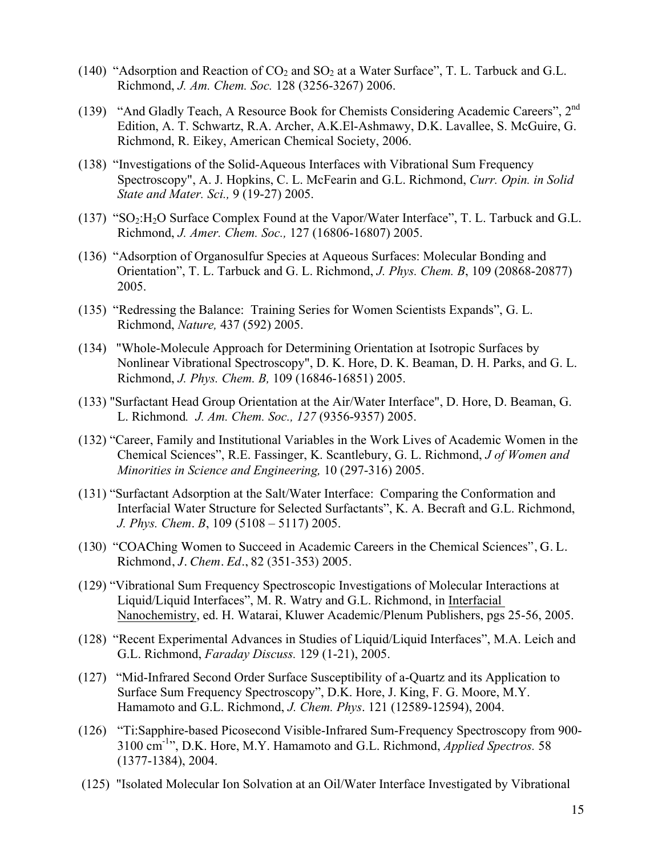- (140) "Adsorption and Reaction of  $CO_2$  and  $SO_2$  at a Water Surface", T. L. Tarbuck and G.L. Richmond, *J. Am. Chem. Soc.* 128 (3256-3267) 2006.
- (139) "And Gladly Teach, A Resource Book for Chemists Considering Academic Careers", 2nd Edition, A. T. Schwartz, R.A. Archer, A.K.El-Ashmawy, D.K. Lavallee, S. McGuire, G. Richmond, R. Eikey, American Chemical Society, 2006.
- (138) "Investigations of the Solid-Aqueous Interfaces with Vibrational Sum Frequency Spectroscopy", A. J. Hopkins, C. L. McFearin and G.L. Richmond, *Curr. Opin. in Solid State and Mater. Sci.,* 9 (19-27) 2005.
- (137) " $SO_2:H_2O$  Surface Complex Found at the Vapor/Water Interface", T. L. Tarbuck and G.L. Richmond, *J. Amer. Chem. Soc.,* 127 (16806-16807) 2005.
- (136) "Adsorption of Organosulfur Species at Aqueous Surfaces: Molecular Bonding and Orientation", T. L. Tarbuck and G. L. Richmond, *J. Phys. Chem. B*, 109 (20868-20877) 2005.
- (135) "Redressing the Balance: Training Series for Women Scientists Expands", G. L. Richmond, *Nature,* 437 (592) 2005.
- (134) "Whole-Molecule Approach for Determining Orientation at Isotropic Surfaces by Nonlinear Vibrational Spectroscopy", D. K. Hore, D. K. Beaman, D. H. Parks, and G. L. Richmond, *J. Phys. Chem. B,* 109 (16846-16851) 2005.
- (133) "Surfactant Head Group Orientation at the Air/Water Interface", D. Hore, D. Beaman, G. L. Richmond*. J. Am. Chem. Soc., 127* (9356-9357) 2005.
- (132) "Career, Family and Institutional Variables in the Work Lives of Academic Women in the Chemical Sciences", R.E. Fassinger, K. Scantlebury, G. L. Richmond, *J of Women and Minorities in Science and Engineering,* 10 (297-316) 2005.
- (131) "Surfactant Adsorption at the Salt/Water Interface: Comparing the Conformation and Interfacial Water Structure for Selected Surfactants", K. A. Becraft and G.L. Richmond, *J. Phys. Chem*. *B*, 109 (5108 – 5117) 2005.
- (130) "COAChing Women to Succeed in Academic Careers in the Chemical Sciences", G. L. Richmond, *J. Chem. Ed*., 82 (351-353) 2005.
- (129) "Vibrational Sum Frequency Spectroscopic Investigations of Molecular Interactions at Liquid/Liquid Interfaces", M. R. Watry and G.L. Richmond, in Interfacial Nanochemistry, ed. H. Watarai, Kluwer Academic/Plenum Publishers, pgs 25-56, 2005.
- (128) "Recent Experimental Advances in Studies of Liquid/Liquid Interfaces", M.A. Leich and G.L. Richmond, *Faraday Discuss.* 129 (1-21), 2005.
- (127) "Mid-Infrared Second Order Surface Susceptibility of a-Quartz and its Application to Surface Sum Frequency Spectroscopy", D.K. Hore, J. King, F. G. Moore, M.Y. Hamamoto and G.L. Richmond, *J. Chem. Phys*. 121 (12589-12594), 2004.
- (126) "Ti:Sapphire-based Picosecond Visible-Infrared Sum-Frequency Spectroscopy from 900- 3100 cm-1 ", D.K. Hore, M.Y. Hamamoto and G.L. Richmond, *Applied Spectros.* 58 (1377-1384), 2004.
- (125) "Isolated Molecular Ion Solvation at an Oil/Water Interface Investigated by Vibrational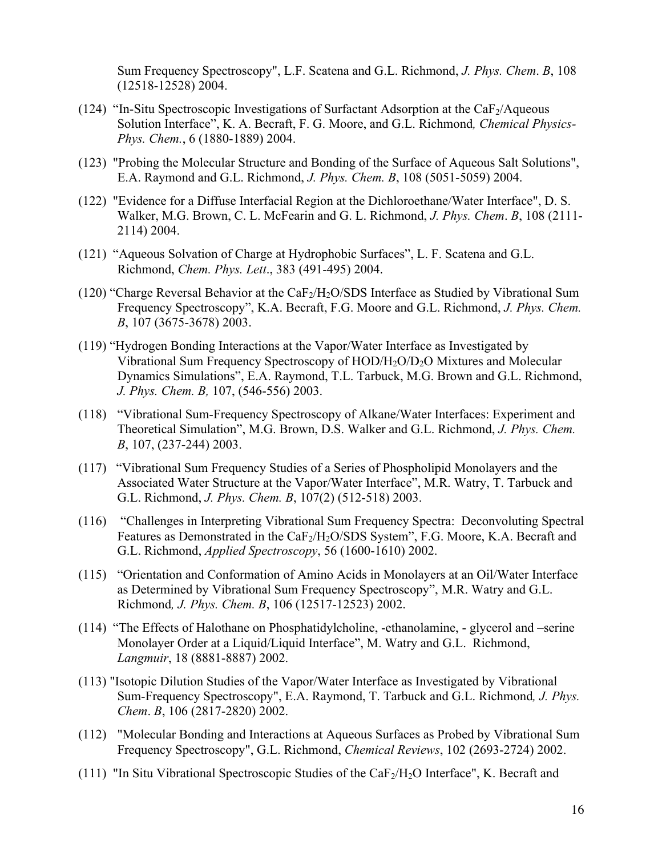Sum Frequency Spectroscopy", L.F. Scatena and G.L. Richmond, *J. Phys. Chem*. *B*, 108 (12518-12528) 2004.

- (124) "In-Situ Spectroscopic Investigations of Surfactant Adsorption at the  $CaF<sub>2</sub>/Aqueous$ Solution Interface", K. A. Becraft, F. G. Moore, and G.L. Richmond*, Chemical Physics-Phys. Chem.*, 6 (1880-1889) 2004.
- (123) "Probing the Molecular Structure and Bonding of the Surface of Aqueous Salt Solutions", E.A. Raymond and G.L. Richmond, *J. Phys. Chem. B*, 108 (5051-5059) 2004.
- (122) "Evidence for a Diffuse Interfacial Region at the Dichloroethane/Water Interface", D. S. Walker, M.G. Brown, C. L. McFearin and G. L. Richmond, *J. Phys. Chem*. *B*, 108 (2111- 2114) 2004.
- (121) "Aqueous Solvation of Charge at Hydrophobic Surfaces", L. F. Scatena and G.L. Richmond, *Chem. Phys. Lett*., 383 (491-495) 2004.
- (120) "Charge Reversal Behavior at the CaF<sub>2</sub>/H<sub>2</sub>O/SDS Interface as Studied by Vibrational Sum Frequency Spectroscopy", K.A. Becraft, F.G. Moore and G.L. Richmond, *J. Phys. Chem. B*, 107 (3675-3678) 2003.
- (119) "Hydrogen Bonding Interactions at the Vapor/Water Interface as Investigated by Vibrational Sum Frequency Spectroscopy of HOD/H2O/D2O Mixtures and Molecular Dynamics Simulations", E.A. Raymond, T.L. Tarbuck, M.G. Brown and G.L. Richmond, *J. Phys. Chem. B,* 107, (546-556) 2003.
- (118) "Vibrational Sum-Frequency Spectroscopy of Alkane/Water Interfaces: Experiment and Theoretical Simulation", M.G. Brown, D.S. Walker and G.L. Richmond, *J. Phys. Chem. B*, 107, (237-244) 2003.
- (117) "Vibrational Sum Frequency Studies of a Series of Phospholipid Monolayers and the Associated Water Structure at the Vapor/Water Interface", M.R. Watry, T. Tarbuck and G.L. Richmond, *J. Phys. Chem. B*, 107(2) (512-518) 2003.
- (116) "Challenges in Interpreting Vibrational Sum Frequency Spectra: Deconvoluting Spectral Features as Demonstrated in the CaF<sub>2</sub>/H<sub>2</sub>O/SDS System", F.G. Moore, K.A. Becraft and G.L. Richmond, *Applied Spectroscopy*, 56 (1600-1610) 2002.
- (115) "Orientation and Conformation of Amino Acids in Monolayers at an Oil/Water Interface as Determined by Vibrational Sum Frequency Spectroscopy", M.R. Watry and G.L. Richmond*, J. Phys. Chem. B*, 106 (12517-12523) 2002.
- (114) "The Effects of Halothane on Phosphatidylcholine, -ethanolamine, glycerol and –serine Monolayer Order at a Liquid/Liquid Interface", M. Watry and G.L. Richmond, *Langmuir*, 18 (8881-8887) 2002.
- (113) "Isotopic Dilution Studies of the Vapor/Water Interface as Investigated by Vibrational Sum-Frequency Spectroscopy", E.A. Raymond, T. Tarbuck and G.L. Richmond*, J. Phys. Chem*. *B*, 106 (2817-2820) 2002.
- (112) "Molecular Bonding and Interactions at Aqueous Surfaces as Probed by Vibrational Sum Frequency Spectroscopy", G.L. Richmond, *Chemical Reviews*, 102 (2693-2724) 2002.
- (111) "In Situ Vibrational Spectroscopic Studies of the CaF $_2$ /H $_2$ O Interface", K. Becraft and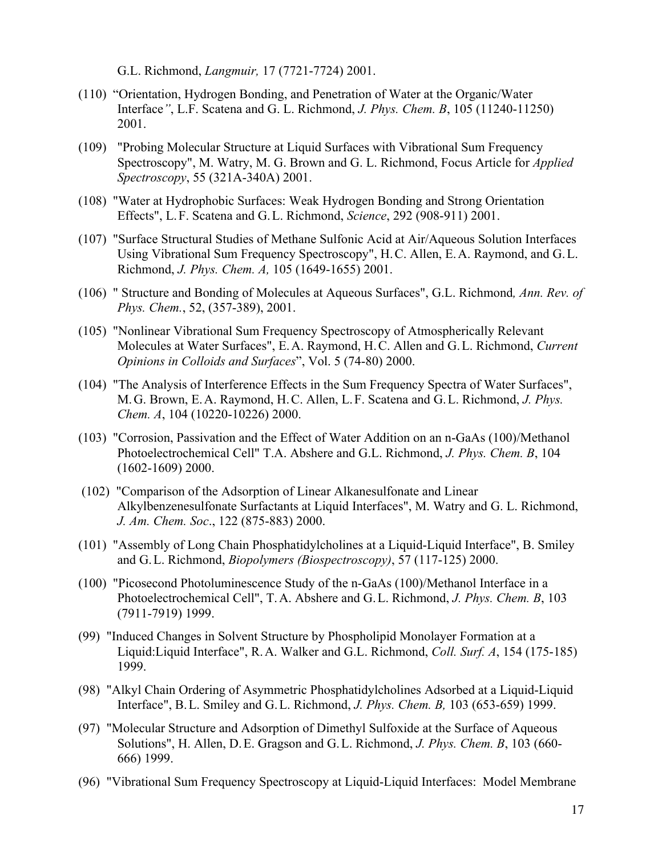G.L. Richmond, *Langmuir,* 17 (7721-7724) 2001.

- (110) "Orientation, Hydrogen Bonding, and Penetration of Water at the Organic/Water Interface*"*, L.F. Scatena and G. L. Richmond, *J. Phys. Chem. B*, 105 (11240-11250) 2001.
- (109) "Probing Molecular Structure at Liquid Surfaces with Vibrational Sum Frequency Spectroscopy", M. Watry, M. G. Brown and G. L. Richmond, Focus Article for *Applied Spectroscopy*, 55 (321A-340A) 2001.
- (108) "Water at Hydrophobic Surfaces: Weak Hydrogen Bonding and Strong Orientation Effects", L.F. Scatena and G.L. Richmond, *Science*, 292 (908-911) 2001.
- (107) "Surface Structural Studies of Methane Sulfonic Acid at Air/Aqueous Solution Interfaces Using Vibrational Sum Frequency Spectroscopy", H.C. Allen, E.A. Raymond, and G.L. Richmond, *J. Phys. Chem. A,* 105 (1649-1655) 2001.
- (106) " Structure and Bonding of Molecules at Aqueous Surfaces", G.L. Richmond*, Ann. Rev. of Phys. Chem.*, 52, (357-389), 2001.
- (105) "Nonlinear Vibrational Sum Frequency Spectroscopy of Atmospherically Relevant Molecules at Water Surfaces", E.A. Raymond, H.C. Allen and G.L. Richmond, *Current Opinions in Colloids and Surfaces*", Vol. 5 (74-80) 2000.
- (104) "The Analysis of Interference Effects in the Sum Frequency Spectra of Water Surfaces", M.G. Brown, E.A. Raymond, H.C. Allen, L.F. Scatena and G.L. Richmond, *J. Phys. Chem. A*, 104 (10220-10226) 2000.
- (103) "Corrosion, Passivation and the Effect of Water Addition on an n-GaAs (100)/Methanol Photoelectrochemical Cell" T.A. Abshere and G.L. Richmond, *J. Phys. Chem. B*, 104 (1602-1609) 2000.
- (102) "Comparison of the Adsorption of Linear Alkanesulfonate and Linear Alkylbenzenesulfonate Surfactants at Liquid Interfaces", M. Watry and G. L. Richmond, *J. Am. Chem. Soc*., 122 (875-883) 2000.
- (101) "Assembly of Long Chain Phosphatidylcholines at a Liquid-Liquid Interface", B. Smiley and G.L. Richmond, *Biopolymers (Biospectroscopy)*, 57 (117-125) 2000.
- (100) "Picosecond Photoluminescence Study of the n-GaAs (100)/Methanol Interface in a Photoelectrochemical Cell", T.A. Abshere and G.L. Richmond, *J. Phys. Chem. B*, 103 (7911-7919) 1999.
- (99) "Induced Changes in Solvent Structure by Phospholipid Monolayer Formation at a Liquid:Liquid Interface", R.A. Walker and G.L. Richmond, *Coll. Surf. A*, 154 (175-185) 1999.
- (98) "Alkyl Chain Ordering of Asymmetric Phosphatidylcholines Adsorbed at a Liquid-Liquid Interface", B.L. Smiley and G.L. Richmond, *J. Phys. Chem. B,* 103 (653-659) 1999.
- (97) "Molecular Structure and Adsorption of Dimethyl Sulfoxide at the Surface of Aqueous Solutions", H. Allen, D.E. Gragson and G.L. Richmond, *J. Phys. Chem. B*, 103 (660- 666) 1999.
- (96) "Vibrational Sum Frequency Spectroscopy at Liquid-Liquid Interfaces: Model Membrane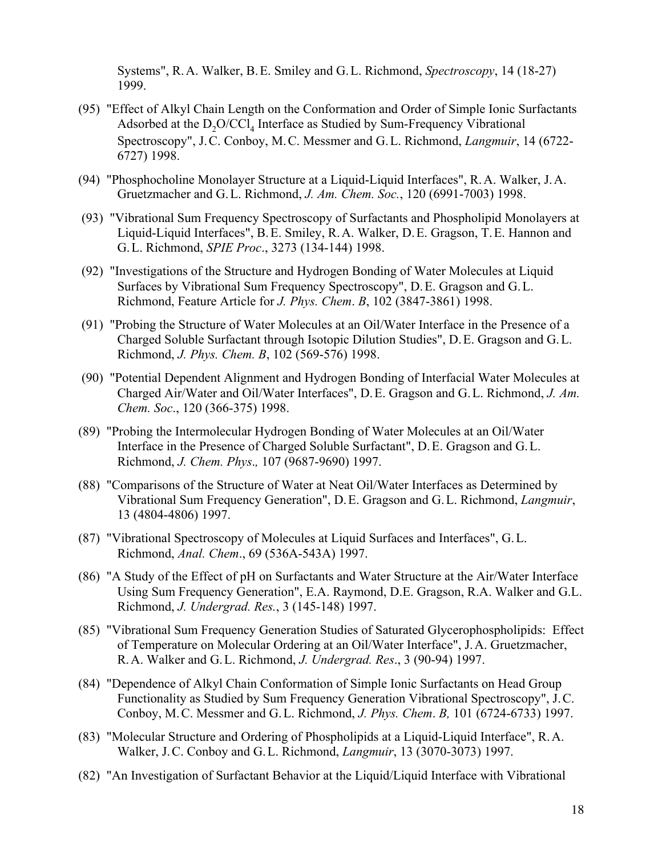Systems", R.A. Walker, B.E. Smiley and G.L. Richmond, *Spectroscopy*, 14 (18-27) 1999.

- (95) "Effect of Alkyl Chain Length on the Conformation and Order of Simple Ionic Surfactants Adsorbed at the  $D_2O/CCl_4$  Interface as Studied by Sum-Frequency Vibrational Spectroscopy", J.C. Conboy, M.C. Messmer and G.L. Richmond, *Langmuir*, 14 (6722- 6727) 1998.
- (94) "Phosphocholine Monolayer Structure at a Liquid-Liquid Interfaces", R.A. Walker, J.A. Gruetzmacher and G.L. Richmond, *J. Am. Chem. Soc.*, 120 (6991-7003) 1998.
- (93) "Vibrational Sum Frequency Spectroscopy of Surfactants and Phospholipid Monolayers at Liquid-Liquid Interfaces", B.E. Smiley, R.A. Walker, D.E. Gragson, T.E. Hannon and G.L. Richmond, *SPIE Proc*., 3273 (134-144) 1998.
- (92) "Investigations of the Structure and Hydrogen Bonding of Water Molecules at Liquid Surfaces by Vibrational Sum Frequency Spectroscopy", D.E. Gragson and G.L. Richmond, Feature Article for *J. Phys. Chem*. *B*, 102 (3847-3861) 1998.
- (91) "Probing the Structure of Water Molecules at an Oil/Water Interface in the Presence of a Charged Soluble Surfactant through Isotopic Dilution Studies", D.E. Gragson and G.L. Richmond, *J. Phys. Chem. B*, 102 (569-576) 1998.
- (90) "Potential Dependent Alignment and Hydrogen Bonding of Interfacial Water Molecules at Charged Air/Water and Oil/Water Interfaces", D.E. Gragson and G.L. Richmond, *J. Am. Chem. Soc*., 120 (366-375) 1998.
- (89) "Probing the Intermolecular Hydrogen Bonding of Water Molecules at an Oil/Water Interface in the Presence of Charged Soluble Surfactant", D.E. Gragson and G.L. Richmond, *J. Chem. Phys*.*,* 107 (9687-9690) 1997.
- (88) "Comparisons of the Structure of Water at Neat Oil/Water Interfaces as Determined by Vibrational Sum Frequency Generation", D.E. Gragson and G.L. Richmond, *Langmuir*, 13 (4804-4806) 1997.
- (87) "Vibrational Spectroscopy of Molecules at Liquid Surfaces and Interfaces", G.L. Richmond, *Anal. Chem*., 69 (536A-543A) 1997.
- (86) "A Study of the Effect of pH on Surfactants and Water Structure at the Air/Water Interface Using Sum Frequency Generation", E.A. Raymond, D.E. Gragson, R.A. Walker and G.L. Richmond, *J. Undergrad. Res.*, 3 (145-148) 1997.
- (85) "Vibrational Sum Frequency Generation Studies of Saturated Glycerophospholipids: Effect of Temperature on Molecular Ordering at an Oil/Water Interface", J.A. Gruetzmacher, R.A. Walker and G.L. Richmond, *J. Undergrad. Res*., 3 (90-94) 1997.
- (84) "Dependence of Alkyl Chain Conformation of Simple Ionic Surfactants on Head Group Functionality as Studied by Sum Frequency Generation Vibrational Spectroscopy", J.C. Conboy, M.C. Messmer and G.L. Richmond, *J. Phys. Chem*. *B,* 101 (6724-6733) 1997.
- (83) "Molecular Structure and Ordering of Phospholipids at a Liquid-Liquid Interface", R.A. Walker, J.C. Conboy and G.L. Richmond, *Langmuir*, 13 (3070-3073) 1997.
- (82) "An Investigation of Surfactant Behavior at the Liquid/Liquid Interface with Vibrational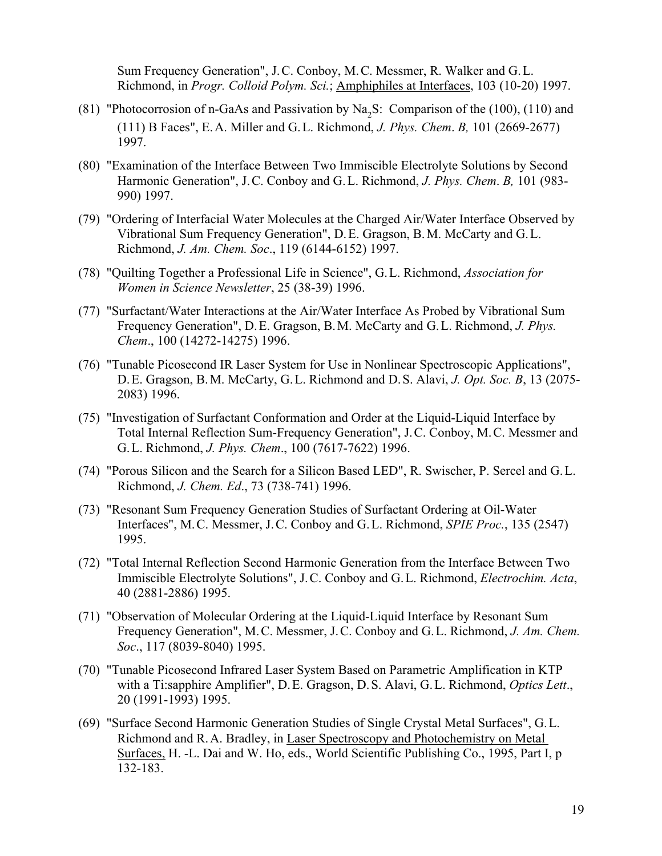Sum Frequency Generation", J.C. Conboy, M.C. Messmer, R. Walker and G.L. Richmond, in *Progr. Colloid Polym. Sci.*; Amphiphiles at Interfaces, 103 (10-20) 1997.

- (81) "Photocorrosion of n-GaAs and Passivation by  $Na<sub>2</sub>S$ : Comparison of the (100), (110) and (111) B Faces", E.A. Miller and G.L. Richmond, *J. Phys. Chem*. *B,* 101 (2669-2677) 1997.
- (80) "Examination of the Interface Between Two Immiscible Electrolyte Solutions by Second Harmonic Generation", J.C. Conboy and G.L. Richmond, *J. Phys. Chem*. *B,* 101 (983- 990) 1997.
- (79) "Ordering of Interfacial Water Molecules at the Charged Air/Water Interface Observed by Vibrational Sum Frequency Generation", D.E. Gragson, B.M. McCarty and G.L. Richmond, *J. Am. Chem. Soc*., 119 (6144-6152) 1997.
- (78) "Quilting Together a Professional Life in Science", G.L. Richmond, *Association for Women in Science Newsletter*, 25 (38-39) 1996.
- (77) "Surfactant/Water Interactions at the Air/Water Interface As Probed by Vibrational Sum Frequency Generation", D.E. Gragson, B.M. McCarty and G.L. Richmond, *J. Phys. Chem*., 100 (14272-14275) 1996.
- (76) "Tunable Picosecond IR Laser System for Use in Nonlinear Spectroscopic Applications", D.E. Gragson, B.M. McCarty, G.L. Richmond and D.S. Alavi, *J. Opt. Soc. B*, 13 (2075- 2083) 1996.
- (75) "Investigation of Surfactant Conformation and Order at the Liquid-Liquid Interface by Total Internal Reflection Sum-Frequency Generation", J.C. Conboy, M.C. Messmer and G.L. Richmond, *J. Phys. Chem*., 100 (7617-7622) 1996.
- (74) "Porous Silicon and the Search for a Silicon Based LED", R. Swischer, P. Sercel and G.L. Richmond, *J. Chem. Ed*., 73 (738-741) 1996.
- (73) "Resonant Sum Frequency Generation Studies of Surfactant Ordering at Oil-Water Interfaces", M.C. Messmer, J.C. Conboy and G.L. Richmond, *SPIE Proc.*, 135 (2547) 1995.
- (72) "Total Internal Reflection Second Harmonic Generation from the Interface Between Two Immiscible Electrolyte Solutions", J.C. Conboy and G.L. Richmond, *Electrochim. Acta*, 40 (2881-2886) 1995.
- (71) "Observation of Molecular Ordering at the Liquid-Liquid Interface by Resonant Sum Frequency Generation", M.C. Messmer, J.C. Conboy and G.L. Richmond, *J. Am. Chem. Soc*., 117 (8039-8040) 1995.
- (70) "Tunable Picosecond Infrared Laser System Based on Parametric Amplification in KTP with a Ti:sapphire Amplifier", D.E. Gragson, D.S. Alavi, G.L. Richmond, *Optics Lett*., 20 (1991-1993) 1995.
- (69) "Surface Second Harmonic Generation Studies of Single Crystal Metal Surfaces", G.L. Richmond and R.A. Bradley, in Laser Spectroscopy and Photochemistry on Metal Surfaces, H. -L. Dai and W. Ho, eds., World Scientific Publishing Co., 1995, Part I, p 132-183.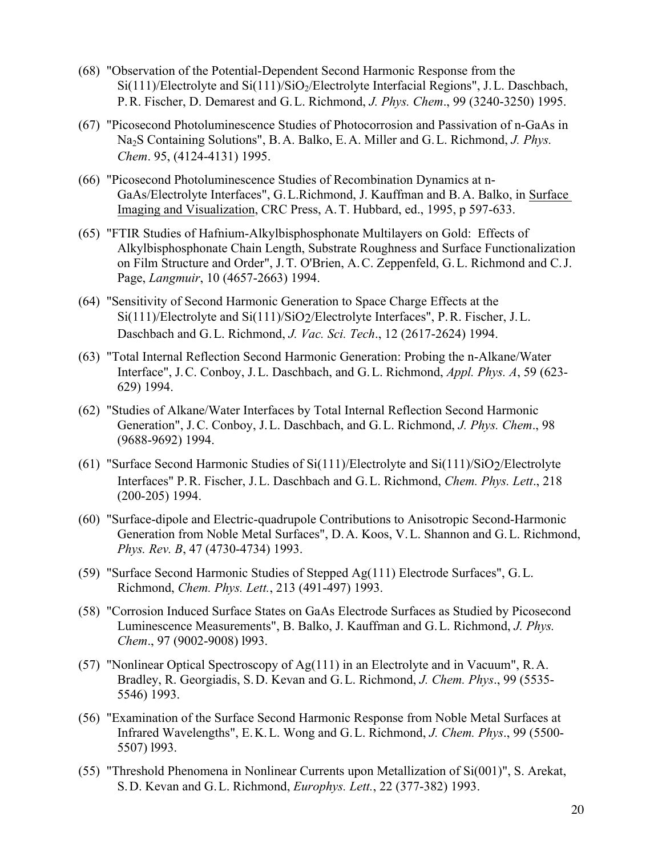- (68) "Observation of the Potential-Dependent Second Harmonic Response from the  $Si(111)/Electrolyte$  and  $Si(111)/SiO<sub>2</sub>/Electrolyte Interfacial Regions", J. L. Dasehbach,$ P.R. Fischer, D. Demarest and G.L. Richmond, *J. Phys. Chem*., 99 (3240-3250) 1995.
- (67) "Picosecond Photoluminescence Studies of Photocorrosion and Passivation of n-GaAs in Na2S Containing Solutions", B.A. Balko, E.A. Miller and G.L. Richmond, *J. Phys. Chem*. 95, (4124-4131) 1995.
- (66) "Picosecond Photoluminescence Studies of Recombination Dynamics at n-GaAs/Electrolyte Interfaces", G.L.Richmond, J. Kauffman and B.A. Balko, in Surface Imaging and Visualization, CRC Press, A.T. Hubbard, ed., 1995, p 597-633.
- (65) "FTIR Studies of Hafnium-Alkylbisphosphonate Multilayers on Gold: Effects of Alkylbisphosphonate Chain Length, Substrate Roughness and Surface Functionalization on Film Structure and Order", J.T. O'Brien, A.C. Zeppenfeld, G.L. Richmond and C.J. Page, *Langmuir*, 10 (4657-2663) 1994.
- (64) "Sensitivity of Second Harmonic Generation to Space Charge Effects at the Si(111)/Electrolyte and Si(111)/SiO2/Electrolyte Interfaces", P.R. Fischer, J.L. Daschbach and G.L. Richmond, *J. Vac. Sci. Tech*., 12 (2617-2624) 1994.
- (63) "Total Internal Reflection Second Harmonic Generation: Probing the n-Alkane/Water Interface", J.C. Conboy, J.L. Daschbach, and G.L. Richmond, *Appl. Phys. A*, 59 (623- 629) 1994.
- (62) "Studies of Alkane/Water Interfaces by Total Internal Reflection Second Harmonic Generation", J.C. Conboy, J.L. Daschbach, and G.L. Richmond, *J. Phys. Chem*., 98 (9688-9692) 1994.
- (61) "Surface Second Harmonic Studies of Si(111)/Electrolyte and Si(111)/SiO2/Electrolyte Interfaces" P.R. Fischer, J.L. Daschbach and G.L. Richmond, *Chem. Phys. Lett*., 218 (200-205) 1994.
- (60) "Surface-dipole and Electric-quadrupole Contributions to Anisotropic Second-Harmonic Generation from Noble Metal Surfaces", D.A. Koos, V.L. Shannon and G.L. Richmond, *Phys. Rev. B*, 47 (4730-4734) 1993.
- (59) "Surface Second Harmonic Studies of Stepped Ag(111) Electrode Surfaces", G.L. Richmond, *Chem. Phys. Lett.*, 213 (491-497) 1993.
- (58) "Corrosion Induced Surface States on GaAs Electrode Surfaces as Studied by Picosecond Luminescence Measurements", B. Balko, J. Kauffman and G.L. Richmond, *J. Phys. Chem*., 97 (9002-9008) l993.
- (57) "Nonlinear Optical Spectroscopy of Ag(111) in an Electrolyte and in Vacuum", R.A. Bradley, R. Georgiadis, S.D. Kevan and G.L. Richmond, *J. Chem. Phys*., 99 (5535- 5546) 1993.
- (56) "Examination of the Surface Second Harmonic Response from Noble Metal Surfaces at Infrared Wavelengths", E.K.L. Wong and G.L. Richmond, *J. Chem. Phys*., 99 (5500- 5507) l993.
- (55) "Threshold Phenomena in Nonlinear Currents upon Metallization of Si(001)", S. Arekat, S.D. Kevan and G.L. Richmond, *Europhys. Lett.*, 22 (377-382) 1993.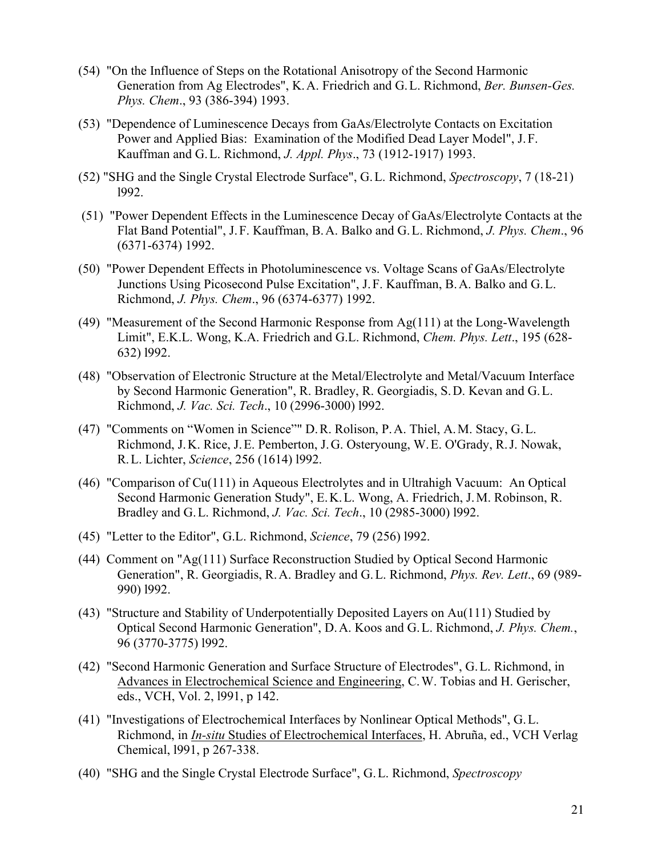- (54) "On the Influence of Steps on the Rotational Anisotropy of the Second Harmonic Generation from Ag Electrodes", K.A. Friedrich and G.L. Richmond, *Ber. Bunsen-Ges. Phys. Chem*., 93 (386-394) 1993.
- (53) "Dependence of Luminescence Decays from GaAs/Electrolyte Contacts on Excitation Power and Applied Bias: Examination of the Modified Dead Layer Model", J.F. Kauffman and G.L. Richmond, *J. Appl. Phys*., 73 (1912-1917) 1993.
- (52) "SHG and the Single Crystal Electrode Surface", G.L. Richmond, *Spectroscopy*, 7 (18-21) l992.
- (51) "Power Dependent Effects in the Luminescence Decay of GaAs/Electrolyte Contacts at the Flat Band Potential", J.F. Kauffman, B.A. Balko and G.L. Richmond, *J. Phys. Chem*., 96 (6371-6374) 1992.
- (50) "Power Dependent Effects in Photoluminescence vs. Voltage Scans of GaAs/Electrolyte Junctions Using Picosecond Pulse Excitation", J.F. Kauffman, B.A. Balko and G.L. Richmond, *J. Phys. Chem*., 96 (6374-6377) 1992.
- (49) "Measurement of the Second Harmonic Response from Ag(111) at the Long-Wavelength Limit", E.K.L. Wong, K.A. Friedrich and G.L. Richmond, *Chem. Phys. Lett*., 195 (628- 632) l992.
- (48) "Observation of Electronic Structure at the Metal/Electrolyte and Metal/Vacuum Interface by Second Harmonic Generation", R. Bradley, R. Georgiadis, S.D. Kevan and G.L. Richmond, *J. Vac. Sci. Tech*., 10 (2996-3000) l992.
- (47) "Comments on "Women in Science"" D.R. Rolison, P.A. Thiel, A.M. Stacy, G.L. Richmond, J.K. Rice, J.E. Pemberton, J.G. Osteryoung, W.E. O'Grady, R.J. Nowak, R.L. Lichter, *Science*, 256 (1614) l992.
- (46) "Comparison of Cu(111) in Aqueous Electrolytes and in Ultrahigh Vacuum: An Optical Second Harmonic Generation Study", E.K.L. Wong, A. Friedrich, J.M. Robinson, R. Bradley and G.L. Richmond, *J. Vac. Sci. Tech*., 10 (2985-3000) l992.
- (45) "Letter to the Editor", G.L. Richmond, *Science*, 79 (256) l992.
- (44) Comment on "Ag(111) Surface Reconstruction Studied by Optical Second Harmonic Generation", R. Georgiadis, R.A. Bradley and G.L. Richmond, *Phys. Rev. Lett*., 69 (989- 990) l992.
- (43) "Structure and Stability of Underpotentially Deposited Layers on Au(111) Studied by Optical Second Harmonic Generation", D.A. Koos and G.L. Richmond, *J. Phys. Chem.*, 96 (3770-3775) l992.
- (42) "Second Harmonic Generation and Surface Structure of Electrodes", G.L. Richmond, in Advances in Electrochemical Science and Engineering, C.W. Tobias and H. Gerischer, eds., VCH, Vol. 2, l991, p 142.
- (41) "Investigations of Electrochemical Interfaces by Nonlinear Optical Methods", G.L. Richmond, in *In-situ* Studies of Electrochemical Interfaces, H. Abruña, ed., VCH Verlag Chemical, l991, p 267-338.
- (40) "SHG and the Single Crystal Electrode Surface", G.L. Richmond, *Spectroscopy*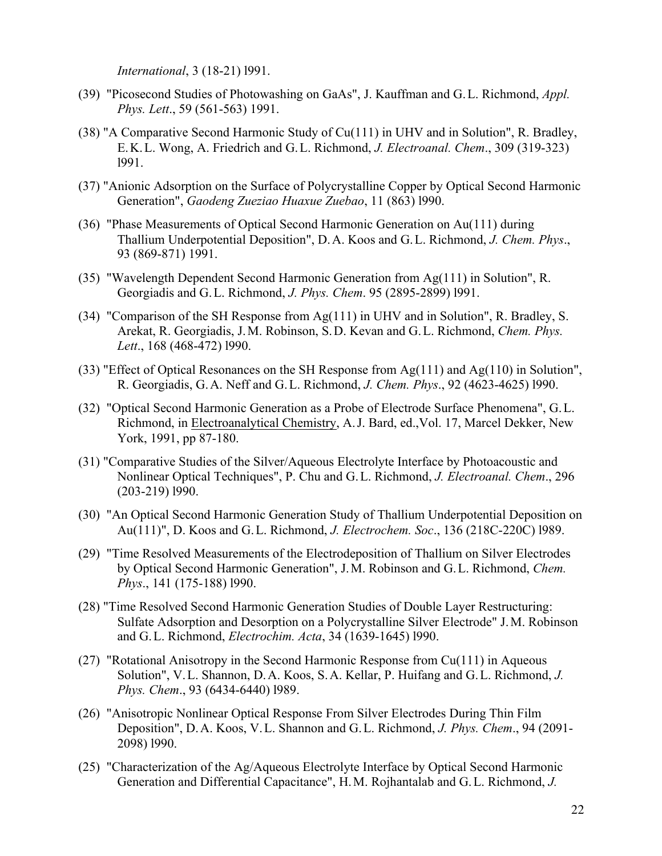*International*, 3 (18-21) l991.

- (39) "Picosecond Studies of Photowashing on GaAs", J. Kauffman and G.L. Richmond, *Appl. Phys. Lett*., 59 (561-563) 1991.
- (38) "A Comparative Second Harmonic Study of Cu(111) in UHV and in Solution", R. Bradley, E.K.L. Wong, A. Friedrich and G.L. Richmond, *J. Electroanal. Chem*., 309 (319-323) l991.
- (37) "Anionic Adsorption on the Surface of Polycrystalline Copper by Optical Second Harmonic Generation", *Gaodeng Zueziao Huaxue Zuebao*, 11 (863) l990.
- (36) "Phase Measurements of Optical Second Harmonic Generation on Au(111) during Thallium Underpotential Deposition", D.A. Koos and G.L. Richmond, *J. Chem. Phys*., 93 (869-871) 1991.
- (35) "Wavelength Dependent Second Harmonic Generation from Ag(111) in Solution", R. Georgiadis and G.L. Richmond, *J. Phys. Chem*. 95 (2895-2899) l991.
- (34) "Comparison of the SH Response from Ag(111) in UHV and in Solution", R. Bradley, S. Arekat, R. Georgiadis, J.M. Robinson, S.D. Kevan and G.L. Richmond, *Chem. Phys. Lett*., 168 (468-472) l990.
- (33) "Effect of Optical Resonances on the SH Response from Ag(111) and Ag(110) in Solution", R. Georgiadis, G.A. Neff and G.L. Richmond, *J. Chem. Phys*., 92 (4623-4625) l990.
- (32) "Optical Second Harmonic Generation as a Probe of Electrode Surface Phenomena", G.L. Richmond, in Electroanalytical Chemistry, A.J. Bard, ed.,Vol. 17, Marcel Dekker, New York, 1991, pp 87-180.
- (31) "Comparative Studies of the Silver/Aqueous Electrolyte Interface by Photoacoustic and Nonlinear Optical Techniques", P. Chu and G.L. Richmond, *J. Electroanal. Chem*., 296 (203-219) l990.
- (30) "An Optical Second Harmonic Generation Study of Thallium Underpotential Deposition on Au(111)", D. Koos and G.L. Richmond, *J. Electrochem. Soc*., 136 (218C-220C) l989.
- (29) "Time Resolved Measurements of the Electrodeposition of Thallium on Silver Electrodes by Optical Second Harmonic Generation", J.M. Robinson and G.L. Richmond, *Chem. Phys*., 141 (175-188) l990.
- (28) "Time Resolved Second Harmonic Generation Studies of Double Layer Restructuring: Sulfate Adsorption and Desorption on a Polycrystalline Silver Electrode" J.M. Robinson and G.L. Richmond, *Electrochim. Acta*, 34 (1639-1645) l990.
- (27) "Rotational Anisotropy in the Second Harmonic Response from Cu(111) in Aqueous Solution", V.L. Shannon, D.A. Koos, S.A. Kellar, P. Huifang and G.L. Richmond, *J. Phys. Chem*., 93 (6434-6440) l989.
- (26) "Anisotropic Nonlinear Optical Response From Silver Electrodes During Thin Film Deposition", D.A. Koos, V.L. Shannon and G.L. Richmond, *J. Phys. Chem*., 94 (2091- 2098) l990.
- (25) "Characterization of the Ag/Aqueous Electrolyte Interface by Optical Second Harmonic Generation and Differential Capacitance", H.M. Rojhantalab and G.L. Richmond, *J.*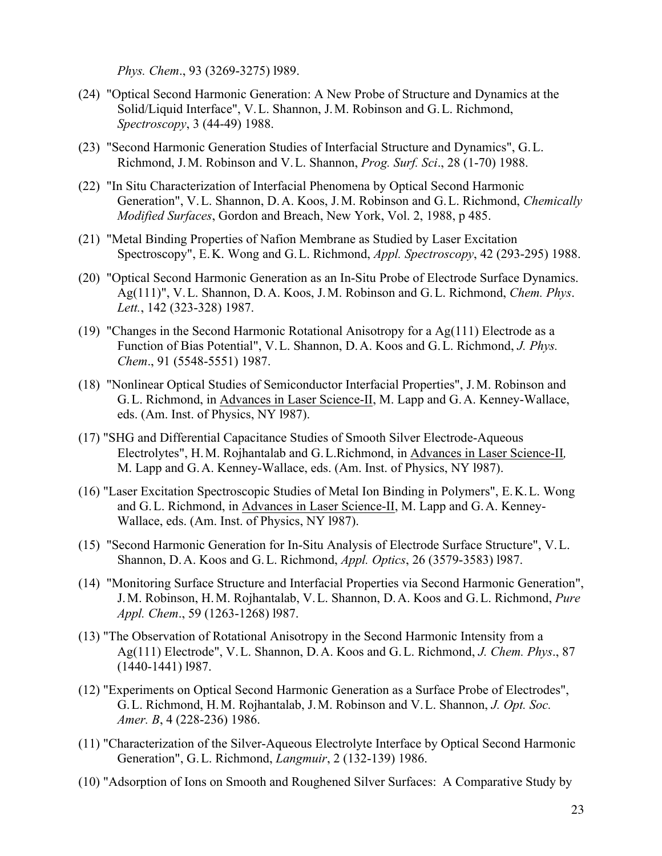*Phys. Chem*., 93 (3269-3275) l989.

- (24) "Optical Second Harmonic Generation: A New Probe of Structure and Dynamics at the Solid/Liquid Interface", V.L. Shannon, J.M. Robinson and G.L. Richmond, *Spectroscopy*, 3 (44-49) 1988.
- (23) "Second Harmonic Generation Studies of Interfacial Structure and Dynamics", G.L. Richmond, J.M. Robinson and V.L. Shannon, *Prog. Surf. Sci*., 28 (1-70) 1988.
- (22) "In Situ Characterization of Interfacial Phenomena by Optical Second Harmonic Generation", V.L. Shannon, D.A. Koos, J.M. Robinson and G.L. Richmond, *Chemically Modified Surfaces*, Gordon and Breach, New York, Vol. 2, 1988, p 485.
- (21) "Metal Binding Properties of Nafion Membrane as Studied by Laser Excitation Spectroscopy", E.K. Wong and G.L. Richmond, *Appl. Spectroscopy*, 42 (293-295) 1988.
- (20) "Optical Second Harmonic Generation as an In-Situ Probe of Electrode Surface Dynamics. Ag(111)", V.L. Shannon, D.A. Koos, J.M. Robinson and G.L. Richmond, *Chem. Phys*. *Lett.*, 142 (323-328) 1987.
- (19) "Changes in the Second Harmonic Rotational Anisotropy for a Ag(111) Electrode as a Function of Bias Potential", V.L. Shannon, D.A. Koos and G.L. Richmond, *J. Phys. Chem*., 91 (5548-5551) 1987.
- (18) "Nonlinear Optical Studies of Semiconductor Interfacial Properties", J.M. Robinson and G.L. Richmond, in Advances in Laser Science-II, M. Lapp and G.A. Kenney-Wallace, eds. (Am. Inst. of Physics, NY l987).
- (17) "SHG and Differential Capacitance Studies of Smooth Silver Electrode-Aqueous Electrolytes", H.M. Rojhantalab and G.L.Richmond, in Advances in Laser Science-II*,* M. Lapp and G.A. Kenney-Wallace, eds. (Am. Inst. of Physics, NY l987).
- (16) "Laser Excitation Spectroscopic Studies of Metal Ion Binding in Polymers", E.K.L. Wong and G.L. Richmond, in Advances in Laser Science-II, M. Lapp and G.A. Kenney-Wallace, eds. (Am. Inst. of Physics, NY l987).
- (15) "Second Harmonic Generation for In-Situ Analysis of Electrode Surface Structure", V.L. Shannon, D.A. Koos and G.L. Richmond, *Appl. Optics*, 26 (3579-3583) l987.
- (14) "Monitoring Surface Structure and Interfacial Properties via Second Harmonic Generation", J.M. Robinson, H.M. Rojhantalab, V.L. Shannon, D.A. Koos and G.L. Richmond, *Pure Appl. Chem*., 59 (1263-1268) l987.
- (13) "The Observation of Rotational Anisotropy in the Second Harmonic Intensity from a Ag(111) Electrode", V.L. Shannon, D.A. Koos and G.L. Richmond, *J. Chem. Phys*., 87 (1440-1441) l987.
- (12) "Experiments on Optical Second Harmonic Generation as a Surface Probe of Electrodes", G.L. Richmond, H.M. Rojhantalab, J.M. Robinson and V.L. Shannon, *J. Opt. Soc. Amer. B*, 4 (228-236) 1986.
- (11) "Characterization of the Silver-Aqueous Electrolyte Interface by Optical Second Harmonic Generation", G.L. Richmond, *Langmuir*, 2 (132-139) 1986.
- (10) "Adsorption of Ions on Smooth and Roughened Silver Surfaces: A Comparative Study by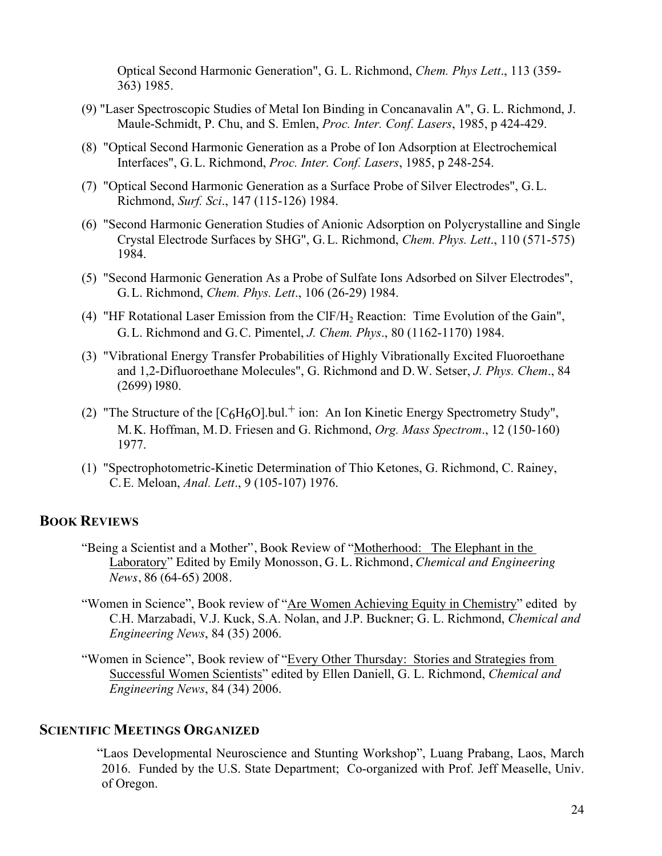Optical Second Harmonic Generation", G. L. Richmond, *Chem. Phys Lett*., 113 (359- 363) 1985.

- (9) "Laser Spectroscopic Studies of Metal Ion Binding in Concanavalin A", G. L. Richmond, J. Maule-Schmidt, P. Chu, and S. Emlen, *Proc. Inter. Conf. Lasers*, 1985, p 424-429.
- (8) "Optical Second Harmonic Generation as a Probe of Ion Adsorption at Electrochemical Interfaces", G.L. Richmond, *Proc. Inter. Conf. Lasers*, 1985, p 248-254.
- (7) "Optical Second Harmonic Generation as a Surface Probe of Silver Electrodes", G.L. Richmond, *Surf. Sci*., 147 (115-126) 1984.
- (6) "Second Harmonic Generation Studies of Anionic Adsorption on Polycrystalline and Single Crystal Electrode Surfaces by SHG", G.L. Richmond, *Chem. Phys. Lett*., 110 (571-575) 1984.
- (5) "Second Harmonic Generation As a Probe of Sulfate Ions Adsorbed on Silver Electrodes", G.L. Richmond, *Chem. Phys. Lett*., 106 (26-29) 1984.
- (4) "HF Rotational Laser Emission from the ClF/H2 Reaction: Time Evolution of the Gain", G.L. Richmond and G.C. Pimentel, *J. Chem. Phys*., 80 (1162-1170) 1984.
- (3) "Vibrational Energy Transfer Probabilities of Highly Vibrationally Excited Fluoroethane and 1,2-Difluoroethane Molecules", G. Richmond and D.W. Setser, *J. Phys. Chem*., 84 (2699) l980.
- (2) "The Structure of the  $[C<sub>6</sub>H<sub>6</sub>O]$ .bul.<sup>+</sup> ion: An Ion Kinetic Energy Spectrometry Study", M.K. Hoffman, M.D. Friesen and G. Richmond, *Org. Mass Spectrom*., 12 (150-160) 1977.
- (1) "Spectrophotometric-Kinetic Determination of Thio Ketones, G. Richmond, C. Rainey, C.E. Meloan, *Anal. Lett*., 9 (105-107) 1976.

# **BOOK REVIEWS**

- "Being a Scientist and a Mother", Book Review of "Motherhood: The Elephant in the Laboratory" Edited by Emily Monosson, G. L. Richmond, *Chemical and Engineering News*, 86 (64-65) 2008.
- "Women in Science", Book review of "Are Women Achieving Equity in Chemistry" edited by C.H. Marzabadi, V.J. Kuck, S.A. Nolan, and J.P. Buckner; G. L. Richmond, *Chemical and Engineering News*, 84 (35) 2006.
- "Women in Science", Book review of "Every Other Thursday: Stories and Strategies from Successful Women Scientists" edited by Ellen Daniell, G. L. Richmond, *Chemical and Engineering News*, 84 (34) 2006.

# **SCIENTIFIC MEETINGS ORGANIZED**

"Laos Developmental Neuroscience and Stunting Workshop", Luang Prabang, Laos, March 2016. Funded by the U.S. State Department; Co-organized with Prof. Jeff Measelle, Univ. of Oregon.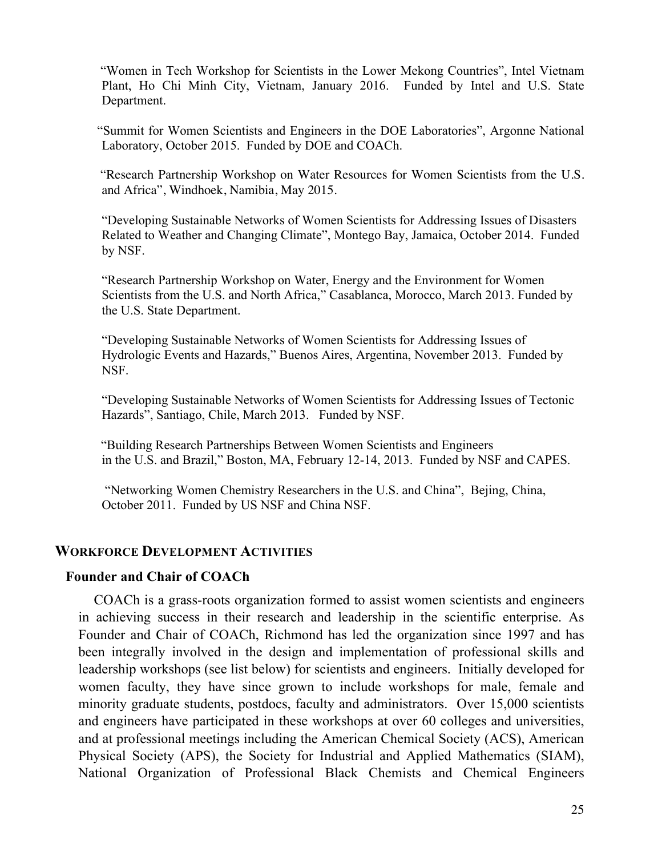"Women in Tech Workshop for Scientists in the Lower Mekong Countries", Intel Vietnam Plant, Ho Chi Minh City, Vietnam, January 2016. Funded by Intel and U.S. State Department.

 "Summit for Women Scientists and Engineers in the DOE Laboratories", Argonne National Laboratory, October 2015. Funded by DOE and COACh.

 "Research Partnership Workshop on Water Resources for Women Scientists from the U.S. and Africa", Windhoek, Namibia, May 2015.

"Developing Sustainable Networks of Women Scientists for Addressing Issues of Disasters Related to Weather and Changing Climate", Montego Bay, Jamaica, October 2014. Funded by NSF.

"Research Partnership Workshop on Water, Energy and the Environment for Women Scientists from the U.S. and North Africa," Casablanca, Morocco, March 2013. Funded by the U.S. State Department.

"Developing Sustainable Networks of Women Scientists for Addressing Issues of Hydrologic Events and Hazards," Buenos Aires, Argentina, November 2013. Funded by NSF.

"Developing Sustainable Networks of Women Scientists for Addressing Issues of Tectonic Hazards", Santiago, Chile, March 2013. Funded by NSF.

 "Building Research Partnerships Between Women Scientists and Engineers in the U.S. and Brazil," Boston, MA, February 12-14, 2013. Funded by NSF and CAPES.

"Networking Women Chemistry Researchers in the U.S. and China", Bejing, China, October 2011. Funded by US NSF and China NSF.

# **WORKFORCE DEVELOPMENT ACTIVITIES**

# **Founder and Chair of COACh**

COACh is a grass-roots organization formed to assist women scientists and engineers in achieving success in their research and leadership in the scientific enterprise. As Founder and Chair of COACh, Richmond has led the organization since 1997 and has been integrally involved in the design and implementation of professional skills and leadership workshops (see list below) for scientists and engineers. Initially developed for women faculty, they have since grown to include workshops for male, female and minority graduate students, postdocs, faculty and administrators. Over 15,000 scientists and engineers have participated in these workshops at over 60 colleges and universities, and at professional meetings including the American Chemical Society (ACS), American Physical Society (APS), the Society for Industrial and Applied Mathematics (SIAM), National Organization of Professional Black Chemists and Chemical Engineers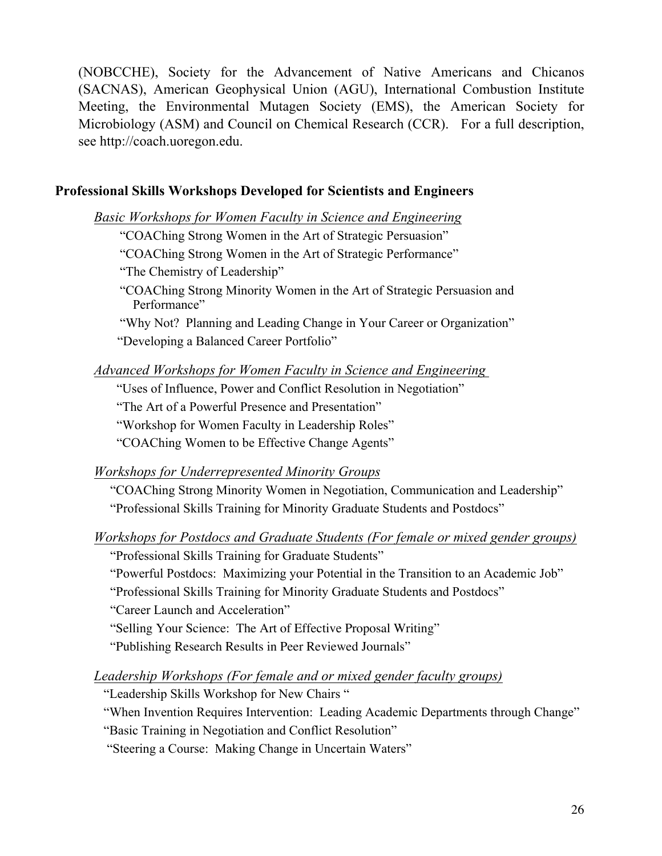(NOBCCHE), Society for the Advancement of Native Americans and Chicanos (SACNAS), American Geophysical Union (AGU), International Combustion Institute Meeting, the Environmental Mutagen Society (EMS), the American Society for Microbiology (ASM) and Council on Chemical Research (CCR). For a full description, see http://coach.uoregon.edu.

# **Professional Skills Workshops Developed for Scientists and Engineers**

*Basic Workshops for Women Faculty in Science and Engineering*

"COAChing Strong Women in the Art of Strategic Persuasion"

"COAChing Strong Women in the Art of Strategic Performance"

"The Chemistry of Leadership"

 "COAChing Strong Minority Women in the Art of Strategic Persuasion and Performance"

 "Why Not? Planning and Leading Change in Your Career or Organization" "Developing a Balanced Career Portfolio"

*Advanced Workshops for Women Faculty in Science and Engineering* 

"Uses of Influence, Power and Conflict Resolution in Negotiation"

"The Art of a Powerful Presence and Presentation"

"Workshop for Women Faculty in Leadership Roles"

"COAChing Women to be Effective Change Agents"

*Workshops for Underrepresented Minority Groups*

 "COAChing Strong Minority Women in Negotiation, Communication and Leadership" "Professional Skills Training for Minority Graduate Students and Postdocs"

*Workshops for Postdocs and Graduate Students (For female or mixed gender groups)*

"Professional Skills Training for Graduate Students"

"Powerful Postdocs: Maximizing your Potential in the Transition to an Academic Job"

"Professional Skills Training for Minority Graduate Students and Postdocs"

"Career Launch and Acceleration"

"Selling Your Science: The Art of Effective Proposal Writing"

"Publishing Research Results in Peer Reviewed Journals"

*Leadership Workshops (For female and or mixed gender faculty groups)*

"Leadership Skills Workshop for New Chairs "

"When Invention Requires Intervention: Leading Academic Departments through Change"

"Basic Training in Negotiation and Conflict Resolution"

"Steering a Course: Making Change in Uncertain Waters"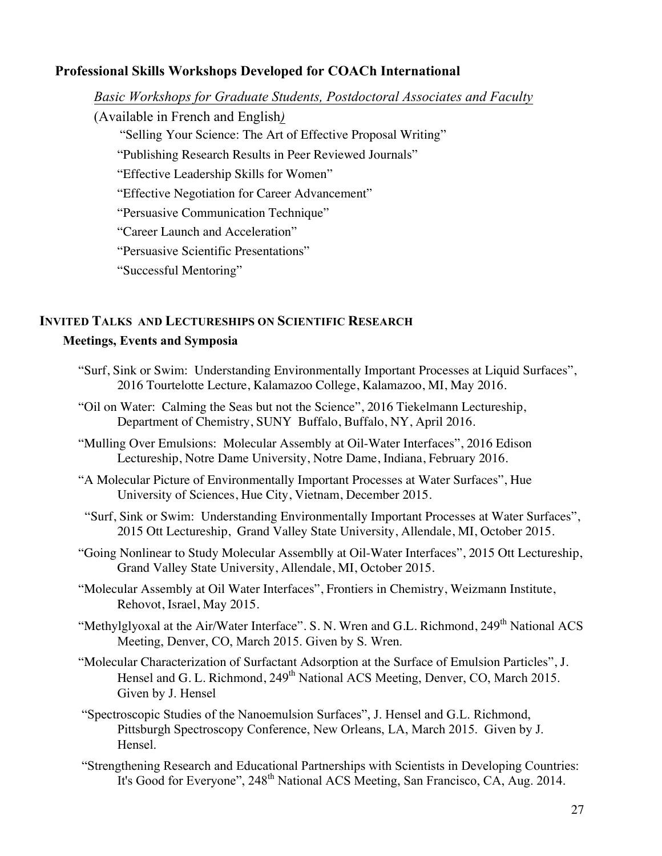# **Professional Skills Workshops Developed for COACh International**

*Basic Workshops for Graduate Students, Postdoctoral Associates and Faculty*

(Available in French and English*)*

"Selling Your Science: The Art of Effective Proposal Writing"

"Publishing Research Results in Peer Reviewed Journals"

"Effective Leadership Skills for Women"

"Effective Negotiation for Career Advancement"

"Persuasive Communication Technique"

"Career Launch and Acceleration"

"Persuasive Scientific Presentations"

"Successful Mentoring"

# **INVITED TALKS AND LECTURESHIPS ON SCIENTIFIC RESEARCH**

# **Meetings, Events and Symposia**

- "Surf, Sink or Swim: Understanding Environmentally Important Processes at Liquid Surfaces", 2016 Tourtelotte Lecture, Kalamazoo College, Kalamazoo, MI, May 2016.
- "Oil on Water: Calming the Seas but not the Science", 2016 Tiekelmann Lectureship, Department of Chemistry, SUNY Buffalo, Buffalo, NY, April 2016.
- "Mulling Over Emulsions: Molecular Assembly at Oil-Water Interfaces", 2016 Edison Lectureship, Notre Dame University, Notre Dame, Indiana, February 2016.
- "A Molecular Picture of Environmentally Important Processes at Water Surfaces", Hue University of Sciences, Hue City, Vietnam, December 2015.
- "Surf, Sink or Swim: Understanding Environmentally Important Processes at Water Surfaces", 2015 Ott Lectureship, Grand Valley State University, Allendale, MI, October 2015.
- "Going Nonlinear to Study Molecular Assemblly at Oil-Water Interfaces", 2015 Ott Lectureship, Grand Valley State University, Allendale, MI, October 2015.
- "Molecular Assembly at Oil Water Interfaces", Frontiers in Chemistry, Weizmann Institute, Rehovot, Israel, May 2015.
- "Methylglyoxal at the Air/Water Interface". S. N. Wren and G.L. Richmond, 249<sup>th</sup> National ACS Meeting, Denver, CO, March 2015. Given by S. Wren.
- "Molecular Characterization of Surfactant Adsorption at the Surface of Emulsion Particles", J. Hensel and G. L. Richmond, 249<sup>th</sup> National ACS Meeting, Denver, CO, March 2015. Given by J. Hensel
- "Spectroscopic Studies of the Nanoemulsion Surfaces", J. Hensel and G.L. Richmond, Pittsburgh Spectroscopy Conference, New Orleans, LA, March 2015. Given by J. Hensel.
- "Strengthening Research and Educational Partnerships with Scientists in Developing Countries: It's Good for Everyone",  $248<sup>th</sup>$  National ACS Meeting, San Francisco, CA, Aug. 2014.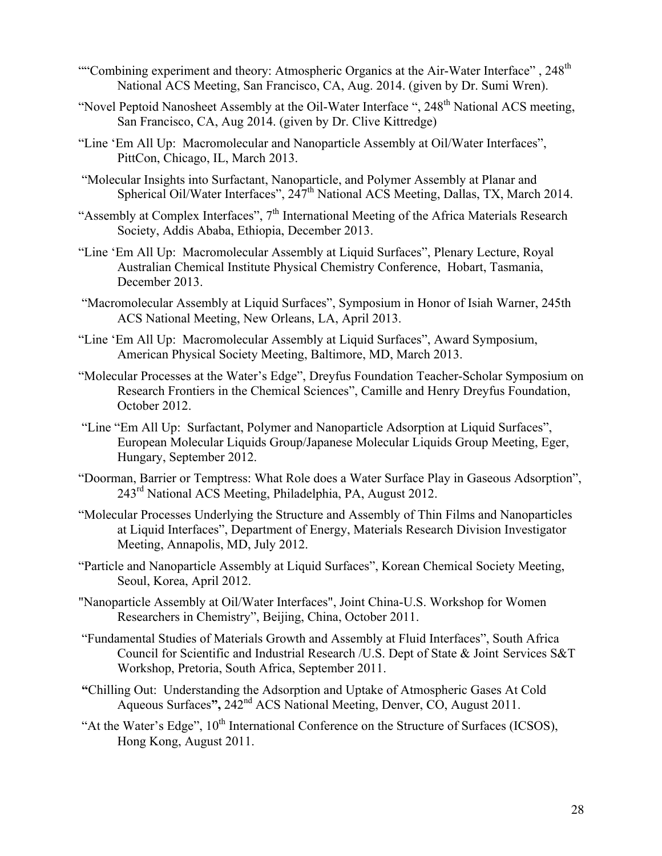- ""Combining experiment and theory: Atmospheric Organics at the Air-Water Interface", 248<sup>th</sup> National ACS Meeting, San Francisco, CA, Aug. 2014. (given by Dr. Sumi Wren).
- "Novel Peptoid Nanosheet Assembly at the Oil-Water Interface ", 248<sup>th</sup> National ACS meeting, San Francisco, CA, Aug 2014. (given by Dr. Clive Kittredge)
- "Line 'Em All Up: Macromolecular and Nanoparticle Assembly at Oil/Water Interfaces", PittCon, Chicago, IL, March 2013.
- "Molecular Insights into Surfactant, Nanoparticle, and Polymer Assembly at Planar and Spherical Oil/Water Interfaces", 247<sup>th</sup> National ACS Meeting, Dallas, TX, March 2014.
- "Assembly at Complex Interfaces",  $7<sup>th</sup>$  International Meeting of the Africa Materials Research Society, Addis Ababa, Ethiopia, December 2013.
- "Line 'Em All Up: Macromolecular Assembly at Liquid Surfaces", Plenary Lecture, Royal Australian Chemical Institute Physical Chemistry Conference, Hobart, Tasmania, December 2013.
- "Macromolecular Assembly at Liquid Surfaces", Symposium in Honor of Isiah Warner, 245th ACS National Meeting, New Orleans, LA, April 2013.
- "Line 'Em All Up: Macromolecular Assembly at Liquid Surfaces", Award Symposium, American Physical Society Meeting, Baltimore, MD, March 2013.
- "Molecular Processes at the Water's Edge", Dreyfus Foundation Teacher-Scholar Symposium on Research Frontiers in the Chemical Sciences", Camille and Henry Dreyfus Foundation, October 2012.
- "Line "Em All Up: Surfactant, Polymer and Nanoparticle Adsorption at Liquid Surfaces", European Molecular Liquids Group/Japanese Molecular Liquids Group Meeting, Eger, Hungary, September 2012.
- "Doorman, Barrier or Temptress: What Role does a Water Surface Play in Gaseous Adsorption", 243<sup>rd</sup> National ACS Meeting, Philadelphia, PA, August 2012.
- "Molecular Processes Underlying the Structure and Assembly of Thin Films and Nanoparticles at Liquid Interfaces", Department of Energy, Materials Research Division Investigator Meeting, Annapolis, MD, July 2012.
- "Particle and Nanoparticle Assembly at Liquid Surfaces", Korean Chemical Society Meeting, Seoul, Korea, April 2012.
- "Nanoparticle Assembly at Oil/Water Interfaces", Joint China-U.S. Workshop for Women Researchers in Chemistry", Beijing, China, October 2011.
- "Fundamental Studies of Materials Growth and Assembly at Fluid Interfaces", South Africa Council for Scientific and Industrial Research /U.S. Dept of State & Joint Services S&T Workshop, Pretoria, South Africa, September 2011.
- **"**Chilling Out: Understanding the Adsorption and Uptake of Atmospheric Gases At Cold Aqueous Surfaces**",** 242nd ACS National Meeting, Denver, CO, August 2011.
- "At the Water's Edge",  $10<sup>th</sup>$  International Conference on the Structure of Surfaces (ICSOS), Hong Kong, August 2011.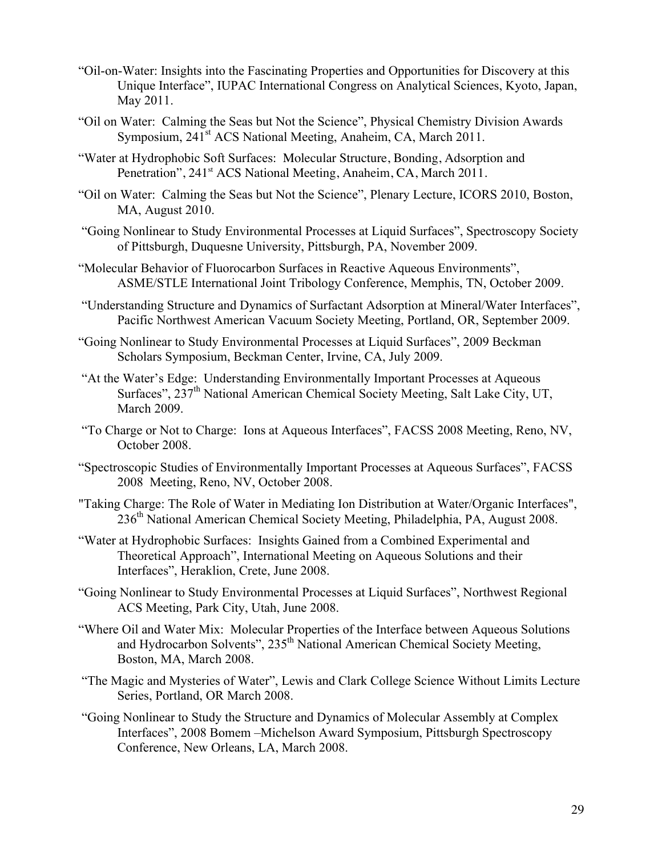- "Oil-on-Water: Insights into the Fascinating Properties and Opportunities for Discovery at this Unique Interface", IUPAC International Congress on Analytical Sciences, Kyoto, Japan, May 2011.
- "Oil on Water: Calming the Seas but Not the Science", Physical Chemistry Division Awards Symposium, 241<sup>st</sup> ACS National Meeting, Anaheim, CA, March 2011.
- "Water at Hydrophobic Soft Surfaces: Molecular Structure, Bonding, Adsorption and Penetration", 241<sup>st</sup> ACS National Meeting, Anaheim, CA, March 2011.
- "Oil on Water: Calming the Seas but Not the Science", Plenary Lecture, ICORS 2010, Boston, MA, August 2010.
- "Going Nonlinear to Study Environmental Processes at Liquid Surfaces", Spectroscopy Society of Pittsburgh, Duquesne University, Pittsburgh, PA, November 2009.
- "Molecular Behavior of Fluorocarbon Surfaces in Reactive Aqueous Environments", ASME/STLE International Joint Tribology Conference, Memphis, TN, October 2009.
- "Understanding Structure and Dynamics of Surfactant Adsorption at Mineral/Water Interfaces", Pacific Northwest American Vacuum Society Meeting, Portland, OR, September 2009.
- "Going Nonlinear to Study Environmental Processes at Liquid Surfaces", 2009 Beckman Scholars Symposium, Beckman Center, Irvine, CA, July 2009.
- "At the Water's Edge: Understanding Environmentally Important Processes at Aqueous Surfaces", 237<sup>th</sup> National American Chemical Society Meeting, Salt Lake City, UT, March 2009.
- "To Charge or Not to Charge: Ions at Aqueous Interfaces", FACSS 2008 Meeting, Reno, NV, October 2008.
- "Spectroscopic Studies of Environmentally Important Processes at Aqueous Surfaces", FACSS 2008 Meeting, Reno, NV, October 2008.
- "Taking Charge: The Role of Water in Mediating Ion Distribution at Water/Organic Interfaces", 236<sup>th</sup> National American Chemical Society Meeting, Philadelphia, PA, August 2008.
- "Water at Hydrophobic Surfaces: Insights Gained from a Combined Experimental and Theoretical Approach", International Meeting on Aqueous Solutions and their Interfaces", Heraklion, Crete, June 2008.
- "Going Nonlinear to Study Environmental Processes at Liquid Surfaces", Northwest Regional ACS Meeting, Park City, Utah, June 2008.
- "Where Oil and Water Mix: Molecular Properties of the Interface between Aqueous Solutions and Hydrocarbon Solvents", 235<sup>th</sup> National American Chemical Society Meeting, Boston, MA, March 2008.
- "The Magic and Mysteries of Water", Lewis and Clark College Science Without Limits Lecture Series, Portland, OR March 2008.
- "Going Nonlinear to Study the Structure and Dynamics of Molecular Assembly at Complex Interfaces", 2008 Bomem –Michelson Award Symposium, Pittsburgh Spectroscopy Conference, New Orleans, LA, March 2008.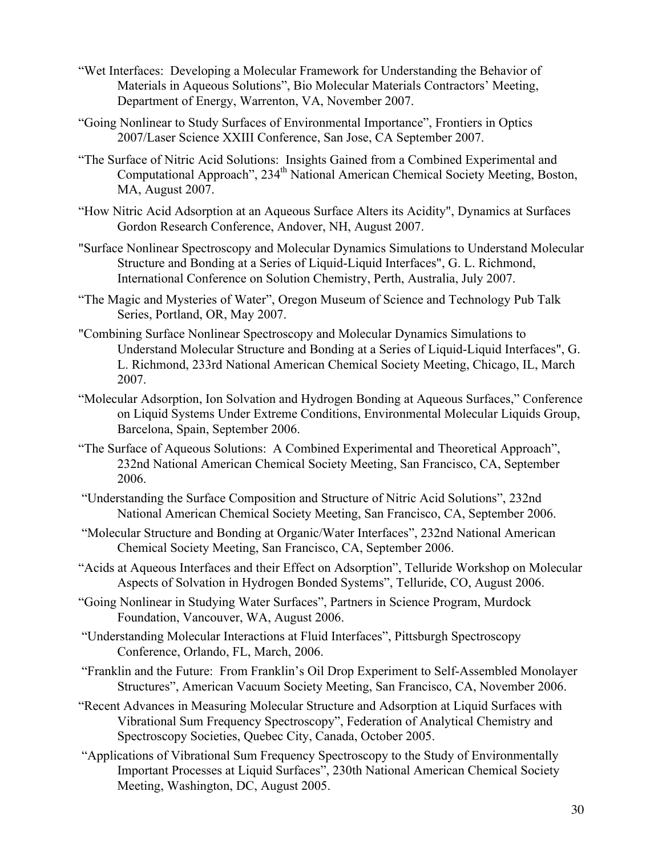- "Wet Interfaces: Developing a Molecular Framework for Understanding the Behavior of Materials in Aqueous Solutions", Bio Molecular Materials Contractors' Meeting, Department of Energy, Warrenton, VA, November 2007.
- "Going Nonlinear to Study Surfaces of Environmental Importance", Frontiers in Optics 2007/Laser Science XXIII Conference, San Jose, CA September 2007.
- "The Surface of Nitric Acid Solutions: Insights Gained from a Combined Experimental and Computational Approach", 234th National American Chemical Society Meeting, Boston, MA, August 2007.
- "How Nitric Acid Adsorption at an Aqueous Surface Alters its Acidity", Dynamics at Surfaces Gordon Research Conference, Andover, NH, August 2007.
- "Surface Nonlinear Spectroscopy and Molecular Dynamics Simulations to Understand Molecular Structure and Bonding at a Series of Liquid-Liquid Interfaces", G. L. Richmond, International Conference on Solution Chemistry, Perth, Australia, July 2007.
- "The Magic and Mysteries of Water", Oregon Museum of Science and Technology Pub Talk Series, Portland, OR, May 2007.
- "Combining Surface Nonlinear Spectroscopy and Molecular Dynamics Simulations to Understand Molecular Structure and Bonding at a Series of Liquid-Liquid Interfaces", G. L. Richmond, 233rd National American Chemical Society Meeting, Chicago, IL, March 2007.
- "Molecular Adsorption, Ion Solvation and Hydrogen Bonding at Aqueous Surfaces," Conference on Liquid Systems Under Extreme Conditions, Environmental Molecular Liquids Group, Barcelona, Spain, September 2006.
- "The Surface of Aqueous Solutions: A Combined Experimental and Theoretical Approach", 232nd National American Chemical Society Meeting, San Francisco, CA, September 2006.
- "Understanding the Surface Composition and Structure of Nitric Acid Solutions", 232nd National American Chemical Society Meeting, San Francisco, CA, September 2006.
- "Molecular Structure and Bonding at Organic/Water Interfaces", 232nd National American Chemical Society Meeting, San Francisco, CA, September 2006.
- "Acids at Aqueous Interfaces and their Effect on Adsorption", Telluride Workshop on Molecular Aspects of Solvation in Hydrogen Bonded Systems", Telluride, CO, August 2006.
- "Going Nonlinear in Studying Water Surfaces", Partners in Science Program, Murdock Foundation, Vancouver, WA, August 2006.
- "Understanding Molecular Interactions at Fluid Interfaces", Pittsburgh Spectroscopy Conference, Orlando, FL, March, 2006.
- "Franklin and the Future: From Franklin's Oil Drop Experiment to Self-Assembled Monolayer Structures", American Vacuum Society Meeting, San Francisco, CA, November 2006.
- "Recent Advances in Measuring Molecular Structure and Adsorption at Liquid Surfaces with Vibrational Sum Frequency Spectroscopy", Federation of Analytical Chemistry and Spectroscopy Societies, Quebec City, Canada, October 2005.
- "Applications of Vibrational Sum Frequency Spectroscopy to the Study of Environmentally Important Processes at Liquid Surfaces", 230th National American Chemical Society Meeting, Washington, DC, August 2005.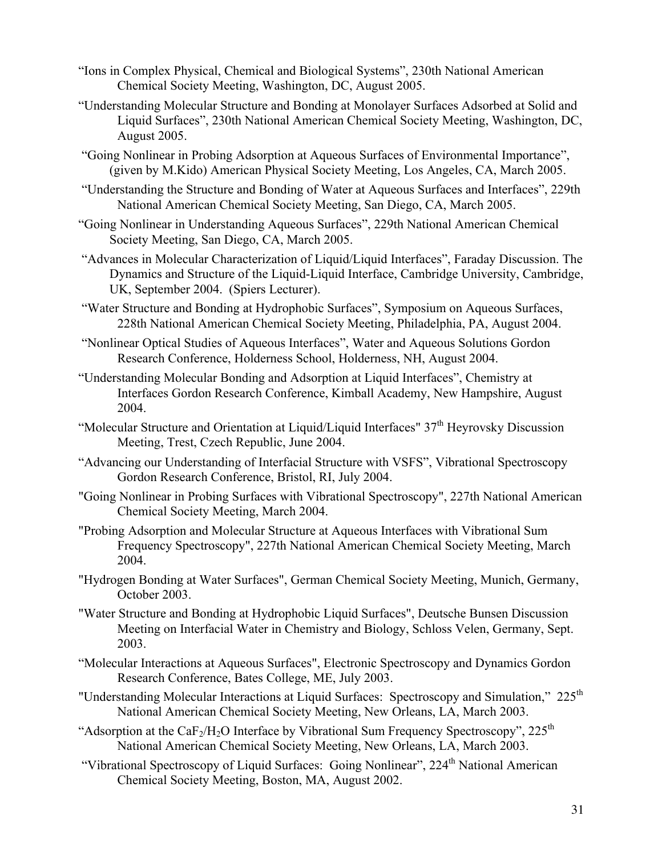- "Ions in Complex Physical, Chemical and Biological Systems", 230th National American Chemical Society Meeting, Washington, DC, August 2005.
- "Understanding Molecular Structure and Bonding at Monolayer Surfaces Adsorbed at Solid and Liquid Surfaces", 230th National American Chemical Society Meeting, Washington, DC, August 2005.
- "Going Nonlinear in Probing Adsorption at Aqueous Surfaces of Environmental Importance", (given by M.Kido) American Physical Society Meeting, Los Angeles, CA, March 2005.
- "Understanding the Structure and Bonding of Water at Aqueous Surfaces and Interfaces", 229th National American Chemical Society Meeting, San Diego, CA, March 2005.
- "Going Nonlinear in Understanding Aqueous Surfaces", 229th National American Chemical Society Meeting, San Diego, CA, March 2005.
- "Advances in Molecular Characterization of Liquid/Liquid Interfaces", Faraday Discussion. The Dynamics and Structure of the Liquid-Liquid Interface, Cambridge University, Cambridge, UK, September 2004. (Spiers Lecturer).
- "Water Structure and Bonding at Hydrophobic Surfaces", Symposium on Aqueous Surfaces, 228th National American Chemical Society Meeting, Philadelphia, PA, August 2004.
- "Nonlinear Optical Studies of Aqueous Interfaces", Water and Aqueous Solutions Gordon Research Conference, Holderness School, Holderness, NH, August 2004.
- "Understanding Molecular Bonding and Adsorption at Liquid Interfaces", Chemistry at Interfaces Gordon Research Conference, Kimball Academy, New Hampshire, August 2004.
- "Molecular Structure and Orientation at Liquid/Liquid Interfaces"  $37<sup>th</sup>$  Heyrovsky Discussion Meeting, Trest, Czech Republic, June 2004.
- "Advancing our Understanding of Interfacial Structure with VSFS", Vibrational Spectroscopy Gordon Research Conference, Bristol, RI, July 2004.
- "Going Nonlinear in Probing Surfaces with Vibrational Spectroscopy", 227th National American Chemical Society Meeting, March 2004.
- "Probing Adsorption and Molecular Structure at Aqueous Interfaces with Vibrational Sum Frequency Spectroscopy", 227th National American Chemical Society Meeting, March 2004.
- "Hydrogen Bonding at Water Surfaces", German Chemical Society Meeting, Munich, Germany, October 2003.
- "Water Structure and Bonding at Hydrophobic Liquid Surfaces", Deutsche Bunsen Discussion Meeting on Interfacial Water in Chemistry and Biology, Schloss Velen, Germany, Sept. 2003.
- "Molecular Interactions at Aqueous Surfaces", Electronic Spectroscopy and Dynamics Gordon Research Conference, Bates College, ME, July 2003.
- "Understanding Molecular Interactions at Liquid Surfaces: Spectroscopy and Simulation," 225<sup>th</sup> National American Chemical Society Meeting, New Orleans, LA, March 2003.
- "Adsorption at the CaF<sub>2</sub>/H<sub>2</sub>O Interface by Vibrational Sum Frequency Spectroscopy", 225<sup>th</sup> National American Chemical Society Meeting, New Orleans, LA, March 2003.
- "Vibrational Spectroscopy of Liquid Surfaces: Going Nonlinear", 224<sup>th</sup> National American Chemical Society Meeting, Boston, MA, August 2002.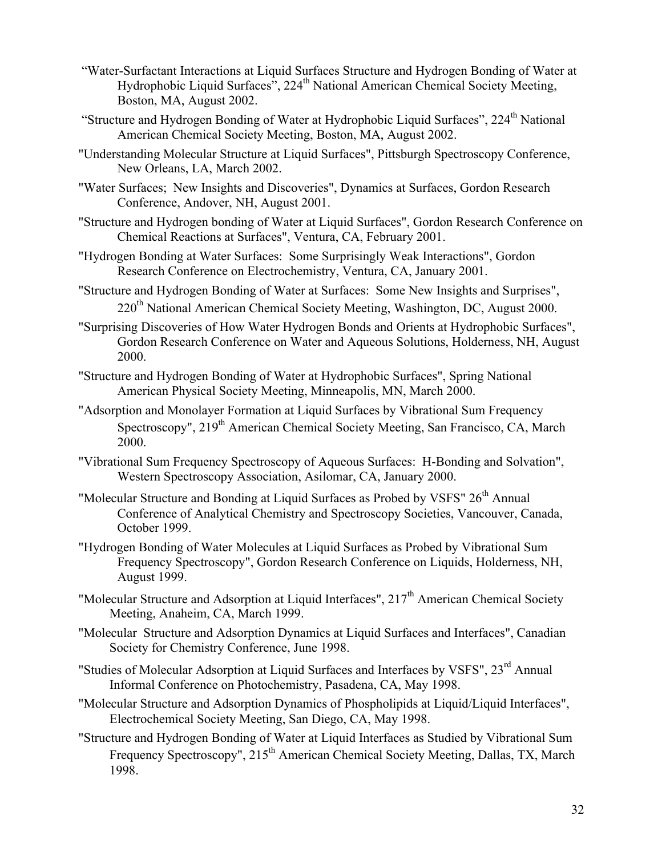- "Water-Surfactant Interactions at Liquid Surfaces Structure and Hydrogen Bonding of Water at Hydrophobic Liquid Surfaces", 224<sup>th</sup> National American Chemical Society Meeting, Boston, MA, August 2002.
- "Structure and Hydrogen Bonding of Water at Hydrophobic Liquid Surfaces", 224<sup>th</sup> National American Chemical Society Meeting, Boston, MA, August 2002.
- "Understanding Molecular Structure at Liquid Surfaces", Pittsburgh Spectroscopy Conference, New Orleans, LA, March 2002.
- "Water Surfaces; New Insights and Discoveries", Dynamics at Surfaces, Gordon Research Conference, Andover, NH, August 2001.
- "Structure and Hydrogen bonding of Water at Liquid Surfaces", Gordon Research Conference on Chemical Reactions at Surfaces", Ventura, CA, February 2001.
- "Hydrogen Bonding at Water Surfaces: Some Surprisingly Weak Interactions", Gordon Research Conference on Electrochemistry, Ventura, CA, January 2001.
- "Structure and Hydrogen Bonding of Water at Surfaces: Some New Insights and Surprises", 220<sup>th</sup> National American Chemical Society Meeting, Washington, DC, August 2000.
- "Surprising Discoveries of How Water Hydrogen Bonds and Orients at Hydrophobic Surfaces", Gordon Research Conference on Water and Aqueous Solutions, Holderness, NH, August 2000.
- "Structure and Hydrogen Bonding of Water at Hydrophobic Surfaces", Spring National American Physical Society Meeting, Minneapolis, MN, March 2000.
- "Adsorption and Monolayer Formation at Liquid Surfaces by Vibrational Sum Frequency Spectroscopy", 219<sup>th</sup> American Chemical Society Meeting, San Francisco, CA, March 2000.
- "Vibrational Sum Frequency Spectroscopy of Aqueous Surfaces: H-Bonding and Solvation", Western Spectroscopy Association, Asilomar, CA, January 2000.
- "Molecular Structure and Bonding at Liquid Surfaces as Probed by VSFS" 26<sup>th</sup> Annual Conference of Analytical Chemistry and Spectroscopy Societies, Vancouver, Canada, October 1999.
- "Hydrogen Bonding of Water Molecules at Liquid Surfaces as Probed by Vibrational Sum Frequency Spectroscopy", Gordon Research Conference on Liquids, Holderness, NH, August 1999.
- "Molecular Structure and Adsorption at Liquid Interfaces", 217<sup>th</sup> American Chemical Society Meeting, Anaheim, CA, March 1999.
- "Molecular Structure and Adsorption Dynamics at Liquid Surfaces and Interfaces", Canadian Society for Chemistry Conference, June 1998.
- "Studies of Molecular Adsorption at Liquid Surfaces and Interfaces by VSFS", 23<sup>rd</sup> Annual Informal Conference on Photochemistry, Pasadena, CA, May 1998.
- "Molecular Structure and Adsorption Dynamics of Phospholipids at Liquid/Liquid Interfaces", Electrochemical Society Meeting, San Diego, CA, May 1998.
- "Structure and Hydrogen Bonding of Water at Liquid Interfaces as Studied by Vibrational Sum Frequency Spectroscopy", 215<sup>th</sup> American Chemical Society Meeting, Dallas, TX, March 1998.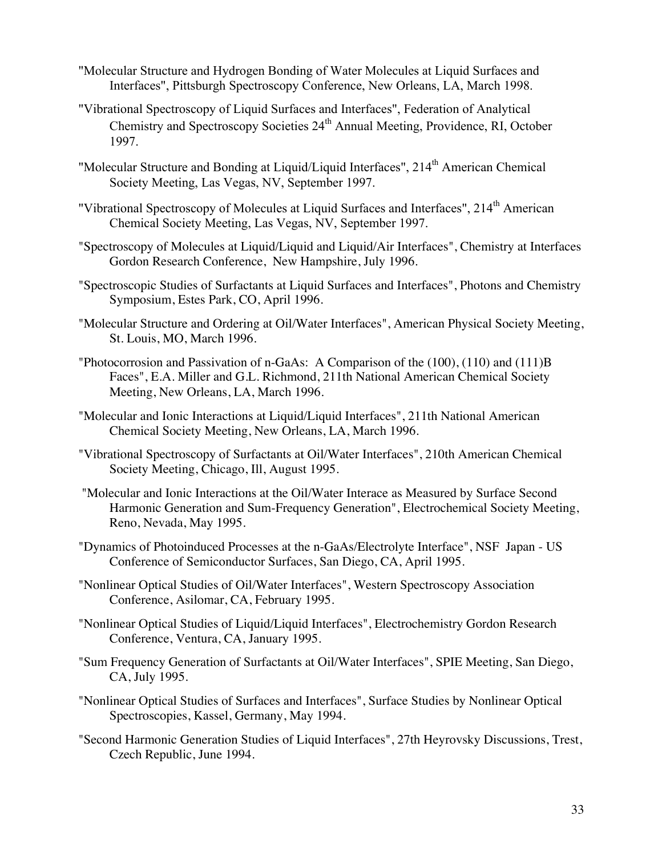- "Molecular Structure and Hydrogen Bonding of Water Molecules at Liquid Surfaces and Interfaces", Pittsburgh Spectroscopy Conference, New Orleans, LA, March 1998.
- "Vibrational Spectroscopy of Liquid Surfaces and Interfaces", Federation of Analytical Chemistry and Spectroscopy Societies 24<sup>th</sup> Annual Meeting, Providence, RI, October 1997.
- "Molecular Structure and Bonding at Liquid/Liquid Interfaces", 214<sup>th</sup> American Chemical Society Meeting, Las Vegas, NV, September 1997.
- "Vibrational Spectroscopy of Molecules at Liquid Surfaces and Interfaces", 214<sup>th</sup> American Chemical Society Meeting, Las Vegas, NV, September 1997.
- "Spectroscopy of Molecules at Liquid/Liquid and Liquid/Air Interfaces", Chemistry at Interfaces Gordon Research Conference, New Hampshire, July 1996.
- "Spectroscopic Studies of Surfactants at Liquid Surfaces and Interfaces", Photons and Chemistry Symposium, Estes Park, CO, April 1996.
- "Molecular Structure and Ordering at Oil/Water Interfaces", American Physical Society Meeting, St. Louis, MO, March 1996.
- "Photocorrosion and Passivation of n-GaAs: A Comparison of the (100), (110) and (111)B Faces", E.A. Miller and G.L. Richmond, 211th National American Chemical Society Meeting, New Orleans, LA, March 1996.
- "Molecular and Ionic Interactions at Liquid/Liquid Interfaces", 211th National American Chemical Society Meeting, New Orleans, LA, March 1996.
- "Vibrational Spectroscopy of Surfactants at Oil/Water Interfaces", 210th American Chemical Society Meeting, Chicago, Ill, August 1995.
- "Molecular and Ionic Interactions at the Oil/Water Interace as Measured by Surface Second Harmonic Generation and Sum-Frequency Generation", Electrochemical Society Meeting, Reno, Nevada, May 1995.
- "Dynamics of Photoinduced Processes at the n-GaAs/Electrolyte Interface", NSF Japan US Conference of Semiconductor Surfaces, San Diego, CA, April 1995.
- "Nonlinear Optical Studies of Oil/Water Interfaces", Western Spectroscopy Association Conference, Asilomar, CA, February 1995.
- "Nonlinear Optical Studies of Liquid/Liquid Interfaces", Electrochemistry Gordon Research Conference, Ventura, CA, January 1995.
- "Sum Frequency Generation of Surfactants at Oil/Water Interfaces", SPIE Meeting, San Diego, CA, July 1995.
- "Nonlinear Optical Studies of Surfaces and Interfaces", Surface Studies by Nonlinear Optical Spectroscopies, Kassel, Germany, May 1994.
- "Second Harmonic Generation Studies of Liquid Interfaces", 27th Heyrovsky Discussions, Trest, Czech Republic, June 1994.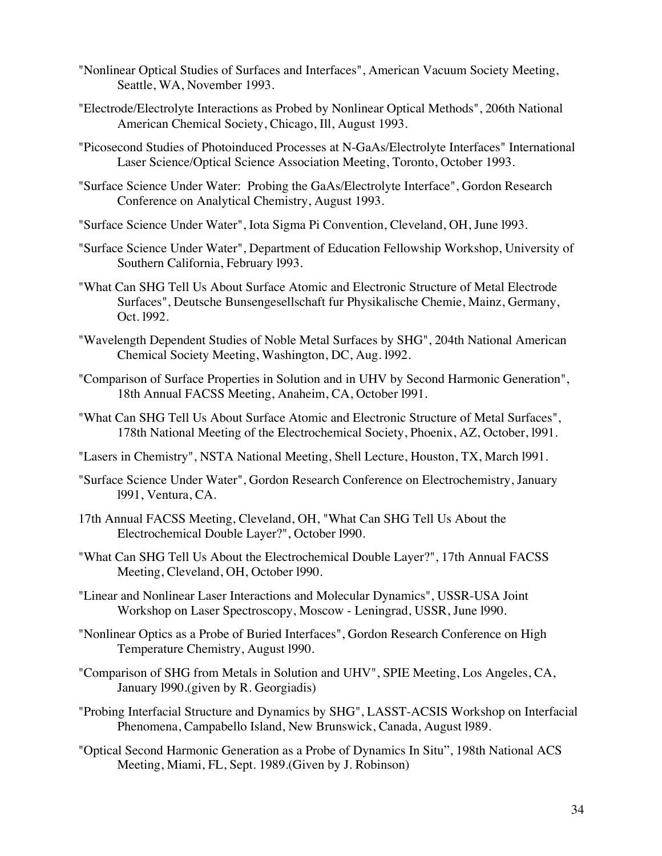- "Nonlinear Optical Studies of Surfaces and Interfaces", American Vacuum Society Meeting, Seattle, WA, November 1993.
- "Electrode/Electrolyte Interactions as Probed by Nonlinear Optical Methods", 206th National American Chemical Society, Chicago, Ill, August 1993.
- "Picosecond Studies of Photoinduced Processes at N-GaAs/Electrolyte Interfaces" International Laser Science/Optical Science Association Meeting, Toronto, October 1993.
- "Surface Science Under Water: Probing the GaAs/Electrolyte Interface", Gordon Research Conference on Analytical Chemistry, August 1993.
- "Surface Science Under Water", Iota Sigma Pi Convention, Cleveland, OH, June l993.
- "Surface Science Under Water", Department of Education Fellowship Workshop, University of Southern California, February l993.
- "What Can SHG Tell Us About Surface Atomic and Electronic Structure of Metal Electrode Surfaces", Deutsche Bunsengesellschaft fur Physikalische Chemie, Mainz, Germany, Oct. l992.
- "Wavelength Dependent Studies of Noble Metal Surfaces by SHG", 204th National American Chemical Society Meeting, Washington, DC, Aug. l992.
- "Comparison of Surface Properties in Solution and in UHV by Second Harmonic Generation", 18th Annual FACSS Meeting, Anaheim, CA, October l991.
- "What Can SHG Tell Us About Surface Atomic and Electronic Structure of Metal Surfaces", 178th National Meeting of the Electrochemical Society, Phoenix, AZ, October, l991.
- "Lasers in Chemistry", NSTA National Meeting, Shell Lecture, Houston, TX, March l991.
- "Surface Science Under Water", Gordon Research Conference on Electrochemistry, January l991, Ventura, CA.
- 17th Annual FACSS Meeting, Cleveland, OH, "What Can SHG Tell Us About the Electrochemical Double Layer?", October l990.
- "What Can SHG Tell Us About the Electrochemical Double Layer?", 17th Annual FACSS Meeting, Cleveland, OH, October l990.
- "Linear and Nonlinear Laser Interactions and Molecular Dynamics", USSR-USA Joint Workshop on Laser Spectroscopy, Moscow - Leningrad, USSR, June l990.
- "Nonlinear Optics as a Probe of Buried Interfaces", Gordon Research Conference on High Temperature Chemistry, August l990.
- "Comparison of SHG from Metals in Solution and UHV", SPIE Meeting, Los Angeles, CA, January l990.(given by R. Georgiadis)
- "Probing Interfacial Structure and Dynamics by SHG", LASST-ACSIS Workshop on Interfacial Phenomena, Campabello Island, New Brunswick, Canada, August l989.
- "Optical Second Harmonic Generation as a Probe of Dynamics In Situ", 198th National ACS Meeting, Miami, FL, Sept. 1989.(Given by J. Robinson)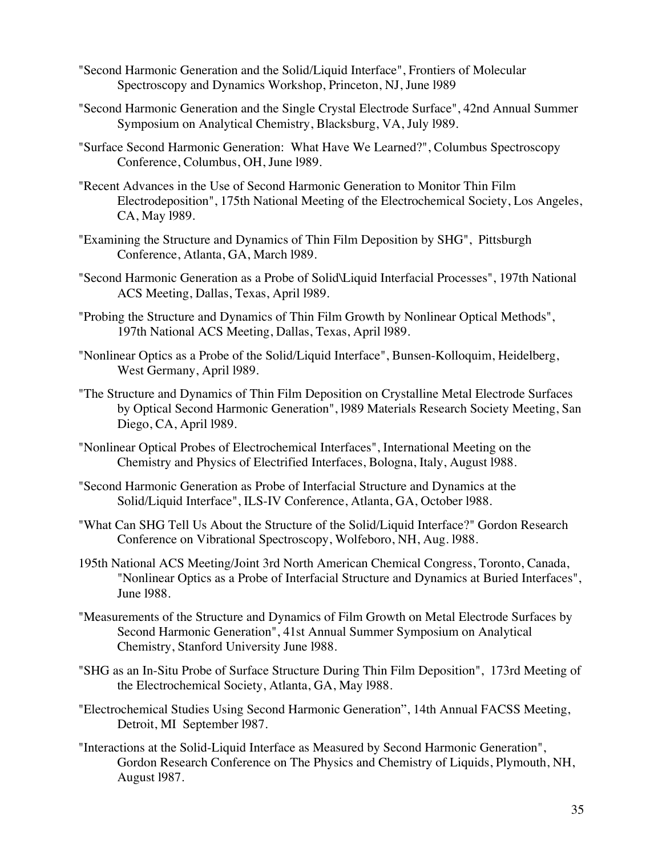- "Second Harmonic Generation and the Solid/Liquid Interface", Frontiers of Molecular Spectroscopy and Dynamics Workshop, Princeton, NJ, June l989
- "Second Harmonic Generation and the Single Crystal Electrode Surface", 42nd Annual Summer Symposium on Analytical Chemistry, Blacksburg, VA, July l989.
- "Surface Second Harmonic Generation: What Have We Learned?", Columbus Spectroscopy Conference, Columbus, OH, June l989.
- "Recent Advances in the Use of Second Harmonic Generation to Monitor Thin Film Electrodeposition", 175th National Meeting of the Electrochemical Society, Los Angeles, CA, May l989.
- "Examining the Structure and Dynamics of Thin Film Deposition by SHG", Pittsburgh Conference, Atlanta, GA, March l989.
- "Second Harmonic Generation as a Probe of Solid\Liquid Interfacial Processes", 197th National ACS Meeting, Dallas, Texas, April l989.
- "Probing the Structure and Dynamics of Thin Film Growth by Nonlinear Optical Methods", 197th National ACS Meeting, Dallas, Texas, April l989.
- "Nonlinear Optics as a Probe of the Solid/Liquid Interface", Bunsen-Kolloquim, Heidelberg, West Germany, April l989.
- "The Structure and Dynamics of Thin Film Deposition on Crystalline Metal Electrode Surfaces by Optical Second Harmonic Generation", l989 Materials Research Society Meeting, San Diego, CA, April l989.
- "Nonlinear Optical Probes of Electrochemical Interfaces", International Meeting on the Chemistry and Physics of Electrified Interfaces, Bologna, Italy, August l988.
- "Second Harmonic Generation as Probe of Interfacial Structure and Dynamics at the Solid/Liquid Interface", ILS-IV Conference, Atlanta, GA, October l988.
- "What Can SHG Tell Us About the Structure of the Solid/Liquid Interface?" Gordon Research Conference on Vibrational Spectroscopy, Wolfeboro, NH, Aug. l988.
- 195th National ACS Meeting/Joint 3rd North American Chemical Congress, Toronto, Canada, "Nonlinear Optics as a Probe of Interfacial Structure and Dynamics at Buried Interfaces", June l988.
- "Measurements of the Structure and Dynamics of Film Growth on Metal Electrode Surfaces by Second Harmonic Generation", 41st Annual Summer Symposium on Analytical Chemistry, Stanford University June l988.
- "SHG as an In-Situ Probe of Surface Structure During Thin Film Deposition", 173rd Meeting of the Electrochemical Society, Atlanta, GA, May l988.
- "Electrochemical Studies Using Second Harmonic Generation", 14th Annual FACSS Meeting, Detroit, MI September l987.
- "Interactions at the Solid-Liquid Interface as Measured by Second Harmonic Generation", Gordon Research Conference on The Physics and Chemistry of Liquids, Plymouth, NH, August l987.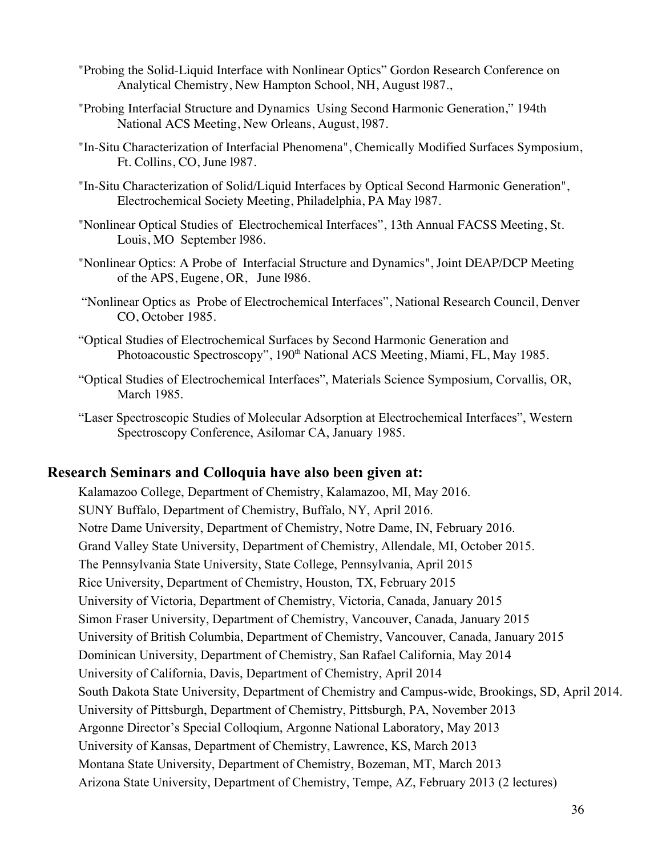- "Probing the Solid-Liquid Interface with Nonlinear Optics" Gordon Research Conference on Analytical Chemistry, New Hampton School, NH, August l987.,
- "Probing Interfacial Structure and Dynamics Using Second Harmonic Generation," 194th National ACS Meeting, New Orleans, August, l987.
- "In-Situ Characterization of Interfacial Phenomena", Chemically Modified Surfaces Symposium, Ft. Collins, CO, June l987.
- "In-Situ Characterization of Solid/Liquid Interfaces by Optical Second Harmonic Generation", Electrochemical Society Meeting, Philadelphia, PA May l987.
- "Nonlinear Optical Studies of Electrochemical Interfaces", 13th Annual FACSS Meeting, St. Louis, MO September l986.
- "Nonlinear Optics: A Probe of Interfacial Structure and Dynamics", Joint DEAP/DCP Meeting of the APS, Eugene, OR, June l986.
- "Nonlinear Optics as Probe of Electrochemical Interfaces", National Research Council, Denver CO, October 1985.
- "Optical Studies of Electrochemical Surfaces by Second Harmonic Generation and Photoacoustic Spectroscopy", 190<sup>th</sup> National ACS Meeting, Miami, FL, May 1985.
- "Optical Studies of Electrochemical Interfaces", Materials Science Symposium, Corvallis, OR, March 1985.
- "Laser Spectroscopic Studies of Molecular Adsorption at Electrochemical Interfaces", Western Spectroscopy Conference, Asilomar CA, January 1985.

# **Research Seminars and Colloquia have also been given at:**

Kalamazoo College, Department of Chemistry, Kalamazoo, MI, May 2016. SUNY Buffalo, Department of Chemistry, Buffalo, NY, April 2016. Notre Dame University, Department of Chemistry, Notre Dame, IN, February 2016. Grand Valley State University, Department of Chemistry, Allendale, MI, October 2015. The Pennsylvania State University, State College, Pennsylvania, April 2015 Rice University, Department of Chemistry, Houston, TX, February 2015 University of Victoria, Department of Chemistry, Victoria, Canada, January 2015 Simon Fraser University, Department of Chemistry, Vancouver, Canada, January 2015 University of British Columbia, Department of Chemistry, Vancouver, Canada, January 2015 Dominican University, Department of Chemistry, San Rafael California, May 2014 University of California, Davis, Department of Chemistry, April 2014 South Dakota State University, Department of Chemistry and Campus-wide, Brookings, SD, April 2014. University of Pittsburgh, Department of Chemistry, Pittsburgh, PA, November 2013 Argonne Director's Special Colloqium, Argonne National Laboratory, May 2013 University of Kansas, Department of Chemistry, Lawrence, KS, March 2013 Montana State University, Department of Chemistry, Bozeman, MT, March 2013 Arizona State University, Department of Chemistry, Tempe, AZ, February 2013 (2 lectures)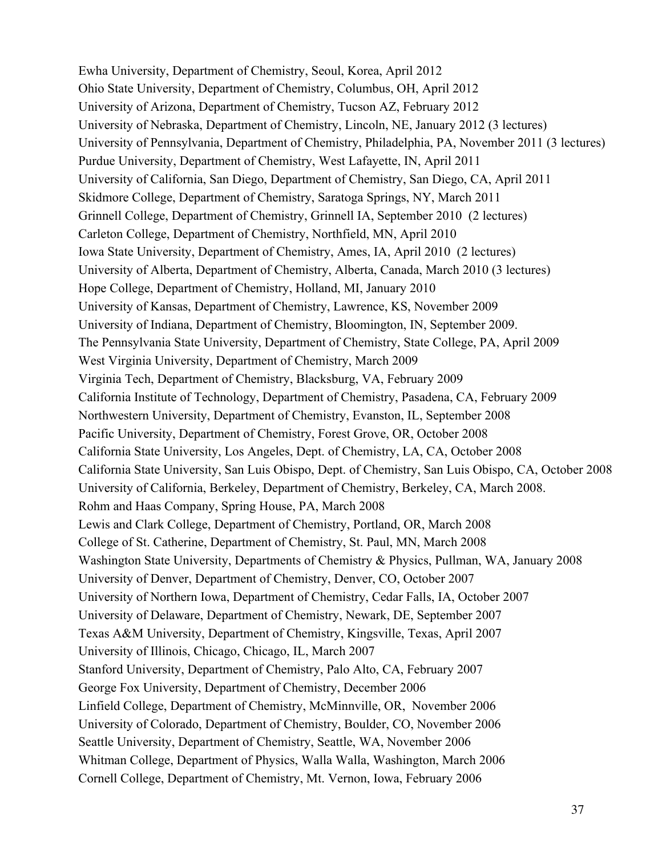Ewha University, Department of Chemistry, Seoul, Korea, April 2012 Ohio State University, Department of Chemistry, Columbus, OH, April 2012 University of Arizona, Department of Chemistry, Tucson AZ, February 2012 University of Nebraska, Department of Chemistry, Lincoln, NE, January 2012 (3 lectures) University of Pennsylvania, Department of Chemistry, Philadelphia, PA, November 2011 (3 lectures) Purdue University, Department of Chemistry, West Lafayette, IN, April 2011 University of California, San Diego, Department of Chemistry, San Diego, CA, April 2011 Skidmore College, Department of Chemistry, Saratoga Springs, NY, March 2011 Grinnell College, Department of Chemistry, Grinnell IA, September 2010 (2 lectures) Carleton College, Department of Chemistry, Northfield, MN, April 2010 Iowa State University, Department of Chemistry, Ames, IA, April 2010 (2 lectures) University of Alberta, Department of Chemistry, Alberta, Canada, March 2010 (3 lectures) Hope College, Department of Chemistry, Holland, MI, January 2010 University of Kansas, Department of Chemistry, Lawrence, KS, November 2009 University of Indiana, Department of Chemistry, Bloomington, IN, September 2009. The Pennsylvania State University, Department of Chemistry, State College, PA, April 2009 West Virginia University, Department of Chemistry, March 2009 Virginia Tech, Department of Chemistry, Blacksburg, VA, February 2009 California Institute of Technology, Department of Chemistry, Pasadena, CA, February 2009 Northwestern University, Department of Chemistry, Evanston, IL, September 2008 Pacific University, Department of Chemistry, Forest Grove, OR, October 2008 California State University, Los Angeles, Dept. of Chemistry, LA, CA, October 2008 California State University, San Luis Obispo, Dept. of Chemistry, San Luis Obispo, CA, October 2008 University of California, Berkeley, Department of Chemistry, Berkeley, CA, March 2008. Rohm and Haas Company, Spring House, PA, March 2008 Lewis and Clark College, Department of Chemistry, Portland, OR, March 2008 College of St. Catherine, Department of Chemistry, St. Paul, MN, March 2008 Washington State University, Departments of Chemistry & Physics, Pullman, WA, January 2008 University of Denver, Department of Chemistry, Denver, CO, October 2007 University of Northern Iowa, Department of Chemistry, Cedar Falls, IA, October 2007 University of Delaware, Department of Chemistry, Newark, DE, September 2007 Texas A&M University, Department of Chemistry, Kingsville, Texas, April 2007 University of Illinois, Chicago, Chicago, IL, March 2007 Stanford University, Department of Chemistry, Palo Alto, CA, February 2007 George Fox University, Department of Chemistry, December 2006 Linfield College, Department of Chemistry, McMinnville, OR, November 2006 University of Colorado, Department of Chemistry, Boulder, CO, November 2006 Seattle University, Department of Chemistry, Seattle, WA, November 2006 Whitman College, Department of Physics, Walla Walla, Washington, March 2006 Cornell College, Department of Chemistry, Mt. Vernon, Iowa, February 2006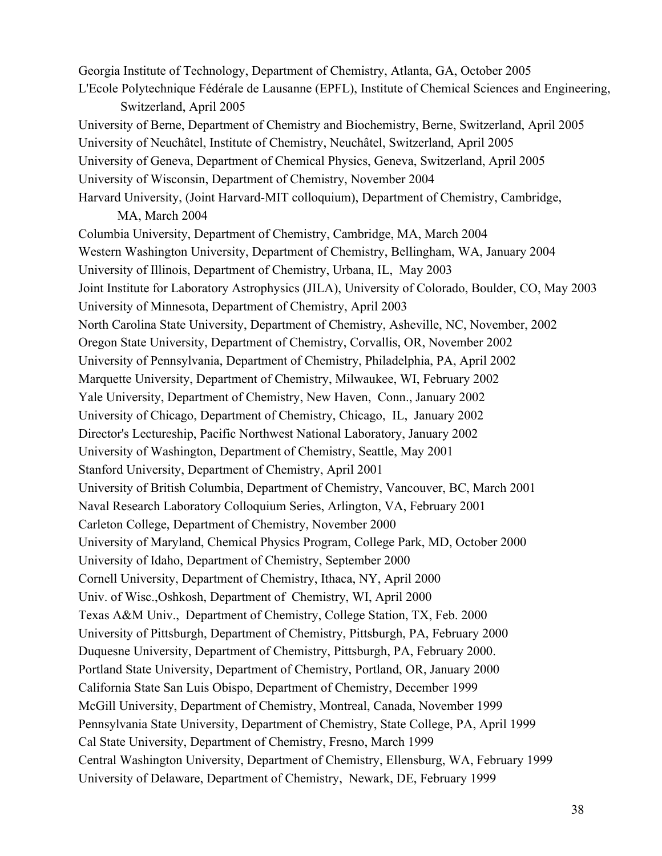Georgia Institute of Technology, Department of Chemistry, Atlanta, GA, October 2005 L'Ecole Polytechnique Fédérale de Lausanne (EPFL), Institute of Chemical Sciences and Engineering, Switzerland, April 2005 University of Berne, Department of Chemistry and Biochemistry, Berne, Switzerland, April 2005 University of Neuchâtel, Institute of Chemistry, Neuchâtel, Switzerland, April 2005 University of Geneva, Department of Chemical Physics, Geneva, Switzerland, April 2005 University of Wisconsin, Department of Chemistry, November 2004 Harvard University, (Joint Harvard-MIT colloquium), Department of Chemistry, Cambridge, MA, March 2004 Columbia University, Department of Chemistry, Cambridge, MA, March 2004 Western Washington University, Department of Chemistry, Bellingham, WA, January 2004 University of Illinois, Department of Chemistry, Urbana, IL, May 2003 Joint Institute for Laboratory Astrophysics (JILA), University of Colorado, Boulder, CO, May 2003 University of Minnesota, Department of Chemistry, April 2003 North Carolina State University, Department of Chemistry, Asheville, NC, November, 2002 Oregon State University, Department of Chemistry, Corvallis, OR, November 2002 University of Pennsylvania, Department of Chemistry, Philadelphia, PA, April 2002 Marquette University, Department of Chemistry, Milwaukee, WI, February 2002 Yale University, Department of Chemistry, New Haven, Conn., January 2002 University of Chicago, Department of Chemistry, Chicago, IL, January 2002 Director's Lectureship, Pacific Northwest National Laboratory, January 2002 University of Washington, Department of Chemistry, Seattle, May 2001 Stanford University, Department of Chemistry, April 2001 University of British Columbia, Department of Chemistry, Vancouver, BC, March 2001 Naval Research Laboratory Colloquium Series, Arlington, VA, February 2001 Carleton College, Department of Chemistry, November 2000 University of Maryland, Chemical Physics Program, College Park, MD, October 2000 University of Idaho, Department of Chemistry, September 2000 Cornell University, Department of Chemistry, Ithaca, NY, April 2000 Univ. of Wisc.,Oshkosh, Department of Chemistry, WI, April 2000 Texas A&M Univ., Department of Chemistry, College Station, TX, Feb. 2000 University of Pittsburgh, Department of Chemistry, Pittsburgh, PA, February 2000 Duquesne University, Department of Chemistry, Pittsburgh, PA, February 2000. Portland State University, Department of Chemistry, Portland, OR, January 2000 California State San Luis Obispo, Department of Chemistry, December 1999 McGill University, Department of Chemistry, Montreal, Canada, November 1999 Pennsylvania State University, Department of Chemistry, State College, PA, April 1999 Cal State University, Department of Chemistry, Fresno, March 1999 Central Washington University, Department of Chemistry, Ellensburg, WA, February 1999 University of Delaware, Department of Chemistry, Newark, DE, February 1999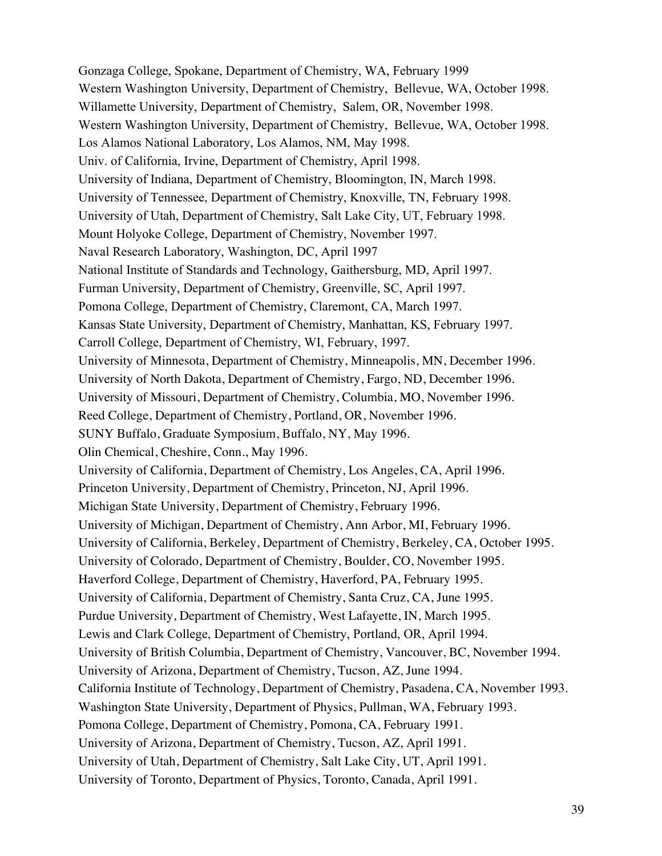Gonzaga College, Spokane, Department of Chemistry, WA, February 1999 Western Washington University, Department of Chemistry, Bellevue, WA, October 1998. Willamette University, Department of Chemistry, Salem, OR, November 1998. Western Washington University, Department of Chemistry, Bellevue, WA, October 1998. Los Alamos National Laboratory, Los Alamos, NM, May 1998. Univ. of California, Irvine, Department of Chemistry, April 1998. University of Indiana, Department of Chemistry, Bloomington, IN, March 1998. University of Tennessee, Department of Chemistry, Knoxville, TN, February 1998. University of Utah, Department of Chemistry, Salt Lake City, UT, February 1998. Mount Holyoke College, Department of Chemistry, November 1997. Naval Research Laboratory, Washington, DC, April 1997 National Institute of Standards and Technology, Gaithersburg, MD, April 1997. Furman University, Department of Chemistry, Greenville, SC, April 1997. Pomona College, Department of Chemistry, Claremont, CA, March 1997. Kansas State University, Department of Chemistry, Manhattan, KS, February 1997. Carroll College, Department of Chemistry, WI, February, 1997. University of Minnesota, Department of Chemistry, Minneapolis, MN, December 1996. University of North Dakota, Department of Chemistry, Fargo, ND, December 1996. University of Missouri, Department of Chemistry, Columbia, MO, November 1996. Reed College, Department of Chemistry, Portland, OR, November 1996. SUNY Buffalo, Graduate Symposium, Buffalo, NY, May 1996. Olin Chemical, Cheshire, Conn., May 1996. University of California, Department of Chemistry, Los Angeles, CA, April 1996. Princeton University, Department of Chemistry, Princeton, NJ, April 1996. Michigan State University, Department of Chemistry, February 1996. University of Michigan, Department of Chemistry, Ann Arbor, MI, February 1996. University of California, Berkeley, Department of Chemistry, Berkeley, CA, October 1995. University of Colorado, Department of Chemistry, Boulder, CO, November 1995. Haverford College, Department of Chemistry, Haverford, PA, February 1995. University of California, Department of Chemistry, Santa Cruz, CA, June 1995. Purdue University, Department of Chemistry, West Lafayette, IN, March 1995. Lewis and Clark College, Department of Chemistry, Portland, OR, April 1994. University of British Columbia, Department of Chemistry, Vancouver, BC, November 1994. University of Arizona, Department of Chemistry, Tucson, AZ, June 1994. California Institute of Technology, Department of Chemistry, Pasadena, CA, November 1993. Washington State University, Department of Physics, Pullman, WA, February 1993. Pomona College, Department of Chemistry, Pomona, CA, February 1991. University of Arizona, Department of Chemistry, Tucson, AZ, April 1991. University of Utah, Department of Chemistry, Salt Lake City, UT, April 1991. University of Toronto, Department of Physics, Toronto, Canada, April 1991.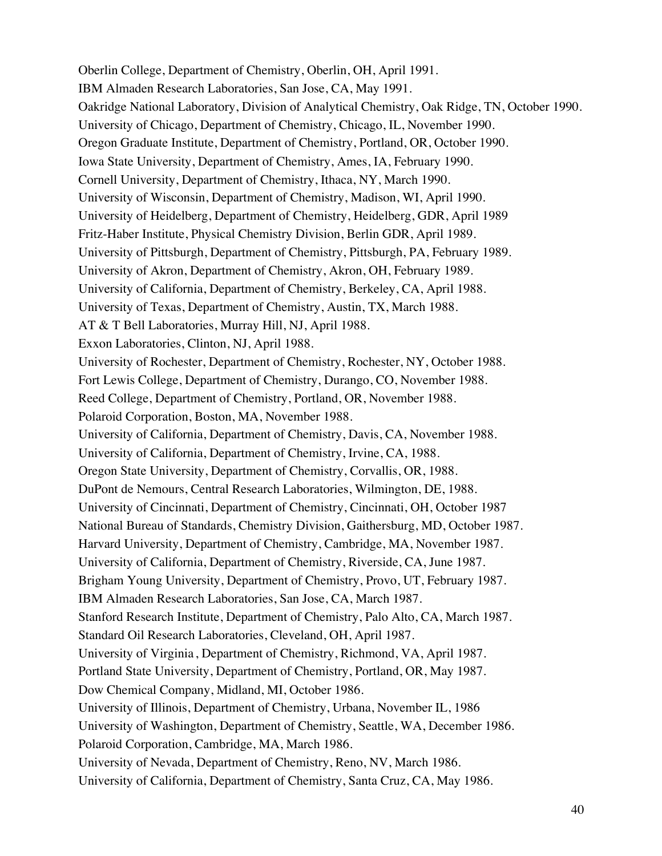Oberlin College, Department of Chemistry, Oberlin, OH, April 1991. IBM Almaden Research Laboratories, San Jose, CA, May 1991. Oakridge National Laboratory, Division of Analytical Chemistry, Oak Ridge, TN, October 1990. University of Chicago, Department of Chemistry, Chicago, IL, November 1990. Oregon Graduate Institute, Department of Chemistry, Portland, OR, October 1990. Iowa State University, Department of Chemistry, Ames, IA, February 1990. Cornell University, Department of Chemistry, Ithaca, NY, March 1990. University of Wisconsin, Department of Chemistry, Madison, WI, April 1990. University of Heidelberg, Department of Chemistry, Heidelberg, GDR, April 1989 Fritz-Haber Institute, Physical Chemistry Division, Berlin GDR, April 1989. University of Pittsburgh, Department of Chemistry, Pittsburgh, PA, February 1989. University of Akron, Department of Chemistry, Akron, OH, February 1989. University of California, Department of Chemistry, Berkeley, CA, April 1988. University of Texas, Department of Chemistry, Austin, TX, March 1988. AT & T Bell Laboratories, Murray Hill, NJ, April 1988. Exxon Laboratories, Clinton, NJ, April 1988. University of Rochester, Department of Chemistry, Rochester, NY, October 1988. Fort Lewis College, Department of Chemistry, Durango, CO, November 1988. Reed College, Department of Chemistry, Portland, OR, November 1988. Polaroid Corporation, Boston, MA, November 1988. University of California, Department of Chemistry, Davis, CA, November 1988. University of California, Department of Chemistry, Irvine, CA, 1988. Oregon State University, Department of Chemistry, Corvallis, OR, 1988. DuPont de Nemours, Central Research Laboratories, Wilmington, DE, 1988. University of Cincinnati, Department of Chemistry, Cincinnati, OH, October 1987 National Bureau of Standards, Chemistry Division, Gaithersburg, MD, October 1987. Harvard University, Department of Chemistry, Cambridge, MA, November 1987. University of California, Department of Chemistry, Riverside, CA, June 1987. Brigham Young University, Department of Chemistry, Provo, UT, February 1987. IBM Almaden Research Laboratories, San Jose, CA, March 1987. Stanford Research Institute, Department of Chemistry, Palo Alto, CA, March 1987. Standard Oil Research Laboratories, Cleveland, OH, April 1987. University of Virginia , Department of Chemistry, Richmond, VA, April 1987. Portland State University, Department of Chemistry, Portland, OR, May 1987. Dow Chemical Company, Midland, MI, October 1986. University of Illinois, Department of Chemistry, Urbana, November IL, 1986 University of Washington, Department of Chemistry, Seattle, WA, December 1986. Polaroid Corporation, Cambridge, MA, March 1986. University of Nevada, Department of Chemistry, Reno, NV, March 1986. University of California, Department of Chemistry, Santa Cruz, CA, May 1986.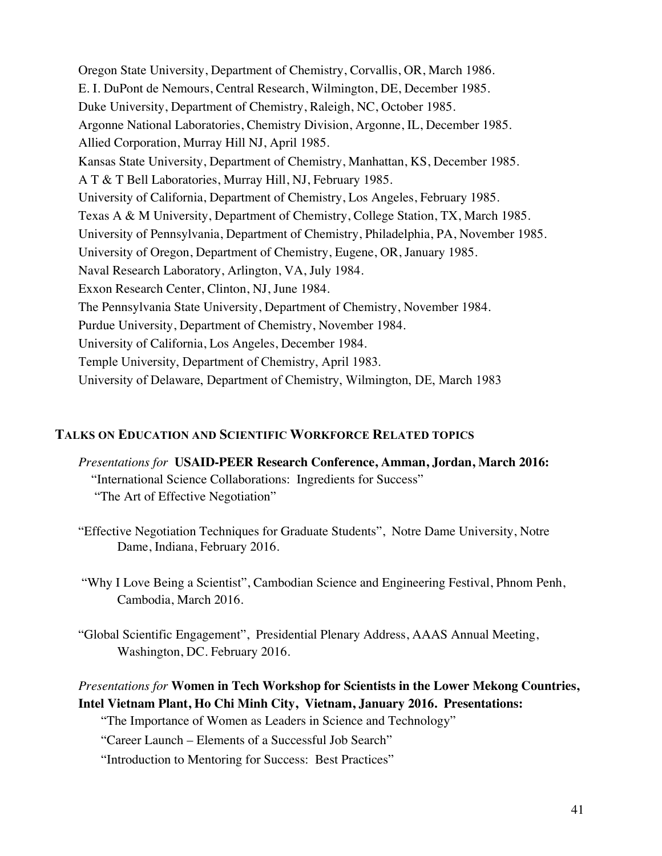Oregon State University, Department of Chemistry, Corvallis, OR, March 1986. E. I. DuPont de Nemours, Central Research, Wilmington, DE, December 1985. Duke University, Department of Chemistry, Raleigh, NC, October 1985. Argonne National Laboratories, Chemistry Division, Argonne, IL, December 1985. Allied Corporation, Murray Hill NJ, April 1985. Kansas State University, Department of Chemistry, Manhattan, KS, December 1985. A T & T Bell Laboratories, Murray Hill, NJ, February 1985. University of California, Department of Chemistry, Los Angeles, February 1985. Texas A & M University, Department of Chemistry, College Station, TX, March 1985. University of Pennsylvania, Department of Chemistry, Philadelphia, PA, November 1985. University of Oregon, Department of Chemistry, Eugene, OR, January 1985. Naval Research Laboratory, Arlington, VA, July 1984. Exxon Research Center, Clinton, NJ, June 1984. The Pennsylvania State University, Department of Chemistry, November 1984. Purdue University, Department of Chemistry, November 1984. University of California, Los Angeles, December 1984. Temple University, Department of Chemistry, April 1983. University of Delaware, Department of Chemistry, Wilmington, DE, March 1983

### **TALKS ON EDUCATION AND SCIENTIFIC WORKFORCE RELATED TOPICS**

- *Presentations for* **USAID-PEER Research Conference, Amman, Jordan, March 2016:** "International Science Collaborations: Ingredients for Success" "The Art of Effective Negotiation"
- "Effective Negotiation Techniques for Graduate Students", Notre Dame University, Notre Dame, Indiana, February 2016.
- "Why I Love Being a Scientist", Cambodian Science and Engineering Festival, Phnom Penh, Cambodia, March 2016.
- "Global Scientific Engagement", Presidential Plenary Address, AAAS Annual Meeting, Washington, DC. February 2016.

# *Presentations for* **Women in Tech Workshop for Scientists in the Lower Mekong Countries, Intel Vietnam Plant, Ho Chi Minh City, Vietnam, January 2016. Presentations:**

"The Importance of Women as Leaders in Science and Technology"

"Career Launch – Elements of a Successful Job Search"

"Introduction to Mentoring for Success: Best Practices"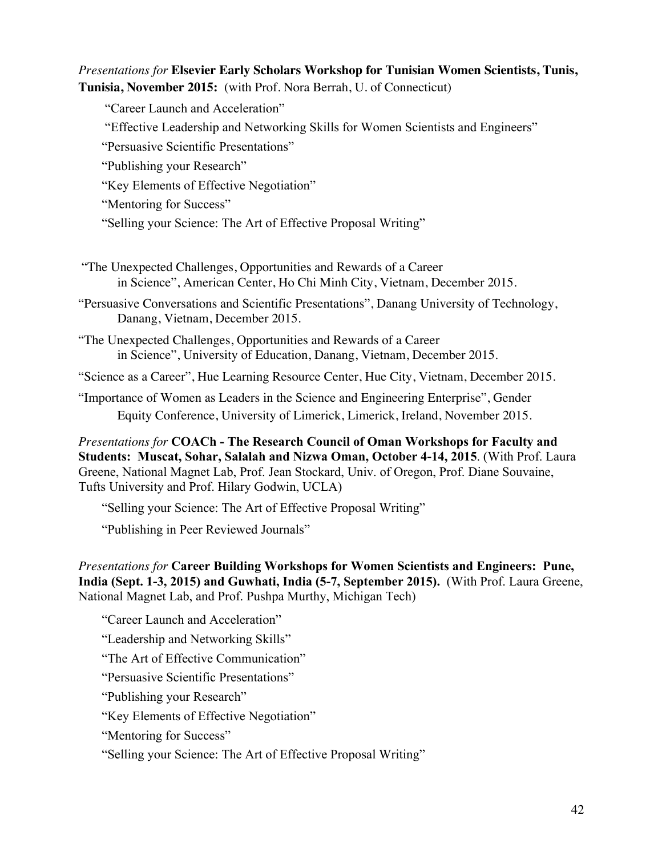# *Presentations for* **Elsevier Early Scholars Workshop for Tunisian Women Scientists, Tunis, Tunisia, November 2015:** (with Prof. Nora Berrah, U. of Connecticut)

"Career Launch and Acceleration"

"Effective Leadership and Networking Skills for Women Scientists and Engineers"

"Persuasive Scientific Presentations"

"Publishing your Research"

"Key Elements of Effective Negotiation"

"Mentoring for Success"

"Selling your Science: The Art of Effective Proposal Writing"

"The Unexpected Challenges, Opportunities and Rewards of a Career in Science", American Center, Ho Chi Minh City, Vietnam, December 2015.

"Persuasive Conversations and Scientific Presentations", Danang University of Technology, Danang, Vietnam, December 2015.

"The Unexpected Challenges, Opportunities and Rewards of a Career in Science", University of Education, Danang, Vietnam, December 2015.

"Science as a Career", Hue Learning Resource Center, Hue City, Vietnam, December 2015.

"Importance of Women as Leaders in the Science and Engineering Enterprise", Gender Equity Conference, University of Limerick, Limerick, Ireland, November 2015.

*Presentations for* **COACh - The Research Council of Oman Workshops for Faculty and Students: Muscat, Sohar, Salalah and Nizwa Oman, October 4-14, 2015**. (With Prof. Laura Greene, National Magnet Lab, Prof. Jean Stockard, Univ. of Oregon, Prof. Diane Souvaine, Tufts University and Prof. Hilary Godwin, UCLA)

"Selling your Science: The Art of Effective Proposal Writing"

"Publishing in Peer Reviewed Journals"

*Presentations for* **Career Building Workshops for Women Scientists and Engineers: Pune, India (Sept. 1-3, 2015) and Guwhati, India (5-7, September 2015).** (With Prof. Laura Greene, National Magnet Lab, and Prof. Pushpa Murthy, Michigan Tech)

"Career Launch and Acceleration"

"Leadership and Networking Skills"

"The Art of Effective Communication"

"Persuasive Scientific Presentations"

"Publishing your Research"

"Key Elements of Effective Negotiation"

"Mentoring for Success"

"Selling your Science: The Art of Effective Proposal Writing"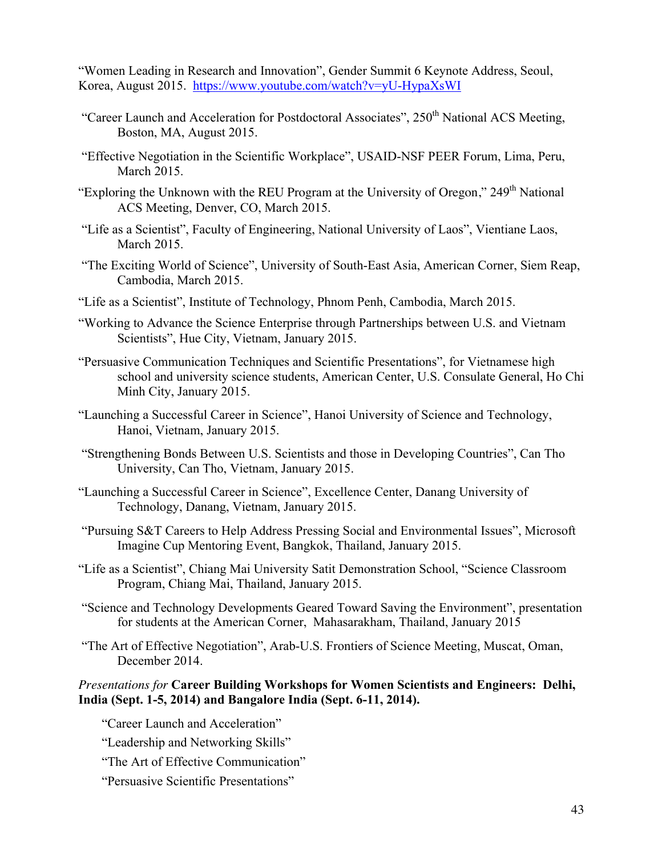"Women Leading in Research and Innovation", Gender Summit 6 Keynote Address, Seoul, Korea, August 2015. https://www.youtube.com/watch?v=yU-HypaXsWI

- "Career Launch and Acceleration for Postdoctoral Associates",  $250<sup>th</sup>$  National ACS Meeting, Boston, MA, August 2015.
- "Effective Negotiation in the Scientific Workplace", USAID-NSF PEER Forum, Lima, Peru, March 2015.
- "Exploring the Unknown with the REU Program at the University of Oregon," 249<sup>th</sup> National ACS Meeting, Denver, CO, March 2015.
- "Life as a Scientist", Faculty of Engineering, National University of Laos", Vientiane Laos, March 2015.
- "The Exciting World of Science", University of South-East Asia, American Corner, Siem Reap, Cambodia, March 2015.
- "Life as a Scientist", Institute of Technology, Phnom Penh, Cambodia, March 2015.
- "Working to Advance the Science Enterprise through Partnerships between U.S. and Vietnam Scientists", Hue City, Vietnam, January 2015.
- "Persuasive Communication Techniques and Scientific Presentations", for Vietnamese high school and university science students, American Center, U.S. Consulate General, Ho Chi Minh City, January 2015.
- "Launching a Successful Career in Science", Hanoi University of Science and Technology, Hanoi, Vietnam, January 2015.
- "Strengthening Bonds Between U.S. Scientists and those in Developing Countries", Can Tho University, Can Tho, Vietnam, January 2015.
- "Launching a Successful Career in Science", Excellence Center, Danang University of Technology, Danang, Vietnam, January 2015.
- "Pursuing S&T Careers to Help Address Pressing Social and Environmental Issues", Microsoft Imagine Cup Mentoring Event, Bangkok, Thailand, January 2015.
- "Life as a Scientist", Chiang Mai University Satit Demonstration School, "Science Classroom Program, Chiang Mai, Thailand, January 2015.
- "Science and Technology Developments Geared Toward Saving the Environment", presentation for students at the American Corner, Mahasarakham, Thailand, January 2015
- "The Art of Effective Negotiation", Arab-U.S. Frontiers of Science Meeting, Muscat, Oman, December 2014.

### *Presentations for* **Career Building Workshops for Women Scientists and Engineers: Delhi, India (Sept. 1-5, 2014) and Bangalore India (Sept. 6-11, 2014).**

"Career Launch and Acceleration"

- "Leadership and Networking Skills"
- "The Art of Effective Communication"
- "Persuasive Scientific Presentations"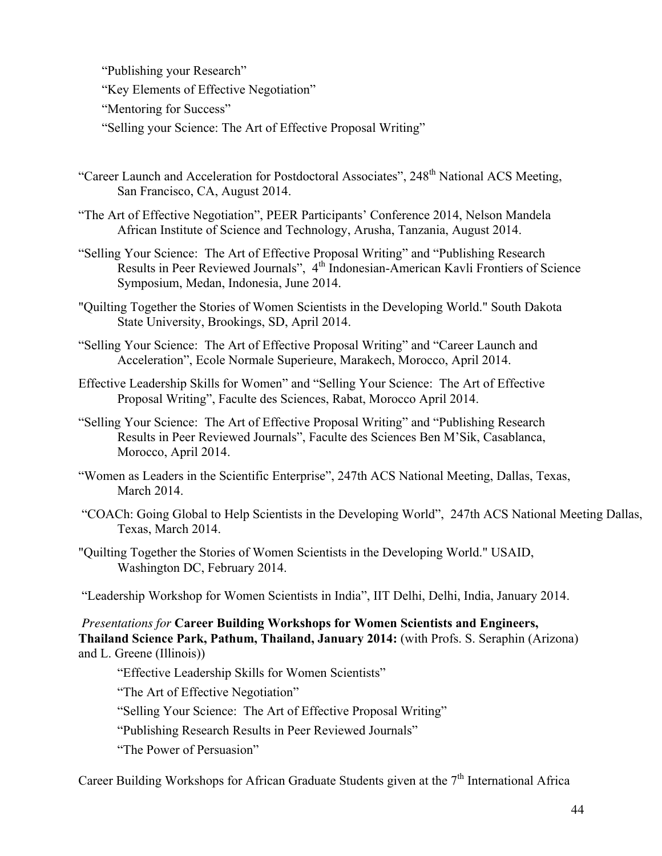"Publishing your Research"

"Key Elements of Effective Negotiation"

"Mentoring for Success"

"Selling your Science: The Art of Effective Proposal Writing"

- "Career Launch and Acceleration for Postdoctoral Associates", 248<sup>th</sup> National ACS Meeting, San Francisco, CA, August 2014.
- "The Art of Effective Negotiation", PEER Participants' Conference 2014, Nelson Mandela African Institute of Science and Technology, Arusha, Tanzania, August 2014.
- "Selling Your Science: The Art of Effective Proposal Writing" and "Publishing Research Results in Peer Reviewed Journals", 4<sup>th</sup> Indonesian-American Kavli Frontiers of Science Symposium, Medan, Indonesia, June 2014.
- "Quilting Together the Stories of Women Scientists in the Developing World." South Dakota State University, Brookings, SD, April 2014.
- "Selling Your Science: The Art of Effective Proposal Writing" and "Career Launch and Acceleration", Ecole Normale Superieure, Marakech, Morocco, April 2014.
- Effective Leadership Skills for Women" and "Selling Your Science: The Art of Effective Proposal Writing", Faculte des Sciences, Rabat, Morocco April 2014.
- "Selling Your Science: The Art of Effective Proposal Writing" and "Publishing Research Results in Peer Reviewed Journals", Faculte des Sciences Ben M'Sik, Casablanca, Morocco, April 2014.
- "Women as Leaders in the Scientific Enterprise", 247th ACS National Meeting, Dallas, Texas, March 2014.
- "COACh: Going Global to Help Scientists in the Developing World", 247th ACS National Meeting Dallas, Texas, March 2014.
- "Quilting Together the Stories of Women Scientists in the Developing World." USAID, Washington DC, February 2014.

"Leadership Workshop for Women Scientists in India", IIT Delhi, Delhi, India, January 2014.

*Presentations for* **Career Building Workshops for Women Scientists and Engineers, Thailand Science Park, Pathum, Thailand, January 2014:** (with Profs. S. Seraphin (Arizona) and L. Greene (Illinois))

"Effective Leadership Skills for Women Scientists"

"The Art of Effective Negotiation"

"Selling Your Science: The Art of Effective Proposal Writing"

"Publishing Research Results in Peer Reviewed Journals"

"The Power of Persuasion"

Career Building Workshops for African Graduate Students given at the  $7<sup>th</sup>$  International Africa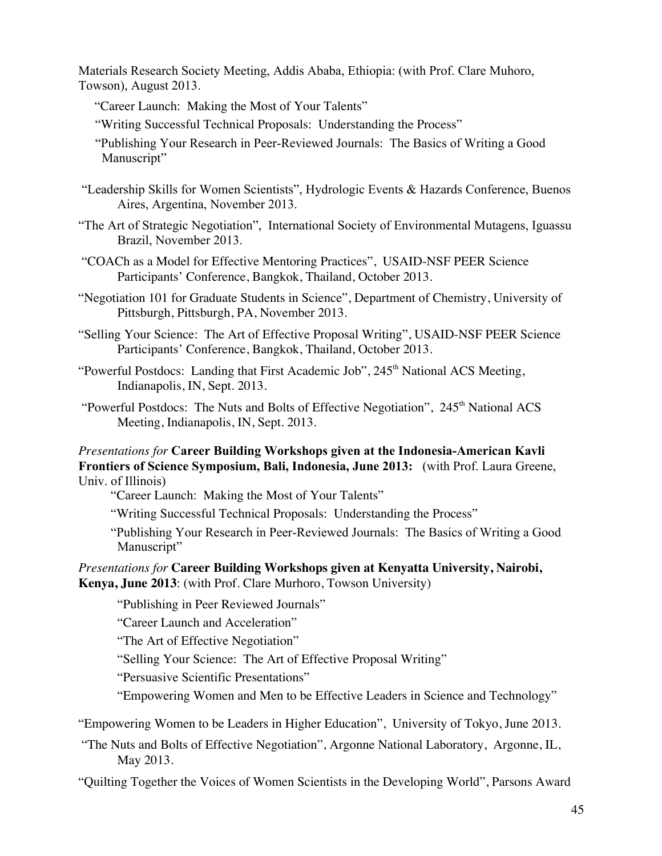Materials Research Society Meeting, Addis Ababa, Ethiopia: (with Prof. Clare Muhoro, Towson), August 2013.

- "Career Launch: Making the Most of Your Talents"
- "Writing Successful Technical Proposals: Understanding the Process"
- "Publishing Your Research in Peer-Reviewed Journals: The Basics of Writing a Good Manuscript"
- "Leadership Skills for Women Scientists", Hydrologic Events & Hazards Conference, Buenos Aires, Argentina, November 2013.
- "The Art of Strategic Negotiation", International Society of Environmental Mutagens, Iguassu Brazil, November 2013.
- "COACh as a Model for Effective Mentoring Practices", USAID-NSF PEER Science Participants' Conference, Bangkok, Thailand, October 2013.
- "Negotiation 101 for Graduate Students in Science", Department of Chemistry, University of Pittsburgh, Pittsburgh, PA, November 2013.
- "Selling Your Science: The Art of Effective Proposal Writing", USAID-NSF PEER Science Participants' Conference, Bangkok, Thailand, October 2013.
- "Powerful Postdocs: Landing that First Academic Job", 245<sup>th</sup> National ACS Meeting, Indianapolis, IN, Sept. 2013.
- "Powerful Postdocs: The Nuts and Bolts of Effective Negotiation", 245<sup>th</sup> National ACS Meeting, Indianapolis, IN, Sept. 2013.

#### *Presentations for* **Career Building Workshops given at the Indonesia-American Kavli Frontiers of Science Symposium, Bali, Indonesia, June 2013:** (with Prof. Laura Greene, Univ. of Illinois)

"Career Launch: Making the Most of Your Talents"

- "Writing Successful Technical Proposals: Understanding the Process"
- "Publishing Your Research in Peer-Reviewed Journals: The Basics of Writing a Good Manuscript"

### *Presentations for* **Career Building Workshops given at Kenyatta University, Nairobi, Kenya, June 2013**: (with Prof. Clare Murhoro, Towson University)

"Publishing in Peer Reviewed Journals"

"Career Launch and Acceleration"

"The Art of Effective Negotiation"

"Selling Your Science: The Art of Effective Proposal Writing"

"Persuasive Scientific Presentations"

"Empowering Women and Men to be Effective Leaders in Science and Technology"

"Empowering Women to be Leaders in Higher Education", University of Tokyo, June 2013.

"The Nuts and Bolts of Effective Negotiation", Argonne National Laboratory, Argonne, IL, May 2013.

"Quilting Together the Voices of Women Scientists in the Developing World", Parsons Award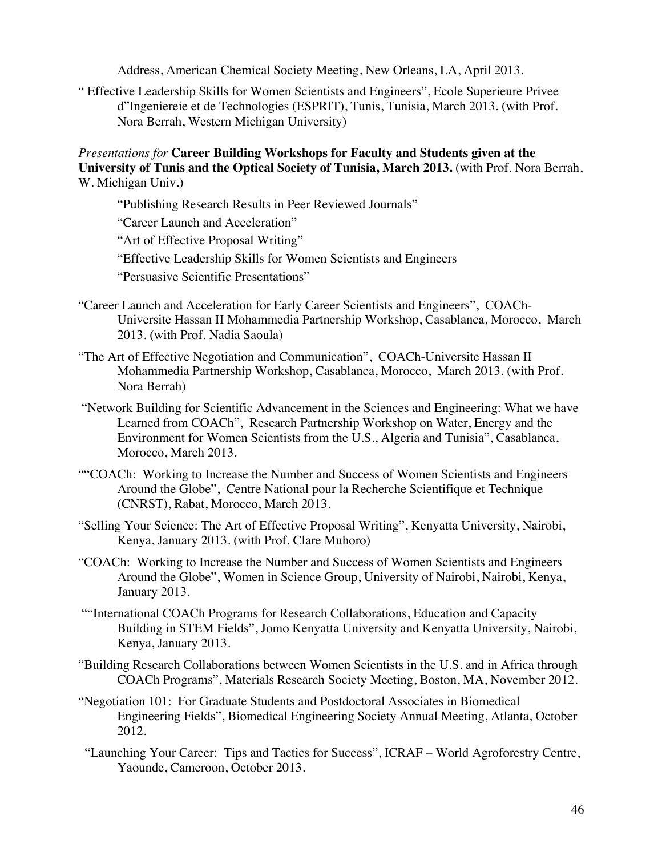Address, American Chemical Society Meeting, New Orleans, LA, April 2013.

" Effective Leadership Skills for Women Scientists and Engineers", Ecole Superieure Privee d"Ingeniereie et de Technologies (ESPRIT), Tunis, Tunisia, March 2013. (with Prof. Nora Berrah, Western Michigan University)

*Presentations for* **Career Building Workshops for Faculty and Students given at the University of Tunis and the Optical Society of Tunisia, March 2013.** (with Prof. Nora Berrah, W. Michigan Univ.)

"Publishing Research Results in Peer Reviewed Journals"

"Career Launch and Acceleration"

"Art of Effective Proposal Writing"

"Effective Leadership Skills for Women Scientists and Engineers

"Persuasive Scientific Presentations"

- "Career Launch and Acceleration for Early Career Scientists and Engineers", COACh-Universite Hassan II Mohammedia Partnership Workshop, Casablanca, Morocco, March 2013. (with Prof. Nadia Saoula)
- "The Art of Effective Negotiation and Communication", COACh-Universite Hassan II Mohammedia Partnership Workshop, Casablanca, Morocco, March 2013. (with Prof. Nora Berrah)
- "Network Building for Scientific Advancement in the Sciences and Engineering: What we have Learned from COACh", Research Partnership Workshop on Water, Energy and the Environment for Women Scientists from the U.S., Algeria and Tunisia", Casablanca, Morocco, March 2013.
- ""COACh: Working to Increase the Number and Success of Women Scientists and Engineers Around the Globe", Centre National pour la Recherche Scientifique et Technique (CNRST), Rabat, Morocco, March 2013.
- "Selling Your Science: The Art of Effective Proposal Writing", Kenyatta University, Nairobi, Kenya, January 2013. (with Prof. Clare Muhoro)
- "COACh: Working to Increase the Number and Success of Women Scientists and Engineers Around the Globe", Women in Science Group, University of Nairobi, Nairobi, Kenya, January 2013.
- ""International COACh Programs for Research Collaborations, Education and Capacity Building in STEM Fields", Jomo Kenyatta University and Kenyatta University, Nairobi, Kenya, January 2013.
- "Building Research Collaborations between Women Scientists in the U.S. and in Africa through COACh Programs", Materials Research Society Meeting, Boston, MA, November 2012.
- "Negotiation 101: For Graduate Students and Postdoctoral Associates in Biomedical Engineering Fields", Biomedical Engineering Society Annual Meeting, Atlanta, October 2012.
- "Launching Your Career: Tips and Tactics for Success", ICRAF World Agroforestry Centre, Yaounde, Cameroon, October 2013.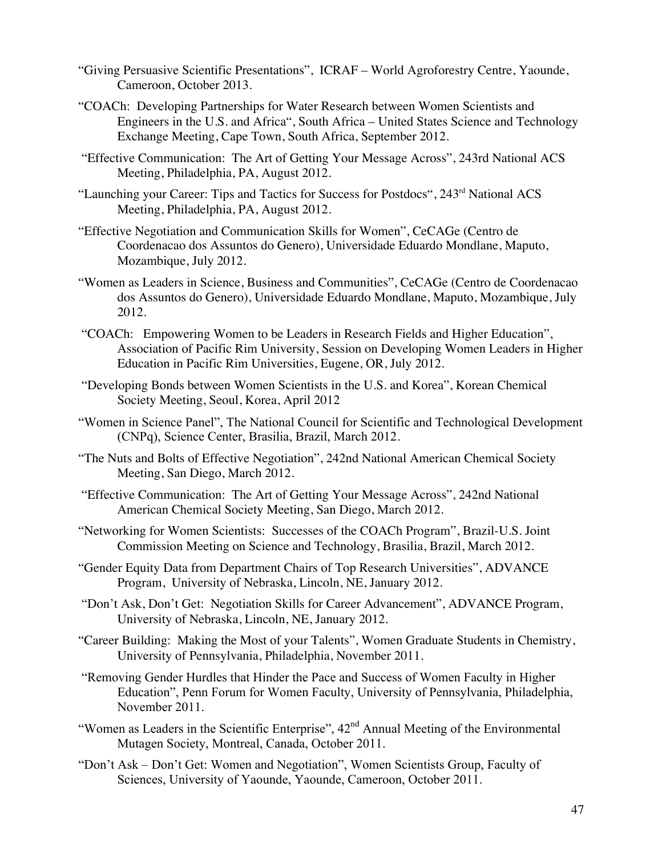- "Giving Persuasive Scientific Presentations", ICRAF World Agroforestry Centre, Yaounde, Cameroon, October 2013.
- "COACh: Developing Partnerships for Water Research between Women Scientists and Engineers in the U.S. and Africa", South Africa – United States Science and Technology Exchange Meeting, Cape Town, South Africa, September 2012.
- "Effective Communication: The Art of Getting Your Message Across", 243rd National ACS Meeting, Philadelphia, PA, August 2012.
- "Launching your Career: Tips and Tactics for Success for Postdocs", 243<sup>rd</sup> National ACS Meeting, Philadelphia, PA, August 2012.
- "Effective Negotiation and Communication Skills for Women", CeCAGe (Centro de Coordenacao dos Assuntos do Genero), Universidade Eduardo Mondlane, Maputo, Mozambique, July 2012.
- "Women as Leaders in Science, Business and Communities", CeCAGe (Centro de Coordenacao dos Assuntos do Genero), Universidade Eduardo Mondlane, Maputo, Mozambique, July 2012.
- "COACh: Empowering Women to be Leaders in Research Fields and Higher Education", Association of Pacific Rim University, Session on Developing Women Leaders in Higher Education in Pacific Rim Universities, Eugene, OR, July 2012.
- "Developing Bonds between Women Scientists in the U.S. and Korea", Korean Chemical Society Meeting, Seoul, Korea, April 2012
- "Women in Science Panel", The National Council for Scientific and Technological Development (CNPq), Science Center, Brasilia, Brazil, March 2012.
- "The Nuts and Bolts of Effective Negotiation", 242nd National American Chemical Society Meeting, San Diego, March 2012.
- "Effective Communication: The Art of Getting Your Message Across", 242nd National American Chemical Society Meeting, San Diego, March 2012.
- "Networking for Women Scientists: Successes of the COACh Program", Brazil-U.S. Joint Commission Meeting on Science and Technology, Brasilia, Brazil, March 2012.
- "Gender Equity Data from Department Chairs of Top Research Universities", ADVANCE Program, University of Nebraska, Lincoln, NE, January 2012.
- "Don't Ask, Don't Get: Negotiation Skills for Career Advancement", ADVANCE Program, University of Nebraska, Lincoln, NE, January 2012.
- "Career Building: Making the Most of your Talents", Women Graduate Students in Chemistry, University of Pennsylvania, Philadelphia, November 2011.
- "Removing Gender Hurdles that Hinder the Pace and Success of Women Faculty in Higher Education", Penn Forum for Women Faculty, University of Pennsylvania, Philadelphia, November 2011.
- "Women as Leaders in the Scientific Enterprise", 42<sup>nd</sup> Annual Meeting of the Environmental Mutagen Society, Montreal, Canada, October 2011.
- "Don't Ask Don't Get: Women and Negotiation", Women Scientists Group, Faculty of Sciences, University of Yaounde, Yaounde, Cameroon, October 2011.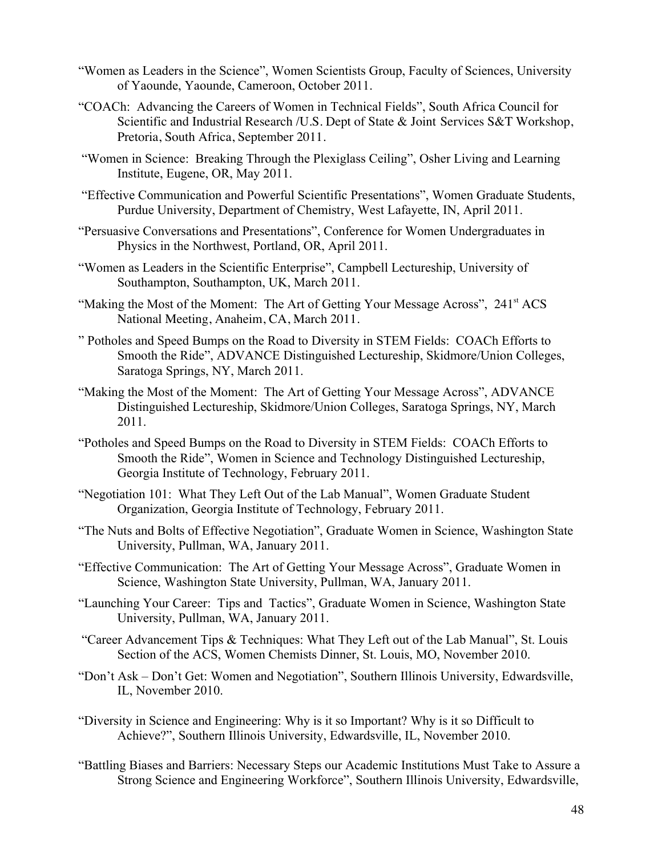- "Women as Leaders in the Science", Women Scientists Group, Faculty of Sciences, University of Yaounde, Yaounde, Cameroon, October 2011.
- "COACh: Advancing the Careers of Women in Technical Fields", South Africa Council for Scientific and Industrial Research /U.S. Dept of State & Joint Services S&T Workshop, Pretoria, South Africa, September 2011.
- "Women in Science: Breaking Through the Plexiglass Ceiling", Osher Living and Learning Institute, Eugene, OR, May 2011.
- "Effective Communication and Powerful Scientific Presentations", Women Graduate Students, Purdue University, Department of Chemistry, West Lafayette, IN, April 2011.
- "Persuasive Conversations and Presentations", Conference for Women Undergraduates in Physics in the Northwest, Portland, OR, April 2011.
- "Women as Leaders in the Scientific Enterprise", Campbell Lectureship, University of Southampton, Southampton, UK, March 2011.
- "Making the Most of the Moment: The Art of Getting Your Message Across", 241<sup>st</sup> ACS National Meeting, Anaheim, CA, March 2011.
- " Potholes and Speed Bumps on the Road to Diversity in STEM Fields: COACh Efforts to Smooth the Ride", ADVANCE Distinguished Lectureship, Skidmore/Union Colleges, Saratoga Springs, NY, March 2011.
- "Making the Most of the Moment: The Art of Getting Your Message Across", ADVANCE Distinguished Lectureship, Skidmore/Union Colleges, Saratoga Springs, NY, March 2011.
- "Potholes and Speed Bumps on the Road to Diversity in STEM Fields: COACh Efforts to Smooth the Ride", Women in Science and Technology Distinguished Lectureship, Georgia Institute of Technology, February 2011.
- "Negotiation 101: What They Left Out of the Lab Manual", Women Graduate Student Organization, Georgia Institute of Technology, February 2011.
- "The Nuts and Bolts of Effective Negotiation", Graduate Women in Science, Washington State University, Pullman, WA, January 2011.
- "Effective Communication: The Art of Getting Your Message Across", Graduate Women in Science, Washington State University, Pullman, WA, January 2011.
- "Launching Your Career: Tips and Tactics", Graduate Women in Science, Washington State University, Pullman, WA, January 2011.
- "Career Advancement Tips & Techniques: What They Left out of the Lab Manual", St. Louis Section of the ACS, Women Chemists Dinner, St. Louis, MO, November 2010.
- "Don't Ask Don't Get: Women and Negotiation", Southern Illinois University, Edwardsville, IL, November 2010.
- "Diversity in Science and Engineering: Why is it so Important? Why is it so Difficult to Achieve?", Southern Illinois University, Edwardsville, IL, November 2010.
- "Battling Biases and Barriers: Necessary Steps our Academic Institutions Must Take to Assure a Strong Science and Engineering Workforce", Southern Illinois University, Edwardsville,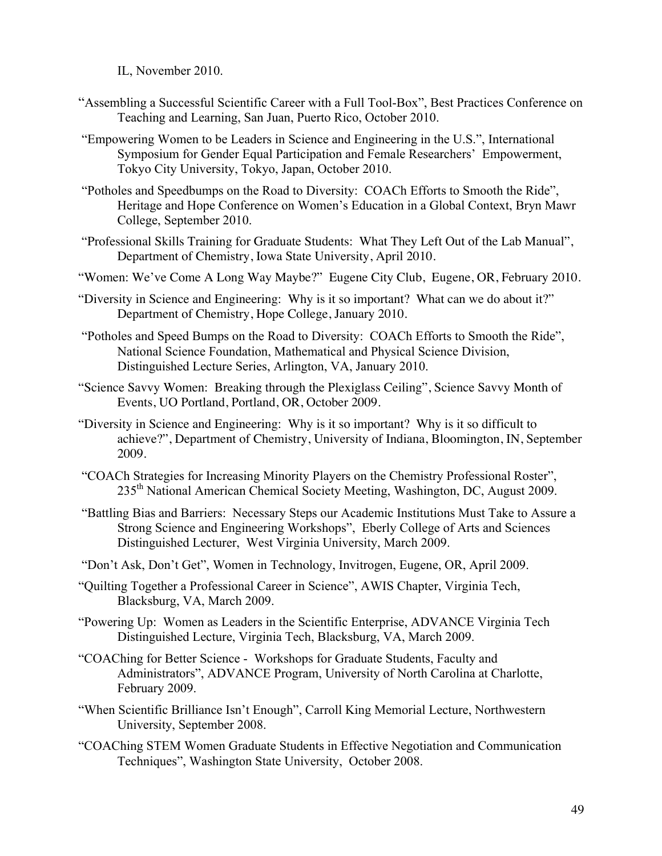IL, November 2010.

- "Assembling a Successful Scientific Career with a Full Tool-Box", Best Practices Conference on Teaching and Learning, San Juan, Puerto Rico, October 2010.
- "Empowering Women to be Leaders in Science and Engineering in the U.S.", International Symposium for Gender Equal Participation and Female Researchers' Empowerment, Tokyo City University, Tokyo, Japan, October 2010.
- "Potholes and Speedbumps on the Road to Diversity: COACh Efforts to Smooth the Ride", Heritage and Hope Conference on Women's Education in a Global Context, Bryn Mawr College, September 2010.
- "Professional Skills Training for Graduate Students: What They Left Out of the Lab Manual", Department of Chemistry, Iowa State University, April 2010.
- "Women: We've Come A Long Way Maybe?" Eugene City Club, Eugene, OR, February 2010.
- "Diversity in Science and Engineering: Why is it so important? What can we do about it?" Department of Chemistry, Hope College, January 2010.
- "Potholes and Speed Bumps on the Road to Diversity: COACh Efforts to Smooth the Ride", National Science Foundation, Mathematical and Physical Science Division, Distinguished Lecture Series, Arlington, VA, January 2010.
- "Science Savvy Women: Breaking through the Plexiglass Ceiling", Science Savvy Month of Events, UO Portland, Portland, OR, October 2009.
- "Diversity in Science and Engineering: Why is it so important? Why is it so difficult to achieve?", Department of Chemistry, University of Indiana, Bloomington, IN, September 2009.
- "COACh Strategies for Increasing Minority Players on the Chemistry Professional Roster", 235th National American Chemical Society Meeting, Washington, DC, August 2009.
- "Battling Bias and Barriers: Necessary Steps our Academic Institutions Must Take to Assure a Strong Science and Engineering Workshops", Eberly College of Arts and Sciences Distinguished Lecturer, West Virginia University, March 2009.
- "Don't Ask, Don't Get", Women in Technology, Invitrogen, Eugene, OR, April 2009.
- "Quilting Together a Professional Career in Science", AWIS Chapter, Virginia Tech, Blacksburg, VA, March 2009.
- "Powering Up: Women as Leaders in the Scientific Enterprise, ADVANCE Virginia Tech Distinguished Lecture, Virginia Tech, Blacksburg, VA, March 2009.
- "COAChing for Better Science Workshops for Graduate Students, Faculty and Administrators", ADVANCE Program, University of North Carolina at Charlotte, February 2009.
- "When Scientific Brilliance Isn't Enough", Carroll King Memorial Lecture, Northwestern University, September 2008.
- "COAChing STEM Women Graduate Students in Effective Negotiation and Communication Techniques", Washington State University, October 2008.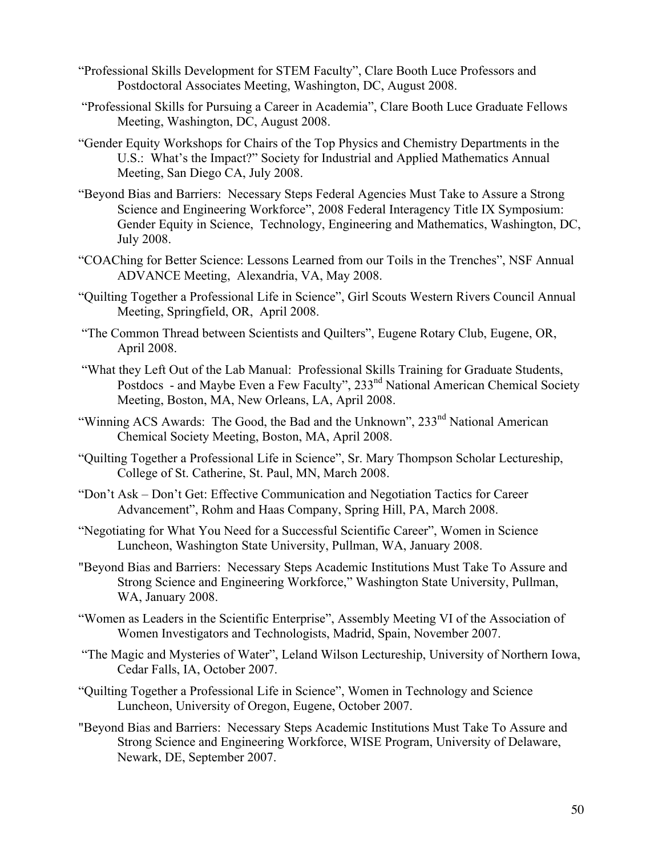- "Professional Skills Development for STEM Faculty", Clare Booth Luce Professors and Postdoctoral Associates Meeting, Washington, DC, August 2008.
- "Professional Skills for Pursuing a Career in Academia", Clare Booth Luce Graduate Fellows Meeting, Washington, DC, August 2008.
- "Gender Equity Workshops for Chairs of the Top Physics and Chemistry Departments in the U.S.: What's the Impact?" Society for Industrial and Applied Mathematics Annual Meeting, San Diego CA, July 2008.
- "Beyond Bias and Barriers: Necessary Steps Federal Agencies Must Take to Assure a Strong Science and Engineering Workforce", 2008 Federal Interagency Title IX Symposium: Gender Equity in Science, Technology, Engineering and Mathematics, Washington, DC, July 2008.
- "COAChing for Better Science: Lessons Learned from our Toils in the Trenches", NSF Annual ADVANCE Meeting, Alexandria, VA, May 2008.
- "Quilting Together a Professional Life in Science", Girl Scouts Western Rivers Council Annual Meeting, Springfield, OR, April 2008.
- "The Common Thread between Scientists and Quilters", Eugene Rotary Club, Eugene, OR, April 2008.
- "What they Left Out of the Lab Manual: Professional Skills Training for Graduate Students, Postdocs - and Maybe Even a Few Faculty", 233<sup>nd</sup> National American Chemical Society Meeting, Boston, MA, New Orleans, LA, April 2008.
- "Winning ACS Awards: The Good, the Bad and the Unknown", 233<sup>nd</sup> National American Chemical Society Meeting, Boston, MA, April 2008.
- "Quilting Together a Professional Life in Science", Sr. Mary Thompson Scholar Lectureship, College of St. Catherine, St. Paul, MN, March 2008.
- "Don't Ask Don't Get: Effective Communication and Negotiation Tactics for Career Advancement", Rohm and Haas Company, Spring Hill, PA, March 2008.
- "Negotiating for What You Need for a Successful Scientific Career", Women in Science Luncheon, Washington State University, Pullman, WA, January 2008.
- "Beyond Bias and Barriers: Necessary Steps Academic Institutions Must Take To Assure and Strong Science and Engineering Workforce," Washington State University, Pullman, WA, January 2008.
- "Women as Leaders in the Scientific Enterprise", Assembly Meeting VI of the Association of Women Investigators and Technologists, Madrid, Spain, November 2007.
- "The Magic and Mysteries of Water", Leland Wilson Lectureship, University of Northern Iowa, Cedar Falls, IA, October 2007.
- "Quilting Together a Professional Life in Science", Women in Technology and Science Luncheon, University of Oregon, Eugene, October 2007.
- "Beyond Bias and Barriers: Necessary Steps Academic Institutions Must Take To Assure and Strong Science and Engineering Workforce, WISE Program, University of Delaware, Newark, DE, September 2007.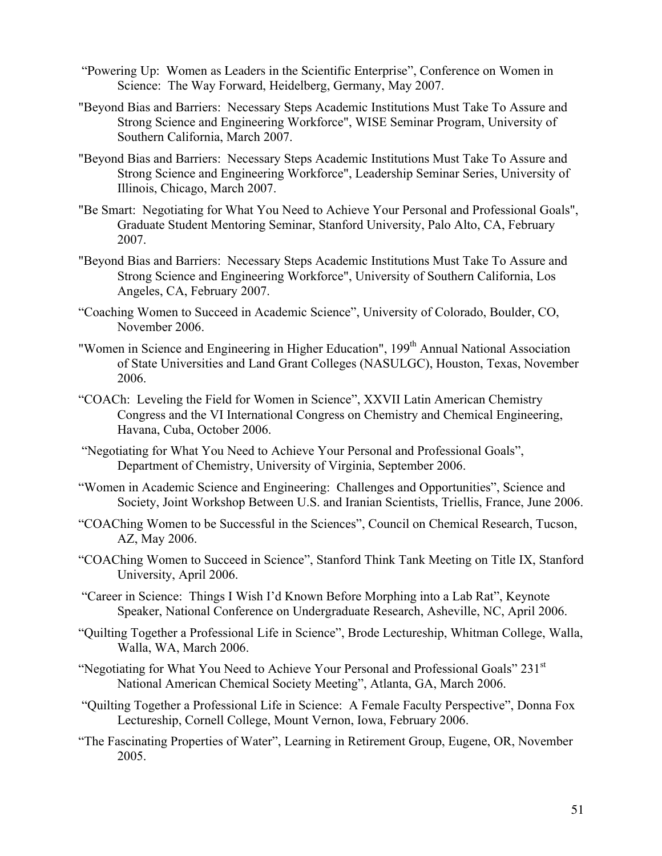- "Powering Up: Women as Leaders in the Scientific Enterprise", Conference on Women in Science: The Way Forward, Heidelberg, Germany, May 2007.
- "Beyond Bias and Barriers: Necessary Steps Academic Institutions Must Take To Assure and Strong Science and Engineering Workforce", WISE Seminar Program, University of Southern California, March 2007.
- "Beyond Bias and Barriers: Necessary Steps Academic Institutions Must Take To Assure and Strong Science and Engineering Workforce", Leadership Seminar Series, University of Illinois, Chicago, March 2007.
- "Be Smart: Negotiating for What You Need to Achieve Your Personal and Professional Goals", Graduate Student Mentoring Seminar, Stanford University, Palo Alto, CA, February 2007.
- "Beyond Bias and Barriers: Necessary Steps Academic Institutions Must Take To Assure and Strong Science and Engineering Workforce", University of Southern California, Los Angeles, CA, February 2007.
- "Coaching Women to Succeed in Academic Science", University of Colorado, Boulder, CO, November 2006.
- "Women in Science and Engineering in Higher Education", 199<sup>th</sup> Annual National Association of State Universities and Land Grant Colleges (NASULGC), Houston, Texas, November 2006.
- "COACh: Leveling the Field for Women in Science", XXVII Latin American Chemistry Congress and the VI International Congress on Chemistry and Chemical Engineering, Havana, Cuba, October 2006.
- "Negotiating for What You Need to Achieve Your Personal and Professional Goals", Department of Chemistry, University of Virginia, September 2006.
- "Women in Academic Science and Engineering: Challenges and Opportunities", Science and Society, Joint Workshop Between U.S. and Iranian Scientists, Triellis, France, June 2006.
- "COAChing Women to be Successful in the Sciences", Council on Chemical Research, Tucson, AZ, May 2006.
- "COAChing Women to Succeed in Science", Stanford Think Tank Meeting on Title IX, Stanford University, April 2006.
- "Career in Science: Things I Wish I'd Known Before Morphing into a Lab Rat", Keynote Speaker, National Conference on Undergraduate Research, Asheville, NC, April 2006.
- "Quilting Together a Professional Life in Science", Brode Lectureship, Whitman College, Walla, Walla, WA, March 2006.
- "Negotiating for What You Need to Achieve Your Personal and Professional Goals" 231st National American Chemical Society Meeting", Atlanta, GA, March 2006.
- "Quilting Together a Professional Life in Science: A Female Faculty Perspective", Donna Fox Lectureship, Cornell College, Mount Vernon, Iowa, February 2006.
- "The Fascinating Properties of Water", Learning in Retirement Group, Eugene, OR, November 2005.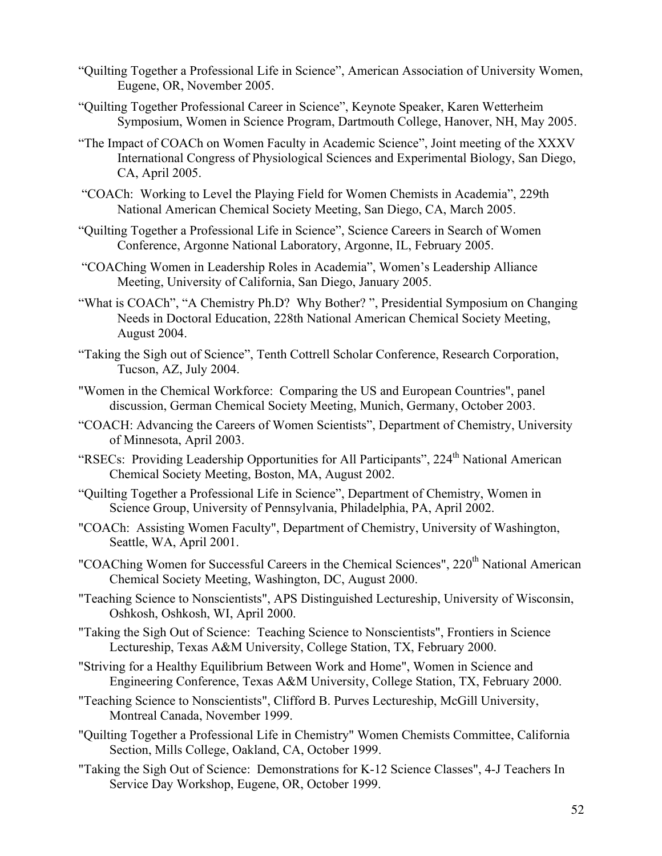- "Quilting Together a Professional Life in Science", American Association of University Women, Eugene, OR, November 2005.
- "Quilting Together Professional Career in Science", Keynote Speaker, Karen Wetterheim Symposium, Women in Science Program, Dartmouth College, Hanover, NH, May 2005.
- "The Impact of COACh on Women Faculty in Academic Science", Joint meeting of the XXXV International Congress of Physiological Sciences and Experimental Biology, San Diego, CA, April 2005.
- "COACh: Working to Level the Playing Field for Women Chemists in Academia", 229th National American Chemical Society Meeting, San Diego, CA, March 2005.
- "Quilting Together a Professional Life in Science", Science Careers in Search of Women Conference, Argonne National Laboratory, Argonne, IL, February 2005.
- "COAChing Women in Leadership Roles in Academia", Women's Leadership Alliance Meeting, University of California, San Diego, January 2005.
- "What is COACh", "A Chemistry Ph.D? Why Bother? ", Presidential Symposium on Changing Needs in Doctoral Education, 228th National American Chemical Society Meeting, August 2004.
- "Taking the Sigh out of Science", Tenth Cottrell Scholar Conference, Research Corporation, Tucson, AZ, July 2004.
- "Women in the Chemical Workforce: Comparing the US and European Countries", panel discussion, German Chemical Society Meeting, Munich, Germany, October 2003.
- "COACH: Advancing the Careers of Women Scientists", Department of Chemistry, University of Minnesota, April 2003.
- "RSECs: Providing Leadership Opportunities for All Participants", 224<sup>th</sup> National American Chemical Society Meeting, Boston, MA, August 2002.
- "Quilting Together a Professional Life in Science", Department of Chemistry, Women in Science Group, University of Pennsylvania, Philadelphia, PA, April 2002.
- "COACh: Assisting Women Faculty", Department of Chemistry, University of Washington, Seattle, WA, April 2001.
- "COAChing Women for Successful Careers in the Chemical Sciences", 220<sup>th</sup> National American Chemical Society Meeting, Washington, DC, August 2000.
- "Teaching Science to Nonscientists", APS Distinguished Lectureship, University of Wisconsin, Oshkosh, Oshkosh, WI, April 2000.
- "Taking the Sigh Out of Science: Teaching Science to Nonscientists", Frontiers in Science Lectureship, Texas A&M University, College Station, TX, February 2000.
- "Striving for a Healthy Equilibrium Between Work and Home", Women in Science and Engineering Conference, Texas A&M University, College Station, TX, February 2000.
- "Teaching Science to Nonscientists", Clifford B. Purves Lectureship, McGill University, Montreal Canada, November 1999.
- "Quilting Together a Professional Life in Chemistry" Women Chemists Committee, California Section, Mills College, Oakland, CA, October 1999.
- "Taking the Sigh Out of Science: Demonstrations for K-12 Science Classes", 4-J Teachers In Service Day Workshop, Eugene, OR, October 1999.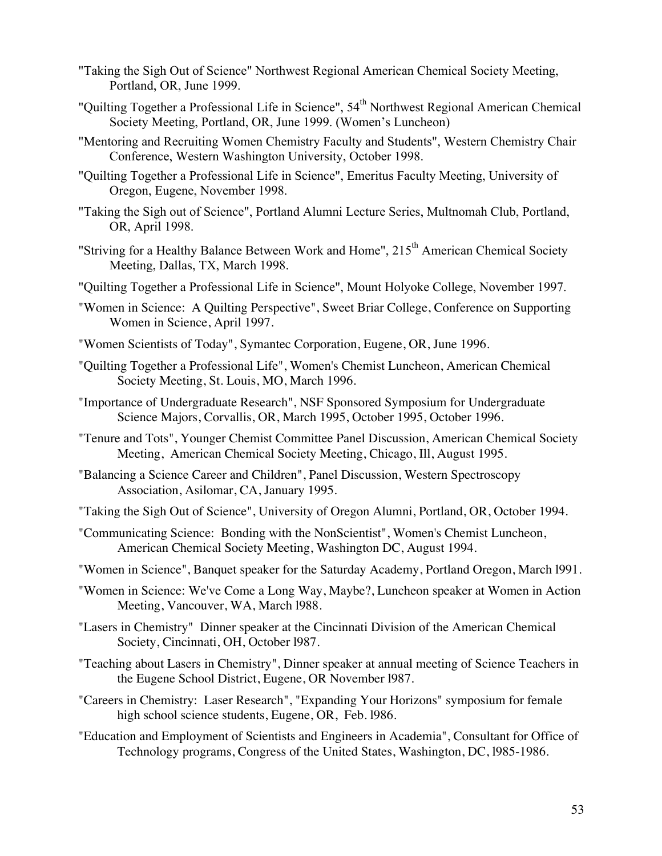- "Taking the Sigh Out of Science" Northwest Regional American Chemical Society Meeting, Portland, OR, June 1999.
- "Quilting Together a Professional Life in Science", 54<sup>th</sup> Northwest Regional American Chemical Society Meeting, Portland, OR, June 1999. (Women's Luncheon)
- "Mentoring and Recruiting Women Chemistry Faculty and Students", Western Chemistry Chair Conference, Western Washington University, October 1998.
- "Quilting Together a Professional Life in Science", Emeritus Faculty Meeting, University of Oregon, Eugene, November 1998.
- "Taking the Sigh out of Science", Portland Alumni Lecture Series, Multnomah Club, Portland, OR, April 1998.
- "Striving for a Healthy Balance Between Work and Home",  $215<sup>th</sup>$  American Chemical Society Meeting, Dallas, TX, March 1998.
- "Quilting Together a Professional Life in Science", Mount Holyoke College, November 1997.
- "Women in Science: A Quilting Perspective", Sweet Briar College, Conference on Supporting Women in Science, April 1997.
- "Women Scientists of Today", Symantec Corporation, Eugene, OR, June 1996.
- "Quilting Together a Professional Life", Women's Chemist Luncheon, American Chemical Society Meeting, St. Louis, MO, March 1996.
- "Importance of Undergraduate Research", NSF Sponsored Symposium for Undergraduate Science Majors, Corvallis, OR, March 1995, October 1995, October 1996.
- "Tenure and Tots", Younger Chemist Committee Panel Discussion, American Chemical Society Meeting, American Chemical Society Meeting, Chicago, Ill, August 1995.
- "Balancing a Science Career and Children", Panel Discussion, Western Spectroscopy Association, Asilomar, CA, January 1995.
- "Taking the Sigh Out of Science", University of Oregon Alumni, Portland, OR, October 1994.
- "Communicating Science: Bonding with the NonScientist", Women's Chemist Luncheon, American Chemical Society Meeting, Washington DC, August 1994.
- "Women in Science", Banquet speaker for the Saturday Academy, Portland Oregon, March l991.
- "Women in Science: We've Come a Long Way, Maybe?, Luncheon speaker at Women in Action Meeting, Vancouver, WA, March l988.
- "Lasers in Chemistry" Dinner speaker at the Cincinnati Division of the American Chemical Society, Cincinnati, OH, October l987.
- "Teaching about Lasers in Chemistry", Dinner speaker at annual meeting of Science Teachers in the Eugene School District, Eugene, OR November l987.
- "Careers in Chemistry: Laser Research", "Expanding Your Horizons" symposium for female high school science students, Eugene, OR, Feb. l986.
- "Education and Employment of Scientists and Engineers in Academia", Consultant for Office of Technology programs, Congress of the United States, Washington, DC, l985-1986.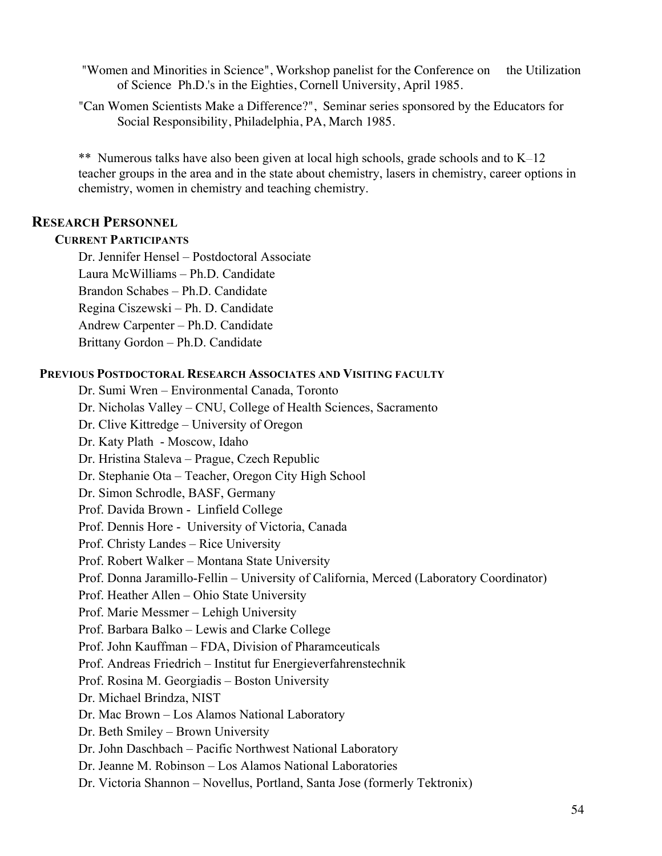- "Women and Minorities in Science", Workshop panelist for the Conference on the Utilization of Science Ph.D.'s in the Eighties, Cornell University, April 1985.
- "Can Women Scientists Make a Difference?", Seminar series sponsored by the Educators for Social Responsibility, Philadelphia, PA, March 1985.

\*\* Numerous talks have also been given at local high schools, grade schools and to K—12 teacher groups in the area and in the state about chemistry, lasers in chemistry, career options in chemistry, women in chemistry and teaching chemistry.

# **RESEARCH PERSONNEL**

### **CURRENT PARTICIPANTS**

Dr. Jennifer Hensel – Postdoctoral Associate Laura McWilliams – Ph.D. Candidate Brandon Schabes – Ph.D. Candidate Regina Ciszewski – Ph. D. Candidate Andrew Carpenter – Ph.D. Candidate Brittany Gordon – Ph.D. Candidate

### **PREVIOUS POSTDOCTORAL RESEARCH ASSOCIATES AND VISITING FACULTY**

Dr. Sumi Wren – Environmental Canada, Toronto Dr. Nicholas Valley – CNU, College of Health Sciences, Sacramento Dr. Clive Kittredge – University of Oregon Dr. Katy Plath - Moscow, Idaho Dr. Hristina Staleva – Prague, Czech Republic Dr. Stephanie Ota – Teacher, Oregon City High School Dr. Simon Schrodle, BASF, Germany Prof. Davida Brown - Linfield College Prof. Dennis Hore - University of Victoria, Canada Prof. Christy Landes – Rice University Prof. Robert Walker – Montana State University Prof. Donna Jaramillo-Fellin – University of California, Merced (Laboratory Coordinator) Prof. Heather Allen – Ohio State University Prof. Marie Messmer – Lehigh University Prof. Barbara Balko – Lewis and Clarke College Prof. John Kauffman – FDA, Division of Pharamceuticals Prof. Andreas Friedrich – Institut fur Energieverfahrenstechnik Prof. Rosina M. Georgiadis – Boston University Dr. Michael Brindza, NIST Dr. Mac Brown – Los Alamos National Laboratory Dr. Beth Smiley – Brown University Dr. John Daschbach – Pacific Northwest National Laboratory Dr. Jeanne M. Robinson – Los Alamos National Laboratories Dr. Victoria Shannon – Novellus, Portland, Santa Jose (formerly Tektronix)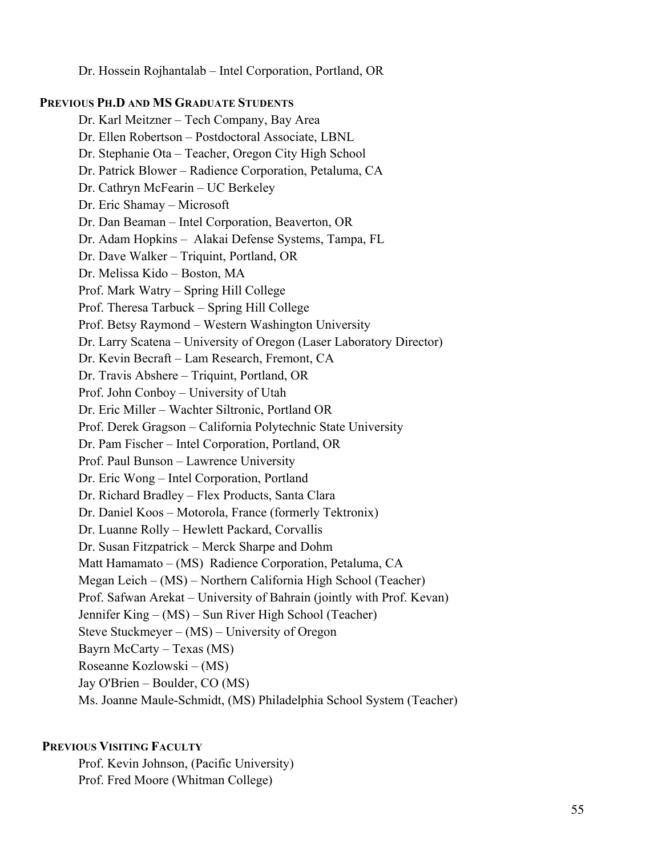Dr. Hossein Rojhantalab – Intel Corporation, Portland, OR

### **PREVIOUS PH.D AND MS GRADUATE STUDENTS**

Dr. Karl Meitzner – Tech Company, Bay Area Dr. Ellen Robertson – Postdoctoral Associate, LBNL Dr. Stephanie Ota – Teacher, Oregon City High School Dr. Patrick Blower – Radience Corporation, Petaluma, CA Dr. Cathryn McFearin – UC Berkeley Dr. Eric Shamay – Microsoft Dr. Dan Beaman – Intel Corporation, Beaverton, OR Dr. Adam Hopkins – Alakai Defense Systems, Tampa, FL Dr. Dave Walker – Triquint, Portland, OR Dr. Melissa Kido – Boston, MA Prof. Mark Watry – Spring Hill College Prof. Theresa Tarbuck – Spring Hill College Prof. Betsy Raymond – Western Washington University Dr. Larry Scatena – University of Oregon (Laser Laboratory Director) Dr. Kevin Becraft – Lam Research, Fremont, CA Dr. Travis Abshere – Triquint, Portland, OR Prof. John Conboy – University of Utah Dr. Eric Miller – Wachter Siltronic, Portland OR Prof. Derek Gragson – California Polytechnic State University Dr. Pam Fischer – Intel Corporation, Portland, OR Prof. Paul Bunson – Lawrence University Dr. Eric Wong – Intel Corporation, Portland Dr. Richard Bradley – Flex Products, Santa Clara Dr. Daniel Koos – Motorola, France (formerly Tektronix) Dr. Luanne Rolly – Hewlett Packard, Corvallis Dr. Susan Fitzpatrick – Merck Sharpe and Dohm Matt Hamamato – (MS) Radience Corporation, Petaluma, CA Megan Leich – (MS) – Northern California High School (Teacher) Prof. Safwan Arekat – University of Bahrain (jointly with Prof. Kevan) Jennifer King – (MS) – Sun River High School (Teacher) Steve Stuckmeyer – (MS) – University of Oregon Bayrn McCarty – Texas (MS) Roseanne Kozlowski – (MS) Jay O'Brien – Boulder, CO (MS) Ms. Joanne Maule-Schmidt, (MS) Philadelphia School System (Teacher)

### **PREVIOUS VISITING FACULTY**

Prof. Kevin Johnson, (Pacific University) Prof. Fred Moore (Whitman College)